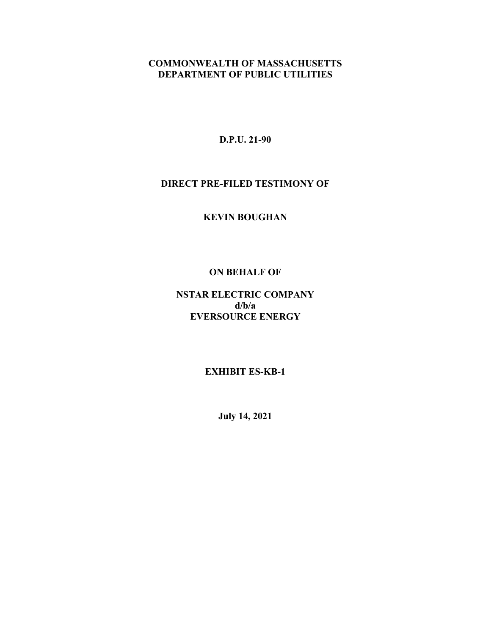## **COMMONWEALTH OF MASSACHUSETTS DEPARTMENT OF PUBLIC UTILITIES**

**D.P.U. 21-90**

#### **DIRECT PRE-FILED TESTIMONY OF**

**KEVIN BOUGHAN**

#### **ON BEHALF OF**

# **NSTAR ELECTRIC COMPANY d/b/a EVERSOURCE ENERGY**

## **EXHIBIT ES-KB-1**

**July 14, 2021**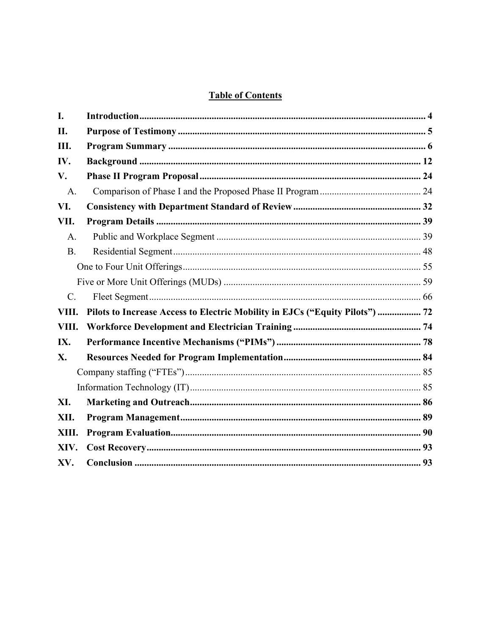# **Table of Contents**

| L.              |                                                                              |  |
|-----------------|------------------------------------------------------------------------------|--|
| II.             |                                                                              |  |
| Ш.              |                                                                              |  |
| IV.             |                                                                              |  |
| V.              |                                                                              |  |
| A.              |                                                                              |  |
| VI.             |                                                                              |  |
| VII.            |                                                                              |  |
| A.              |                                                                              |  |
| <b>B.</b>       |                                                                              |  |
|                 |                                                                              |  |
|                 |                                                                              |  |
| $\mathcal{C}$ . |                                                                              |  |
| VIII.           | Pilots to Increase Access to Electric Mobility in EJCs ("Equity Pilots")  72 |  |
| VIII.           |                                                                              |  |
| IX.             |                                                                              |  |
| X.              |                                                                              |  |
|                 |                                                                              |  |
|                 |                                                                              |  |
| XI.             |                                                                              |  |
| XII.            |                                                                              |  |
| XIII.           |                                                                              |  |
| XIV.            |                                                                              |  |
| XV.             |                                                                              |  |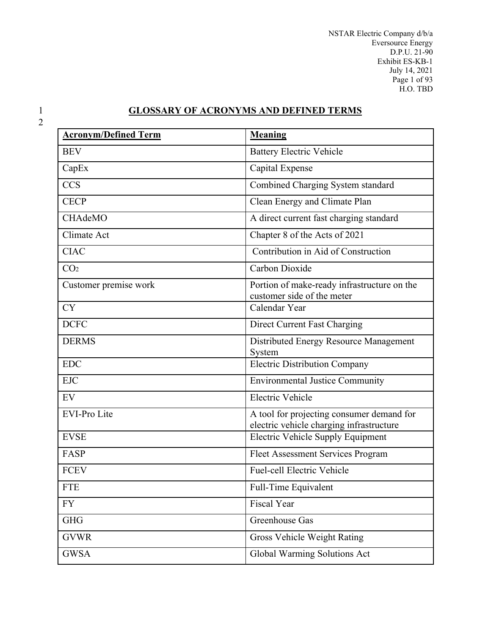NSTAR Electric Company d/b/a Eversource Energy D.P.U. 21-90 Exhibit ES-KB-1 July 14, 2021 Page 1 of 93 H.O. TBD

# 2

# 1 **GLOSSARY OF ACRONYMS AND DEFINED TERMS**

| <b>Acronym/Defined Term</b> | <b>Meaning</b>                                                                        |
|-----------------------------|---------------------------------------------------------------------------------------|
| <b>BEV</b>                  | <b>Battery Electric Vehicle</b>                                                       |
| CapEx                       | Capital Expense                                                                       |
| <b>CCS</b>                  | Combined Charging System standard                                                     |
| <b>CECP</b>                 | Clean Energy and Climate Plan                                                         |
| CHAdeMO                     | A direct current fast charging standard                                               |
| Climate Act                 | Chapter 8 of the Acts of 2021                                                         |
| <b>CIAC</b>                 | Contribution in Aid of Construction                                                   |
| CO <sub>2</sub>             | Carbon Dioxide                                                                        |
| Customer premise work       | Portion of make-ready infrastructure on the<br>customer side of the meter             |
| <b>CY</b>                   | Calendar Year                                                                         |
| <b>DCFC</b>                 | Direct Current Fast Charging                                                          |
| <b>DERMS</b>                | Distributed Energy Resource Management<br>System                                      |
| <b>EDC</b>                  | <b>Electric Distribution Company</b>                                                  |
| <b>EJC</b>                  | <b>Environmental Justice Community</b>                                                |
| EV                          | <b>Electric Vehicle</b>                                                               |
| <b>EVI-Pro Lite</b>         | A tool for projecting consumer demand for<br>electric vehicle charging infrastructure |
| <b>EVSE</b>                 | Electric Vehicle Supply Equipment                                                     |
| FASP                        | Fleet Assessment Services Program                                                     |
| <b>FCEV</b>                 | <b>Fuel-cell Electric Vehicle</b>                                                     |
| <b>FTE</b>                  | Full-Time Equivalent                                                                  |
| <b>FY</b>                   | Fiscal Year                                                                           |
| <b>GHG</b>                  | Greenhouse Gas                                                                        |
| <b>GVWR</b>                 | Gross Vehicle Weight Rating                                                           |
| <b>GWSA</b>                 | Global Warming Solutions Act                                                          |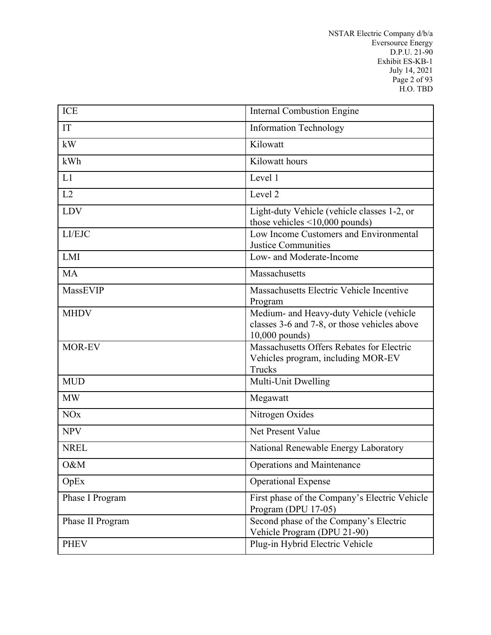NSTAR Electric Company d/b/a Eversource Energy D.P.U. 21-90 Exhibit ES-KB-1 July 14, 2021 Page 2 of 93 H.O. TBD

| <b>ICE</b>       | <b>Internal Combustion Engine</b>                                                                           |
|------------------|-------------------------------------------------------------------------------------------------------------|
|                  |                                                                                                             |
| IT               | <b>Information Technology</b>                                                                               |
| kW               | Kilowatt                                                                                                    |
| kWh              | Kilowatt hours                                                                                              |
| L1               | Level 1                                                                                                     |
| L2               | Level <sub>2</sub>                                                                                          |
| <b>LDV</b>       | Light-duty Vehicle (vehicle classes 1-2, or<br>those vehicles $\leq 10,000$ pounds)                         |
| LI/EJC           | Low Income Customers and Environmental<br><b>Justice Communities</b>                                        |
| LMI              | Low- and Moderate-Income                                                                                    |
| <b>MA</b>        | Massachusetts                                                                                               |
| MassEVIP         | Massachusetts Electric Vehicle Incentive<br>Program                                                         |
| <b>MHDV</b>      | Medium- and Heavy-duty Vehicle (vehicle<br>classes 3-6 and 7-8, or those vehicles above<br>$10,000$ pounds) |
| MOR-EV           | Massachusetts Offers Rebates for Electric<br>Vehicles program, including MOR-EV<br>Trucks                   |
| <b>MUD</b>       | Multi-Unit Dwelling                                                                                         |
| <b>MW</b>        | Megawatt                                                                                                    |
| <b>NOx</b>       | Nitrogen Oxides                                                                                             |
| <b>NPV</b>       | Net Present Value                                                                                           |
| <b>NREL</b>      | National Renewable Energy Laboratory                                                                        |
| O&M              | <b>Operations and Maintenance</b>                                                                           |
| OpEx             | <b>Operational Expense</b>                                                                                  |
| Phase I Program  | First phase of the Company's Electric Vehicle<br>Program (DPU 17-05)                                        |
| Phase II Program | Second phase of the Company's Electric<br>Vehicle Program (DPU 21-90)                                       |
| <b>PHEV</b>      | Plug-in Hybrid Electric Vehicle                                                                             |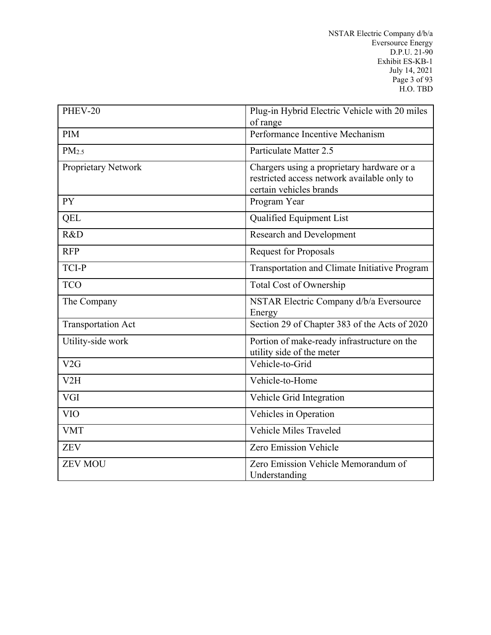| $PHEV-20$                 | Plug-in Hybrid Electric Vehicle with 20 miles<br>of range                                                            |
|---------------------------|----------------------------------------------------------------------------------------------------------------------|
| <b>PIM</b>                | Performance Incentive Mechanism                                                                                      |
| PM <sub>2.5</sub>         | Particulate Matter 2.5                                                                                               |
| Proprietary Network       | Chargers using a proprietary hardware or a<br>restricted access network available only to<br>certain vehicles brands |
| <b>PY</b>                 | Program Year                                                                                                         |
| QEL                       | Qualified Equipment List                                                                                             |
| R&D                       | <b>Research and Development</b>                                                                                      |
| <b>RFP</b>                | <b>Request for Proposals</b>                                                                                         |
| TCI-P                     | Transportation and Climate Initiative Program                                                                        |
| <b>TCO</b>                | <b>Total Cost of Ownership</b>                                                                                       |
| The Company               | NSTAR Electric Company d/b/a Eversource<br>Energy                                                                    |
| <b>Transportation Act</b> | Section 29 of Chapter 383 of the Acts of 2020                                                                        |
| Utility-side work         | Portion of make-ready infrastructure on the<br>utility side of the meter                                             |
| V2G                       | Vehicle-to-Grid                                                                                                      |
| V2H                       | Vehicle-to-Home                                                                                                      |
| <b>VGI</b>                | Vehicle Grid Integration                                                                                             |
| <b>VIO</b>                | Vehicles in Operation                                                                                                |
| <b>VMT</b>                | <b>Vehicle Miles Traveled</b>                                                                                        |
| <b>ZEV</b>                | Zero Emission Vehicle                                                                                                |
| <b>ZEV MOU</b>            | Zero Emission Vehicle Memorandum of<br>Understanding                                                                 |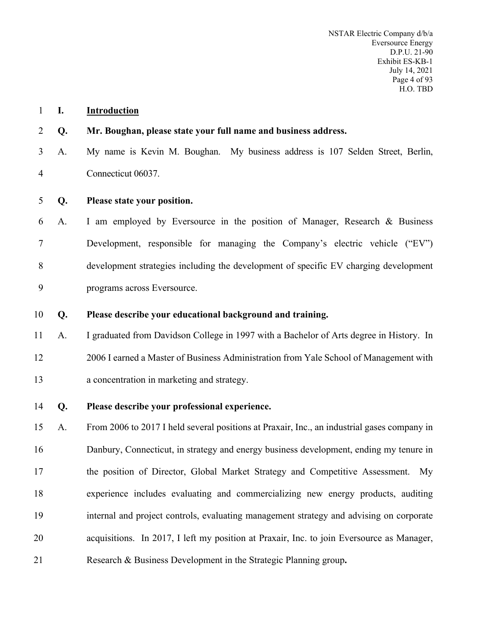#### <span id="page-5-0"></span>**I. Introduction**

#### **Q. Mr. Boughan, please state your full name and business address.**

- A. My name is Kevin M. Boughan. My business address is 107 Selden Street, Berlin, Connecticut 06037.
- **Q. Please state your position.**
- A. I am employed by Eversource in the position of Manager, Research & Business Development, responsible for managing the Company's electric vehicle ("EV") development strategies including the development of specific EV charging development programs across Eversource.
- **Q. Please describe your educational background and training.**
- A. I graduated from Davidson College in 1997 with a Bachelor of Arts degree in History. In 2006 I earned a Master of Business Administration from Yale School of Management with a concentration in marketing and strategy.
- **Q. Please describe your professional experience.**

 A. From 2006 to 2017 I held several positions at Praxair, Inc., an industrial gases company in Danbury, Connecticut, in strategy and energy business development, ending my tenure in the position of Director, Global Market Strategy and Competitive Assessment. My experience includes evaluating and commercializing new energy products, auditing internal and project controls, evaluating management strategy and advising on corporate acquisitions. In 2017, I left my position at Praxair, Inc. to join Eversource as Manager,

Research & Business Development in the Strategic Planning group**.**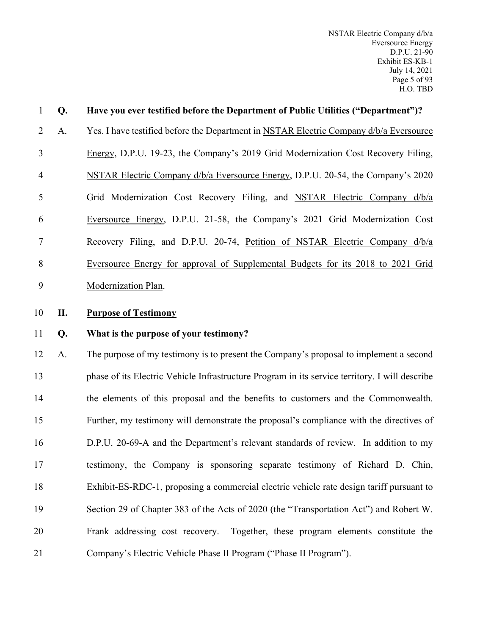| 1              | Q <sub>r</sub> | Have you ever testified before the Department of Public Utilities ("Department")?      |
|----------------|----------------|----------------------------------------------------------------------------------------|
| $\mathcal{L}$  | A.             | Yes. I have testified before the Department in NSTAR Electric Company d/b/a Eversource |
| 3              |                | Energy, D.P.U. 19-23, the Company's 2019 Grid Modernization Cost Recovery Filing,      |
| $\overline{4}$ |                | NSTAR Electric Company d/b/a Eversource Energy, D.P.U. 20-54, the Company's 2020       |
| 5              |                | Grid Modernization Cost Recovery Filing, and NSTAR Electric Company d/b/a              |
| 6              |                | Eversource Energy, D.P.U. 21-58, the Company's 2021 Grid Modernization Cost            |
| 7              |                | Recovery Filing, and D.P.U. 20-74, Petition of NSTAR Electric Company d/b/a            |
| 8              |                | Eversource Energy for approval of Supplemental Budgets for its 2018 to 2021 Grid       |
| 9              |                | Modernization Plan.                                                                    |
| 10             | П.             | <b>Purpose of Testimony</b>                                                            |
|                |                |                                                                                        |

# <span id="page-6-0"></span>11 **Q. What is the purpose of your testimony?**

 A. The purpose of my testimony is to present the Company's proposal to implement a second phase of its Electric Vehicle Infrastructure Program in its service territory. I will describe the elements of this proposal and the benefits to customers and the Commonwealth. Further, my testimony will demonstrate the proposal's compliance with the directives of D.P.U. 20-69-A and the Department's relevant standards of review. In addition to my testimony, the Company is sponsoring separate testimony of Richard D. Chin, Exhibit-ES-RDC-1, proposing a commercial electric vehicle rate design tariff pursuant to Section 29 of Chapter 383 of the Acts of 2020 (the "Transportation Act") and Robert W. Frank addressing cost recovery. Together, these program elements constitute the Company's Electric Vehicle Phase II Program ("Phase II Program").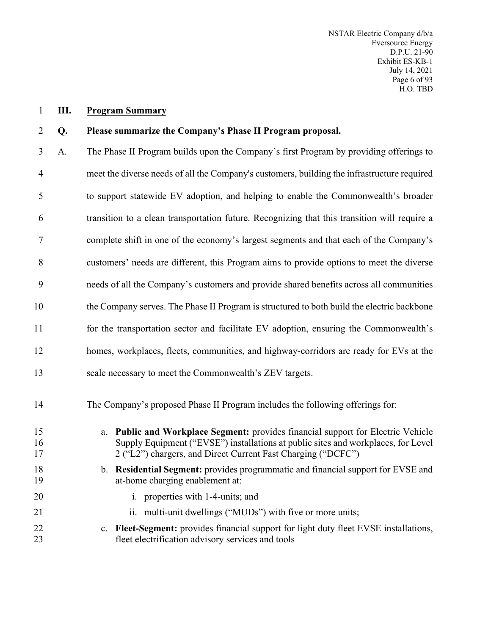<span id="page-7-0"></span>**III. Program Summary**

#### **Q. Please summarize the Company's Phase II Program proposal.**

- A. The Phase II Program builds upon the Company's first Program by providing offerings to meet the diverse needs of all the Company's customers, building the infrastructure required to support statewide EV adoption, and helping to enable the Commonwealth's broader transition to a clean transportation future. Recognizing that this transition will require a complete shift in one of the economy's largest segments and that each of the Company's customers' needs are different, this Program aims to provide options to meet the diverse needs of all the Company's customers and provide shared benefits across all communities the Company serves. The Phase II Program is structured to both build the electric backbone for the transportation sector and facilitate EV adoption, ensuring the Commonwealth's homes, workplaces, fleets, communities, and highway-corridors are ready for EVs at the scale necessary to meet the Commonwealth's ZEV targets. The Company's proposed Phase II Program includes the following offerings for: a. **Public and Workplace Segment:** provides financial support for Electric Vehicle
- Supply Equipment ("EVSE") installations at public sites and workplaces, for Level 17 2 ("L2") chargers, and Direct Current Fast Charging ("DCFC")
- b. **Residential Segment:** provides programmatic and financial support for EVSE and at-home charging enablement at:
- 20 i. properties with 1-4-units; and
- 21 ii. multi-unit dwellings ("MUDs") with five or more units;
- c. **Fleet-Segment:** provides financial support for light duty fleet EVSE installations, fleet electrification advisory services and tools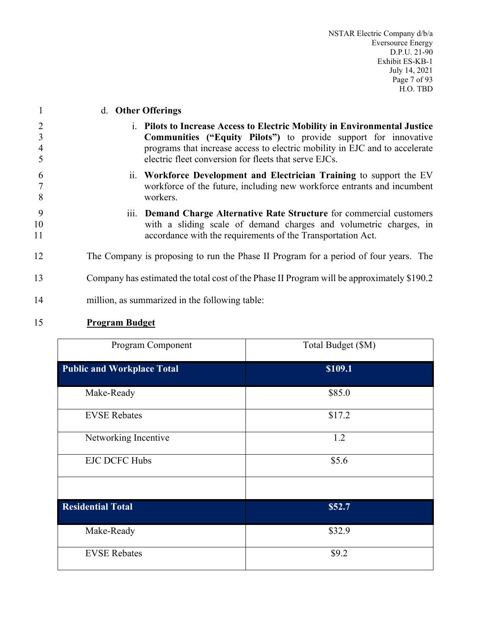| 1                                          | d. Other Offerings                                                                                                                                                                                                                                                                    |
|--------------------------------------------|---------------------------------------------------------------------------------------------------------------------------------------------------------------------------------------------------------------------------------------------------------------------------------------|
| $\overline{2}$<br>3<br>$\overline{4}$<br>5 | i. Pilots to Increase Access to Electric Mobility in Environmental Justice<br>Communities ("Equity Pilots") to provide support for innovative<br>programs that increase access to electric mobility in EJC and to accelerate<br>electric fleet conversion for fleets that serve EJCs. |
| 6<br>8                                     | ii. Workforce Development and Electrician Training to support the EV<br>workforce of the future, including new workforce entrants and incumbent<br>workers.                                                                                                                           |
| 9<br>10<br>11                              | iii. Demand Charge Alternative Rate Structure for commercial customers<br>with a sliding scale of demand charges and volumetric charges, in<br>accordance with the requirements of the Transportation Act.                                                                            |
| 12                                         | The Company is proposing to run the Phase II Program for a period of four years. The                                                                                                                                                                                                  |
| 13                                         | Company has estimated the total cost of the Phase II Program will be approximately \$190.2                                                                                                                                                                                            |
| 14                                         | million, as summarized in the following table:                                                                                                                                                                                                                                        |
| $1\sigma$                                  |                                                                                                                                                                                                                                                                                       |

| <b>Program Budget</b> |
|-----------------------|
|                       |

| Program Component                 | Total Budget (\$M) |
|-----------------------------------|--------------------|
| <b>Public and Workplace Total</b> | \$109.1            |
| Make-Ready                        | \$85.0             |
| <b>EVSE Rebates</b>               | \$17.2             |
| Networking Incentive              | 1.2                |
| <b>EJC DCFC Hubs</b>              | \$5.6              |
|                                   |                    |
| <b>Residential Total</b>          | \$52.7             |
| Make-Ready                        | \$32.9             |
| <b>EVSE Rebates</b>               | \$9.2              |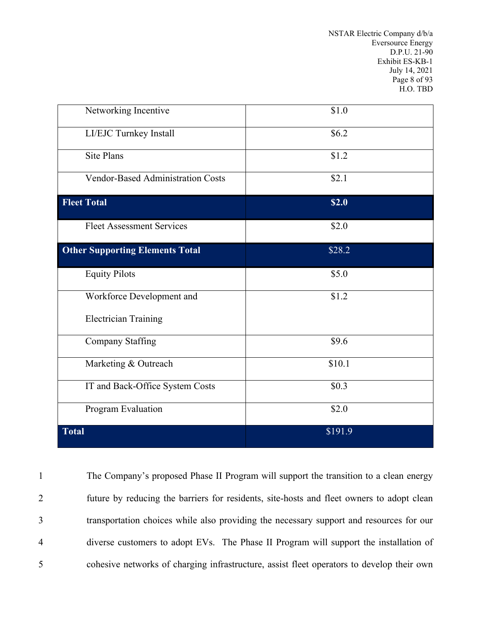NSTAR Electric Company d/b/a Eversource Energy D.P.U. 21-90 Exhibit ES-KB-1 July 14, 2021 Page 8 of 93 H.O. TBD

| Networking Incentive                   | \$1.0   |
|----------------------------------------|---------|
| LI/EJC Turnkey Install                 | \$6.2\$ |
| <b>Site Plans</b>                      | \$1.2   |
| Vendor-Based Administration Costs      | \$2.1   |
| <b>Fleet Total</b>                     | \$2.0   |
| <b>Fleet Assessment Services</b>       | \$2.0   |
| <b>Other Supporting Elements Total</b> | \$28.2  |
| <b>Equity Pilots</b>                   | \$5.0   |
| Workforce Development and              | \$1.2   |
| <b>Electrician Training</b>            |         |
| <b>Company Staffing</b>                | \$9.6   |
| Marketing & Outreach                   | \$10.1  |
| IT and Back-Office System Costs        | \$0.3   |
| Program Evaluation                     | \$2.0   |
| <b>Total</b>                           | \$191.9 |

 The Company's proposed Phase II Program will support the transition to a clean energy future by reducing the barriers for residents, site-hosts and fleet owners to adopt clean transportation choices while also providing the necessary support and resources for our diverse customers to adopt EVs. The Phase II Program will support the installation of cohesive networks of charging infrastructure, assist fleet operators to develop their own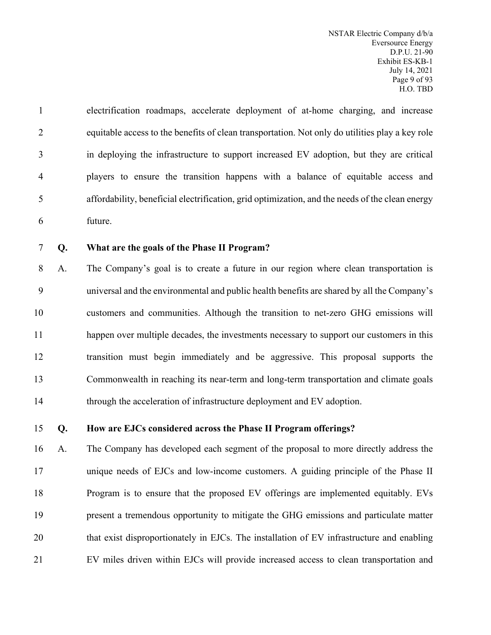electrification roadmaps, accelerate deployment of at-home charging, and increase equitable access to the benefits of clean transportation. Not only do utilities play a key role in deploying the infrastructure to support increased EV adoption, but they are critical players to ensure the transition happens with a balance of equitable access and affordability, beneficial electrification, grid optimization, and the needs of the clean energy future.

#### **Q. What are the goals of the Phase II Program?**

 A. The Company's goal is to create a future in our region where clean transportation is universal and the environmental and public health benefits are shared by all the Company's customers and communities. Although the transition to net-zero GHG emissions will happen over multiple decades, the investments necessary to support our customers in this transition must begin immediately and be aggressive. This proposal supports the Commonwealth in reaching its near-term and long-term transportation and climate goals 14 through the acceleration of infrastructure deployment and EV adoption.

#### **Q. How are EJCs considered across the Phase II Program offerings?**

 A. The Company has developed each segment of the proposal to more directly address the unique needs of EJCs and low-income customers. A guiding principle of the Phase II Program is to ensure that the proposed EV offerings are implemented equitably. EVs present a tremendous opportunity to mitigate the GHG emissions and particulate matter 20 that exist disproportionately in EJCs. The installation of EV infrastructure and enabling EV miles driven within EJCs will provide increased access to clean transportation and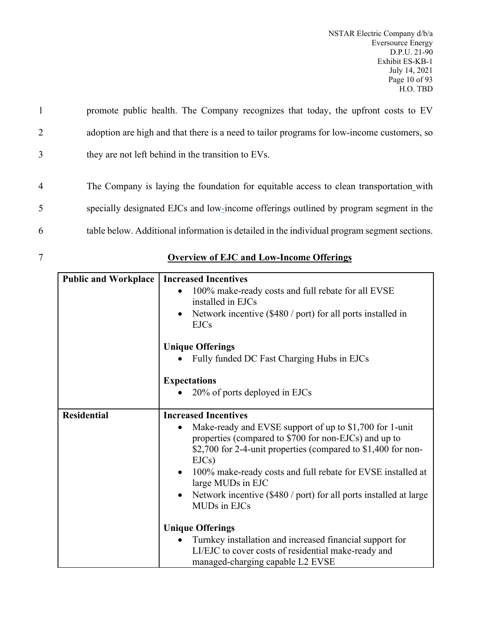1 promote public health. The Company recognizes that today, the upfront costs to EV 2 adoption are high and that there is a need to tailor programs for low-income customers, so 3 they are not left behind in the transition to EVs.

4 The Company is laying the foundation for equitable access to clean transportation with 5 specially designated EJCs and low-income offerings outlined by program segment in the 6 table below. Additional information is detailed in the individual program segment sections.

| <b>Public and Workplace</b> | <b>Increased Incentives</b>                                                                                                                                                                   |  |
|-----------------------------|-----------------------------------------------------------------------------------------------------------------------------------------------------------------------------------------------|--|
|                             | 100% make-ready costs and full rebate for all EVSE<br>installed in EJCs                                                                                                                       |  |
|                             | Network incentive (\$480 / port) for all ports installed in<br>$\bullet$<br><b>EJCs</b>                                                                                                       |  |
|                             | <b>Unique Offerings</b>                                                                                                                                                                       |  |
|                             | Fully funded DC Fast Charging Hubs in EJCs                                                                                                                                                    |  |
|                             | <b>Expectations</b>                                                                                                                                                                           |  |
|                             | 20% of ports deployed in EJCs                                                                                                                                                                 |  |
| <b>Residential</b>          | <b>Increased Incentives</b>                                                                                                                                                                   |  |
|                             | Make-ready and EVSE support of up to \$1,700 for 1-unit<br>properties (compared to \$700 for non-EJCs) and up to<br>\$2,700 for 2-4-unit properties (compared to \$1,400 for non-<br>$EJCs$ ) |  |
|                             | 100% make-ready costs and full rebate for EVSE installed at<br>$\bullet$<br>large MUDs in EJC                                                                                                 |  |
|                             | Network incentive (\$480 / port) for all ports installed at large<br>$\bullet$<br>MUDs in EJCs                                                                                                |  |
|                             | <b>Unique Offerings</b>                                                                                                                                                                       |  |
|                             | Turnkey installation and increased financial support for                                                                                                                                      |  |
|                             | LI/EJC to cover costs of residential make-ready and<br>managed-charging capable L2 EVSE                                                                                                       |  |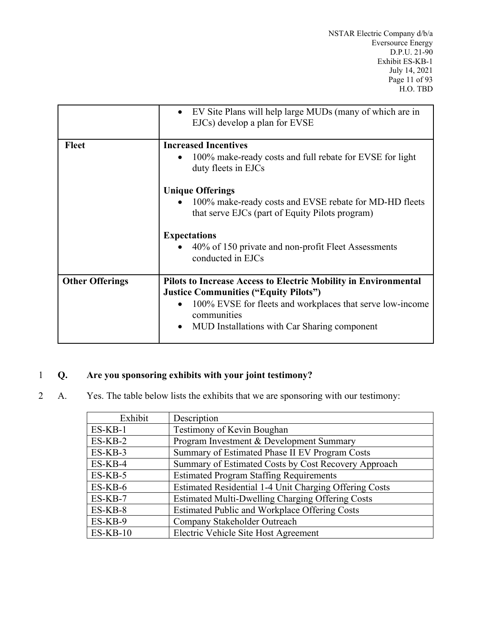|                        | EV Site Plans will help large MUDs (many of which are in<br>$\bullet$<br>EJCs) develop a plan for EVSE    |
|------------------------|-----------------------------------------------------------------------------------------------------------|
| <b>Fleet</b>           | <b>Increased Incentives</b>                                                                               |
|                        | 100% make-ready costs and full rebate for EVSE for light<br>$\bullet$<br>duty fleets in EJCs              |
|                        | <b>Unique Offerings</b>                                                                                   |
|                        | 100% make-ready costs and EVSE rebate for MD-HD fleets<br>that serve EJCs (part of Equity Pilots program) |
|                        | <b>Expectations</b>                                                                                       |
|                        | 40% of 150 private and non-profit Fleet Assessments<br>conducted in EJCs                                  |
| <b>Other Offerings</b> | <b>Pilots to Increase Access to Electric Mobility in Environmental</b>                                    |
|                        | <b>Justice Communities ("Equity Pilots")</b>                                                              |
|                        | 100% EVSE for fleets and workplaces that serve low-income<br>$\bullet$<br>communities                     |
|                        | MUD Installations with Car Sharing component<br>$\bullet$                                                 |

# 1 **Q. Are you sponsoring exhibits with your joint testimony?**

2 A. Yes. The table below lists the exhibits that we are sponsoring with our testimony:

| Exhibit    | Description                                             |
|------------|---------------------------------------------------------|
| $ES-KB-1$  | Testimony of Kevin Boughan                              |
| $ES-KB-2$  | Program Investment & Development Summary                |
| $ES-KB-3$  | Summary of Estimated Phase II EV Program Costs          |
| ES-KB-4    | Summary of Estimated Costs by Cost Recovery Approach    |
| $ES-KB-5$  | <b>Estimated Program Staffing Requirements</b>          |
| $ES-KB-6$  | Estimated Residential 1-4 Unit Charging Offering Costs  |
| $ES-KB-7$  | <b>Estimated Multi-Dwelling Charging Offering Costs</b> |
| $ES-KB-8$  | <b>Estimated Public and Workplace Offering Costs</b>    |
| ES-KB-9    | Company Stakeholder Outreach                            |
| $ES-KB-10$ | Electric Vehicle Site Host Agreement                    |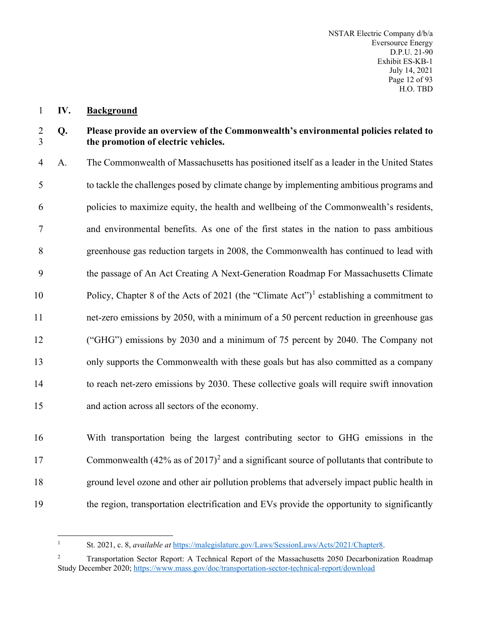#### <span id="page-13-0"></span>**IV. Background**

#### **Q. Please provide an overview of the Commonwealth's environmental policies related to the promotion of electric vehicles.**

 A. The Commonwealth of Massachusetts has positioned itself as a leader in the United States to tackle the challenges posed by climate change by implementing ambitious programs and policies to maximize equity, the health and wellbeing of the Commonwealth's residents, and environmental benefits. As one of the first states in the nation to pass ambitious greenhouse gas reduction targets in 2008, the Commonwealth has continued to lead with the passage of An Act Creating A Next-Generation Roadmap For Massachusetts Climate Policy, Chapter 8 of the Acts of 202[1](#page-13-1) (the "Climate Act")<sup>1</sup> establishing a commitment to net-zero emissions by 2050, with a minimum of a 50 percent reduction in greenhouse gas ("GHG") emissions by 2030 and a minimum of 75 percent by 2040. The Company not only supports the Commonwealth with these goals but has also committed as a company to reach net-zero emissions by 2030. These collective goals will require swift innovation and action across all sectors of the economy.

 With transportation being the largest contributing sector to GHG emissions in the 17 Commonwealth  $(42\%$  $(42\%$  $(42\%$  as of  $2017)^2$  and a significant source of pollutants that contribute to ground level ozone and other air pollution problems that adversely impact public health in the region, transportation electrification and EVs provide the opportunity to significantly

St. 2021, c. 8, *available at* [https://malegislature.gov/Laws/SessionLaws/Acts/2021/Chapter8.](https://malegislature.gov/Laws/SessionLaws/Acts/2021/Chapter8)

<span id="page-13-2"></span><span id="page-13-1"></span> Transportation Sector Report: A Technical Report of the Massachusetts 2050 Decarbonization Roadmap Study December 2020[; https://www.mass.gov/doc/transportation-sector-technical-report/download](https://www.mass.gov/doc/transportation-sector-technical-report/download)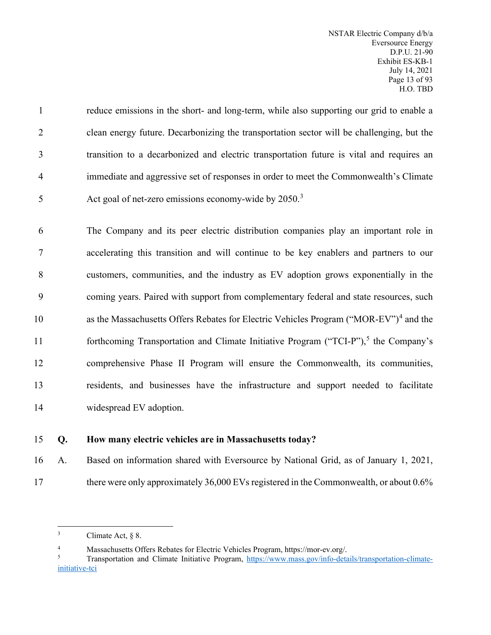reduce emissions in the short- and long-term, while also supporting our grid to enable a clean energy future. Decarbonizing the transportation sector will be challenging, but the transition to a decarbonized and electric transportation future is vital and requires an immediate and aggressive set of responses in order to meet the Commonwealth's Climate 5 Act goal of net-zero emissions economy-wide by 2050.<sup>[3](#page-14-0)</sup>

 The Company and its peer electric distribution companies play an important role in accelerating this transition and will continue to be key enablers and partners to our customers, communities, and the industry as EV adoption grows exponentially in the coming years. Paired with support from complementary federal and state resources, such 10 as the Massachusetts Offers Rebates for Electric Vehicles Program ("MOR-EV")<sup>[4](#page-14-1)</sup> and the 11 forthcoming Transportation and Climate Initiative Program ("TCI-P"),<sup>[5](#page-14-2)</sup> the Company's comprehensive Phase II Program will ensure the Commonwealth, its communities, residents, and businesses have the infrastructure and support needed to facilitate widespread EV adoption.

# 15 **Q. How many electric vehicles are in Massachusetts today?**

16 A. Based on information shared with Eversource by National Grid, as of January 1, 2021,

17 there were only approximately 36,000 EVs registered in the Commonwealth, or about 0.6%

<span id="page-14-0"></span> $3$  Climate Act,  $§ 8$ .

<sup>4</sup> Massachusetts Offers Rebates for Electric Vehicles Program, https://mor-ev.org/.

<span id="page-14-2"></span><span id="page-14-1"></span>Transportation and Climate Initiative Program, [https://www.mass.gov/info-details/transportation-climate](https://www.mass.gov/info-details/transportation-climate-initiative-tci)[initiative-tci](https://www.mass.gov/info-details/transportation-climate-initiative-tci)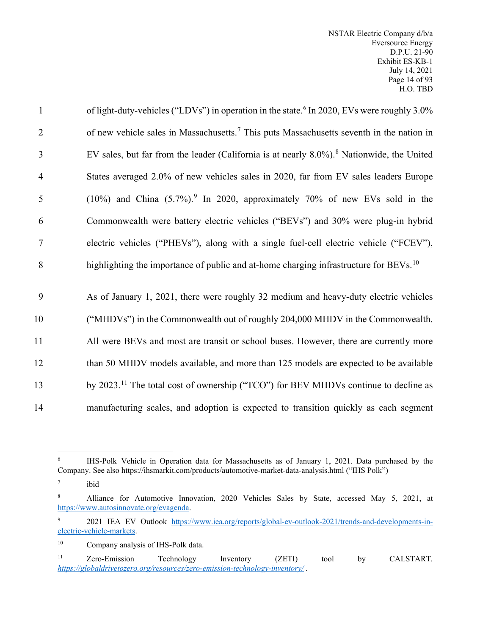| $\mathbf{1}$   | of light-duty-vehicles ("LDVs") in operation in the state. <sup>6</sup> In 2020, EVs were roughly 3.0% |
|----------------|--------------------------------------------------------------------------------------------------------|
| $\overline{2}$ | of new vehicle sales in Massachusetts. <sup>7</sup> This puts Massachusetts seventh in the nation in   |
| 3              | EV sales, but far from the leader (California is at nearly 8.0%). <sup>8</sup> Nationwide, the United  |
| $\overline{4}$ | States averaged 2.0% of new vehicles sales in 2020, far from EV sales leaders Europe                   |
| 5              | (10%) and China $(5.7\%)$ . In 2020, approximately 70% of new EVs sold in the                          |
| 6              | Commonwealth were battery electric vehicles ("BEVs") and 30% were plug-in hybrid                       |
| $\tau$         | electric vehicles ("PHEVs"), along with a single fuel-cell electric vehicle ("FCEV"),                  |
| 8              | highlighting the importance of public and at-home charging infrastructure for BEVs. <sup>10</sup>      |
|                |                                                                                                        |
| 9              | As of January 1, 2021, there were roughly 32 medium and heavy-duty electric vehicles                   |
| 10             | ("MHDVs") in the Commonwealth out of roughly 204,000 MHDV in the Commonwealth.                         |
| 11             | All were BEVs and most are transit or school buses. However, there are currently more                  |
| 12             | than 50 MHDV models available, and more than 125 models are expected to be available                   |
| 13             | by 2023. <sup>11</sup> The total cost of ownership ("TCO") for BEV MHDVs continue to decline as        |
| 14             | manufacturing scales, and adoption is expected to transition quickly as each segment                   |

<span id="page-15-1"></span><sup>7</sup> ibid

<span id="page-15-0"></span><sup>&</sup>lt;sup>6</sup> IHS-Polk Vehicle in Operation data for Massachusetts as of January 1, 2021. Data purchased by the Company. See also https://ihsmarkit.com/products/automotive-market-data-analysis.html ("IHS Polk")

<span id="page-15-2"></span><sup>8</sup> Alliance for Automotive Innovation, 2020 Vehicles Sales by State, accessed May 5, 2021, at [https://www.autosinnovate.org/evagenda.](https://www.autosinnovate.org/evagenda)

<span id="page-15-3"></span><sup>&</sup>lt;sup>9</sup> 2021 IEA EV Outlook [https://www.iea.org/reports/global-ev-outlook-2021/trends-and-developments-in](https://www.iea.org/reports/global-ev-outlook-2021/trends-and-developments-in-electric-vehicle-markets)[electric-vehicle-markets.](https://www.iea.org/reports/global-ev-outlook-2021/trends-and-developments-in-electric-vehicle-markets)

<span id="page-15-4"></span><sup>10</sup> Company analysis of IHS-Polk data.

<span id="page-15-5"></span><sup>11</sup> Zero-Emission Technology Inventory (ZETI) tool by CALSTART*. <https://globaldrivetozero.org/resources/zero-emission-technology-inventory/> .*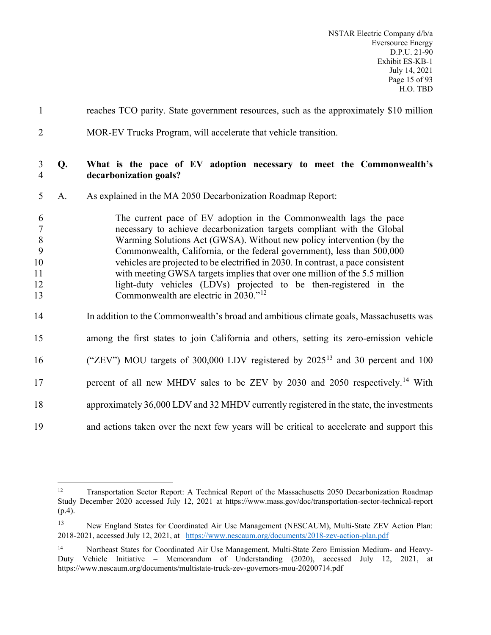| $\mathbf{1}$                                          |    | reaches TCO parity. State government resources, such as the approximately \$10 million                                                                                                                                                                                                                                                                                                                                                                                                                                                                                                      |
|-------------------------------------------------------|----|---------------------------------------------------------------------------------------------------------------------------------------------------------------------------------------------------------------------------------------------------------------------------------------------------------------------------------------------------------------------------------------------------------------------------------------------------------------------------------------------------------------------------------------------------------------------------------------------|
| $\overline{2}$                                        |    | MOR-EV Trucks Program, will accelerate that vehicle transition.                                                                                                                                                                                                                                                                                                                                                                                                                                                                                                                             |
| 3<br>$\overline{4}$                                   | Q. | What is the pace of EV adoption necessary to meet the Commonwealth's<br>decarbonization goals?                                                                                                                                                                                                                                                                                                                                                                                                                                                                                              |
| 5                                                     | A. | As explained in the MA 2050 Decarbonization Roadmap Report:                                                                                                                                                                                                                                                                                                                                                                                                                                                                                                                                 |
| 6<br>$\overline{7}$<br>8<br>9<br>10<br>11<br>12<br>13 |    | The current pace of EV adoption in the Commonwealth lags the pace<br>necessary to achieve decarbonization targets compliant with the Global<br>Warming Solutions Act (GWSA). Without new policy intervention (by the<br>Commonwealth, California, or the federal government), less than 500,000<br>vehicles are projected to be electrified in 2030. In contrast, a pace consistent<br>with meeting GWSA targets implies that over one million of the 5.5 million<br>light-duty vehicles (LDVs) projected to be then-registered in the<br>Commonwealth are electric in 2030." <sup>12</sup> |
| 14                                                    |    | In addition to the Commonwealth's broad and ambitious climate goals, Massachusetts was                                                                                                                                                                                                                                                                                                                                                                                                                                                                                                      |
| 15                                                    |    | among the first states to join California and others, setting its zero-emission vehicle                                                                                                                                                                                                                                                                                                                                                                                                                                                                                                     |
| 16                                                    |    | ("ZEV") MOU targets of 300,000 LDV registered by $2025^{13}$ and 30 percent and 100                                                                                                                                                                                                                                                                                                                                                                                                                                                                                                         |
| 17                                                    |    | percent of all new MHDV sales to be ZEV by 2030 and 2050 respectively. <sup>14</sup> With                                                                                                                                                                                                                                                                                                                                                                                                                                                                                                   |
| 18                                                    |    | approximately 36,000 LDV and 32 MHDV currently registered in the state, the investments                                                                                                                                                                                                                                                                                                                                                                                                                                                                                                     |
| 19                                                    |    | and actions taken over the next few years will be critical to accelerate and support this                                                                                                                                                                                                                                                                                                                                                                                                                                                                                                   |

<span id="page-16-0"></span><sup>&</sup>lt;sup>12</sup> Transportation Sector Report: A Technical Report of the Massachusetts 2050 Decarbonization Roadmap Study December 2020 accessed July 12, 2021 at https://www.mass.gov/doc/transportation-sector-technical-report (p.4).

<span id="page-16-1"></span><sup>13</sup> New England States for Coordinated Air Use Management (NESCAUM), Multi-State ZEV Action Plan: 2018-2021, accessed July 12, 2021, at<https://www.nescaum.org/documents/2018-zev-action-plan.pdf>

<span id="page-16-2"></span><sup>14</sup> Northeast States for Coordinated Air Use Management, Multi-State Zero Emission Medium- and Heavy-Duty Vehicle Initiative – Memorandum of Understanding (2020), accessed July 12, 2021, at https://www.nescaum.org/documents/multistate-truck-zev-governors-mou-20200714.pdf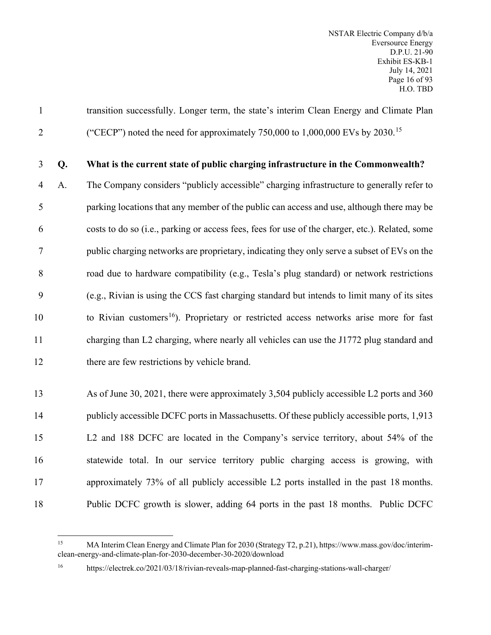transition successfully. Longer term, the state's interim Clean Energy and Climate Plan <sup>2</sup> ("CECP") noted the need for approximately 750,000 to 1,000,000 EVs by 2030.<sup>[15](#page-17-0)</sup>

#### **Q. What is the current state of public charging infrastructure in the Commonwealth?**

 A. The Company considers "publicly accessible" charging infrastructure to generally refer to parking locations that any member of the public can access and use, although there may be costs to do so (i.e., parking or access fees, fees for use of the charger, etc.). Related, some public charging networks are proprietary, indicating they only serve a subset of EVs on the road due to hardware compatibility (e.g., Tesla's plug standard) or network restrictions (e.g., Rivian is using the CCS fast charging standard but intends to limit many of its sites to Rivian customers<sup>[16](#page-17-1)</sup>). Proprietary or restricted access networks arise more for fast charging than L2 charging, where nearly all vehicles can use the J1772 plug standard and there are few restrictions by vehicle brand.

 As of June 30, 2021, there were approximately 3,504 publicly accessible L2 ports and 360 14 publicly accessible DCFC ports in Massachusetts. Of these publicly accessible ports, 1,913 L2 and 188 DCFC are located in the Company's service territory, about 54% of the statewide total. In our service territory public charging access is growing, with approximately 73% of all publicly accessible L2 ports installed in the past 18 months. Public DCFC growth is slower, adding 64 ports in the past 18 months. Public DCFC

<span id="page-17-0"></span> MA Interim Clean Energy and Climate Plan for 2030 (Strategy T2, p.21), https://www.mass.gov/doc/interimclean-energy-and-climate-plan-for-2030-december-30-2020/download

<span id="page-17-1"></span>

https://electrek.co/2021/03/18/rivian-reveals-map-planned-fast-charging-stations-wall-charger/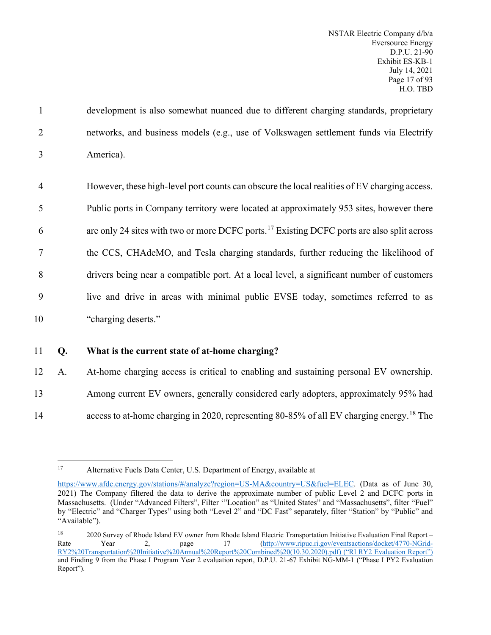1 development is also somewhat nuanced due to different charging standards, proprietary 2 networks, and business models (e.g., use of Volkswagen settlement funds via Electrify 3 America).

 However, these high-level port counts can obscure the local realities of EV charging access. Public ports in Company territory were located at approximately 953 sites, however there 6 are only 24 sites with two or more DCFC ports.<sup>[17](#page-18-0)</sup> Existing DCFC ports are also split across the CCS, CHAdeMO, and Tesla charging standards, further reducing the likelihood of drivers being near a compatible port. At a local level, a significant number of customers live and drive in areas with minimal public EVSE today, sometimes referred to as "charging deserts."

#### 11 **Q. What is the current state of at-home charging?**

12 A. At-home charging access is critical to enabling and sustaining personal EV ownership. 13 Among current EV owners, generally considered early adopters, approximately 95% had 14 access to at-home charging in 2020, representing 80-85% of all EV charging energy.<sup>[18](#page-18-1)</sup> The

<span id="page-18-0"></span>

<sup>17</sup> Alternative Fuels Data Center, U.S. Department of Energy, available at

[https://www.afdc.energy.gov/stations/#/analyze?region=US-MA&country=US&fuel=ELEC.](https://www.afdc.energy.gov/stations/#/analyze?region=US-MA&country=US&fuel=ELEC) (Data as of June 30, 2021) The Company filtered the data to derive the approximate number of public Level 2 and DCFC ports in Massachusetts. (Under "Advanced Filters", Filter '"Location" as "United States" and "Massachusetts", filter "Fuel" by "Electric" and "Charger Types" using both "Level 2" and "DC Fast" separately, filter "Station" by "Public" and "Available").

<span id="page-18-1"></span> $18$  2020 Survey of Rhode Island EV owner from Rhode Island Electric Transportation Initiative Evaluation Final Report – Rate Year 2, page 17 [\(http://www.ripuc.ri.gov/eventsactions/docket/4770-NGrid-](https://urldefense.com/v3/__http:/www.ripuc.ri.gov/eventsactions/docket/4770-NGrid-RY2*20Transportation*20Initiative*20Annual*20Report*20Combined*20(10.30.2020).pdf__;JSUlJSUl!!B3hxM_NYsQ!mX_ok_RAj0q-gX50qpmYK-hjQbwTjpl-opsSIQy4eVpg34zR7dzAatdvWYv5cc3chwHi45c$)[RY2%20Transportation%20Initiative%20Annual%20Report%20Combined%20\(10.30.2020\).pdf\) \(](https://urldefense.com/v3/__http:/www.ripuc.ri.gov/eventsactions/docket/4770-NGrid-RY2*20Transportation*20Initiative*20Annual*20Report*20Combined*20(10.30.2020).pdf__;JSUlJSUl!!B3hxM_NYsQ!mX_ok_RAj0q-gX50qpmYK-hjQbwTjpl-opsSIQy4eVpg34zR7dzAatdvWYv5cc3chwHi45c$)"RI RY2 Evaluation Report") and Finding 9 from the Phase I Program Year 2 evaluation report, D.P.U. 21-67 Exhibit NG-MM-1 ("Phase I PY2 Evaluation Report").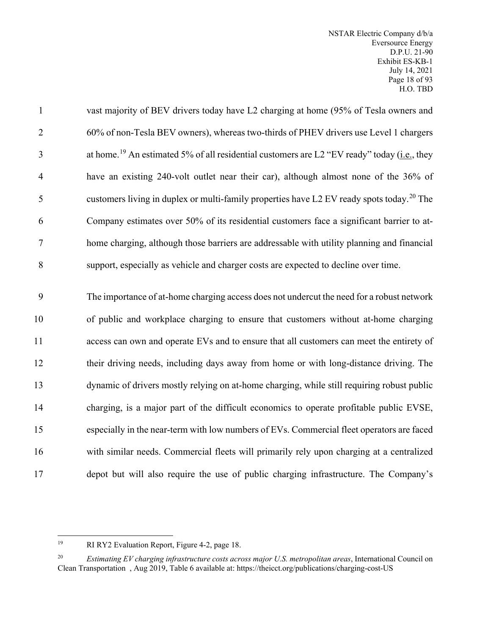NSTAR Electric Company d/b/a Eversource Energy D.P.U. 21-90 Exhibit ES-KB-1 July 14, 2021 Page 18 of 93 H.O. TBD

 vast majority of BEV drivers today have L2 charging at home (95% of Tesla owners and 60% of non-Tesla BEV owners), whereas two-thirds of PHEV drivers use Level 1 chargers 3 at home.<sup>[19](#page-19-0)</sup> An estimated 5% of all residential customers are L2 "EV ready" today (i.e., they have an existing 240-volt outlet near their car), although almost none of the 36% of 5 customers living in duplex or multi-family properties have L2 EV ready spots today.<sup>[20](#page-19-1)</sup> The Company estimates over 50% of its residential customers face a significant barrier to at- home charging, although those barriers are addressable with utility planning and financial support, especially as vehicle and charger costs are expected to decline over time. The importance of at-home charging access does not undercut the need for a robust network of public and workplace charging to ensure that customers without at-home charging access can own and operate EVs and to ensure that all customers can meet the entirety of their driving needs, including days away from home or with long-distance driving. The dynamic of drivers mostly relying on at-home charging, while still requiring robust public

 charging, is a major part of the difficult economics to operate profitable public EVSE, especially in the near-term with low numbers of EVs. Commercial fleet operators are faced with similar needs. Commercial fleets will primarily rely upon charging at a centralized depot but will also require the use of public charging infrastructure. The Company's

RI RY2 Evaluation Report, Figure 4-2, page 18.

<span id="page-19-1"></span><span id="page-19-0"></span> *Estimating EV charging infrastructure costs across major U.S. metropolitan areas*, International Council on Clean Transportation , Aug 2019, Table 6 available at: https://theicct.org/publications/charging-cost-US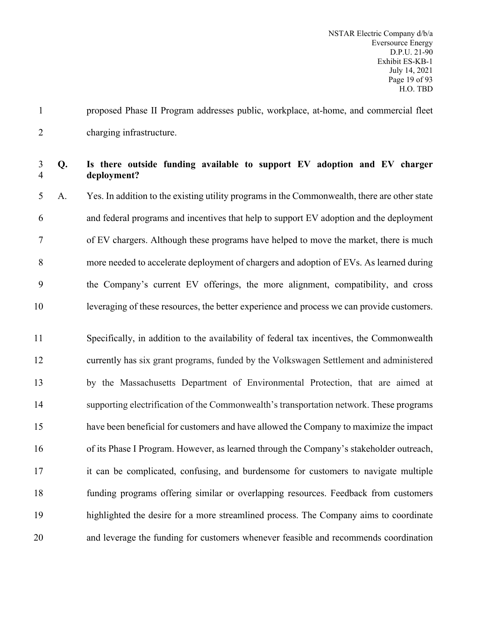proposed Phase II Program addresses public, workplace, at-home, and commercial fleet charging infrastructure.

#### **Q. Is there outside funding available to support EV adoption and EV charger deployment?**

 A. Yes. In addition to the existing utility programs in the Commonwealth, there are other state and federal programs and incentives that help to support EV adoption and the deployment of EV chargers. Although these programs have helped to move the market, there is much more needed to accelerate deployment of chargers and adoption of EVs. As learned during the Company's current EV offerings, the more alignment, compatibility, and cross leveraging of these resources, the better experience and process we can provide customers.

 Specifically, in addition to the availability of federal tax incentives, the Commonwealth currently has six grant programs, funded by the Volkswagen Settlement and administered by the Massachusetts Department of Environmental Protection, that are aimed at supporting electrification of the Commonwealth's transportation network. These programs have been beneficial for customers and have allowed the Company to maximize the impact of its Phase I Program. However, as learned through the Company's stakeholder outreach, it can be complicated, confusing, and burdensome for customers to navigate multiple funding programs offering similar or overlapping resources. Feedback from customers highlighted the desire for a more streamlined process. The Company aims to coordinate and leverage the funding for customers whenever feasible and recommends coordination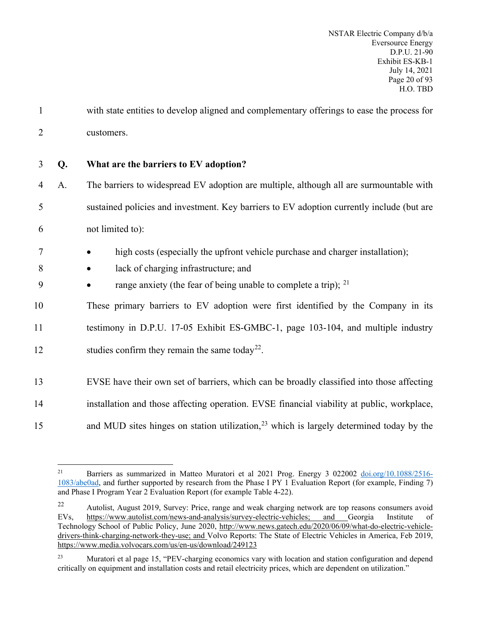- 1 with state entities to develop aligned and complementary offerings to ease the process for 2 customers.
- 3 **Q. What are the barriers to EV adoption?**
- 4 A. The barriers to widespread EV adoption are multiple, although all are surmountable with 5 sustained policies and investment. Key barriers to EV adoption currently include (but are 6 not limited to):
- 7 high costs (especially the upfront vehicle purchase and charger installation);
- 8 lack of charging infrastructure; and
- 9 range anxiety (the fear of being unable to complete a trip);  $2^{1}$

10 These primary barriers to EV adoption were first identified by the Company in its

11 testimony in D.P.U. 17-05 Exhibit ES-GMBC-1, page 103-104, and multiple industry

- 12 studies confirm they remain the same today<sup>[22](#page-21-1)</sup>.
- 13 EVSE have their own set of barriers, which can be broadly classified into those affecting
- 14 installation and those affecting operation. EVSE financial viability at public, workplace,
- 15 and MUD sites hinges on station utilization,  $2<sup>3</sup>$  which is largely determined today by the

<span id="page-21-0"></span><sup>&</sup>lt;sup>21</sup> Barriers as summarized in Matteo Muratori et al 2021 Prog. Energy 3 022002 [doi.org/10.1088/2516-](https://doi.org/10.1088/2516-1083/abe0ad) [1083/abe0ad,](https://doi.org/10.1088/2516-1083/abe0ad) and further supported by research from the Phase I PY 1 Evaluation Report (for example, Finding 7) and Phase I Program Year 2 Evaluation Report (for example Table 4-22).

<span id="page-21-1"></span><sup>22</sup> Autolist, August 2019, Survey: Price, range and weak charging network are top reasons consumers avoid EVs, [https://www.autolist.com/news-and-analysis/survey-electric-vehicles;](https://www.autolist.com/news-and-analysis/survey-electric-vehicles) and Georgia Institute of Technology School of Public Policy, June 2020, [http://www.news.gatech.edu/2020/06/09/what-do-electric-vehicle](http://www.news.gatech.edu/2020/06/09/what-do-electric-vehicle-drivers-think-charging-network-they-use)[drivers-think-charging-network-they-use;](http://www.news.gatech.edu/2020/06/09/what-do-electric-vehicle-drivers-think-charging-network-they-use) and Volvo Reports: The State of Electric Vehicles in America, Feb 2019, <https://www.media.volvocars.com/us/en-us/download/249123>

<span id="page-21-2"></span><sup>&</sup>lt;sup>23</sup> Muratori et al page 15, "PEV-charging economics vary with location and station configuration and depend critically on equipment and installation costs and retail electricity prices, which are dependent on utilization."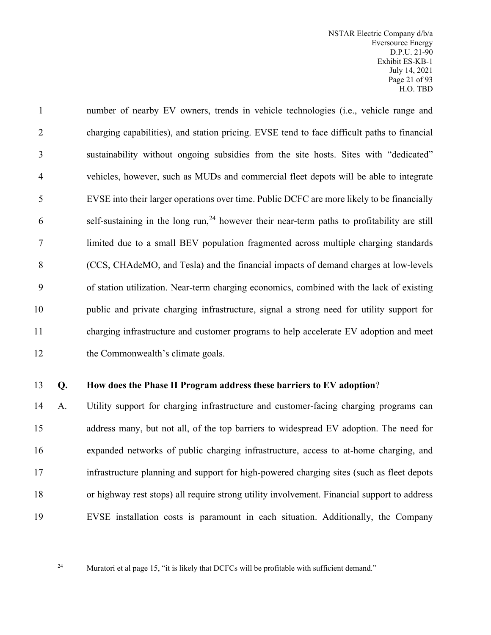NSTAR Electric Company d/b/a Eversource Energy D.P.U. 21-90 Exhibit ES-KB-1 July 14, 2021 Page 21 of 93 H.O. TBD

 number of nearby EV owners, trends in vehicle technologies (i.e., vehicle range and charging capabilities), and station pricing. EVSE tend to face difficult paths to financial sustainability without ongoing subsidies from the site hosts. Sites with "dedicated" vehicles, however, such as MUDs and commercial fleet depots will be able to integrate EVSE into their larger operations over time. Public DCFC are more likely to be financially 6 self-sustaining in the long  $run<sub>24</sub>$  $run<sub>24</sub>$  $run<sub>24</sub>$  however their near-term paths to profitability are still limited due to a small BEV population fragmented across multiple charging standards (CCS, CHAdeMO, and Tesla) and the financial impacts of demand charges at low-levels of station utilization. Near-term charging economics, combined with the lack of existing public and private charging infrastructure, signal a strong need for utility support for charging infrastructure and customer programs to help accelerate EV adoption and meet 12 the Commonwealth's climate goals.

#### **Q. How does the Phase II Program address these barriers to EV adoption**?

 A. Utility support for charging infrastructure and customer-facing charging programs can address many, but not all, of the top barriers to widespread EV adoption. The need for expanded networks of public charging infrastructure, access to at-home charging, and infrastructure planning and support for high-powered charging sites (such as fleet depots or highway rest stops) all require strong utility involvement. Financial support to address EVSE installation costs is paramount in each situation. Additionally, the Company

<span id="page-22-0"></span>

<sup>&</sup>lt;sup>24</sup> Muratori et al page 15, "it is likely that DCFCs will be profitable with sufficient demand."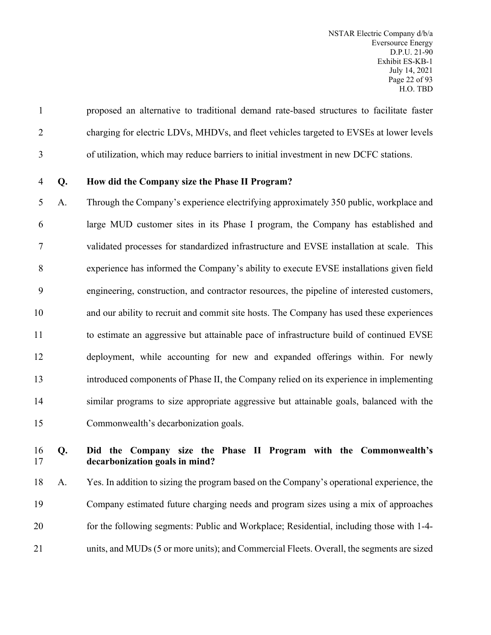proposed an alternative to traditional demand rate-based structures to facilitate faster charging for electric LDVs, MHDVs, and fleet vehicles targeted to EVSEs at lower levels of utilization, which may reduce barriers to initial investment in new DCFC stations.

# **Q. How did the Company size the Phase II Program?**

 A. Through the Company's experience electrifying approximately 350 public, workplace and large MUD customer sites in its Phase I program, the Company has established and validated processes for standardized infrastructure and EVSE installation at scale. This experience has informed the Company's ability to execute EVSE installations given field engineering, construction, and contractor resources, the pipeline of interested customers, and our ability to recruit and commit site hosts. The Company has used these experiences 11 to estimate an aggressive but attainable pace of infrastructure build of continued EVSE deployment, while accounting for new and expanded offerings within. For newly introduced components of Phase II, the Company relied on its experience in implementing similar programs to size appropriate aggressive but attainable goals, balanced with the Commonwealth's decarbonization goals.

#### **Q. Did the Company size the Phase II Program with the Commonwealth's decarbonization goals in mind?**

 A. Yes. In addition to sizing the program based on the Company's operational experience, the Company estimated future charging needs and program sizes using a mix of approaches for the following segments: Public and Workplace; Residential, including those with 1-4- units, and MUDs (5 or more units); and Commercial Fleets. Overall, the segments are sized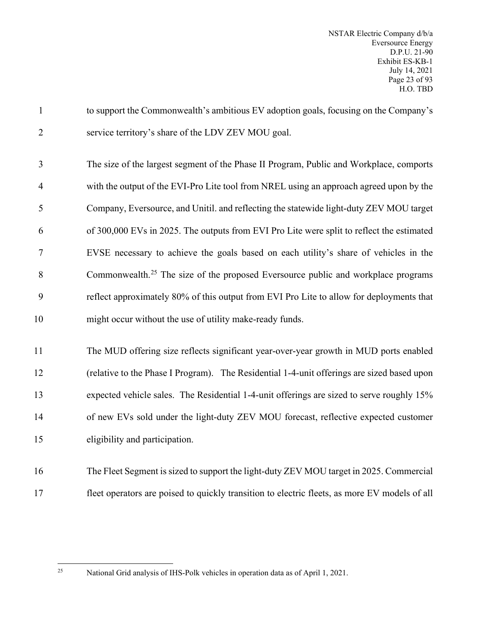| $\mathbf{1}$   | to support the Commonwealth's ambitious EV adoption goals, focusing on the Company's          |
|----------------|-----------------------------------------------------------------------------------------------|
| $\overline{2}$ | service territory's share of the LDV ZEV MOU goal.                                            |
| 3              | The size of the largest segment of the Phase II Program, Public and Workplace, comports       |
| 4              | with the output of the EVI-Pro Lite tool from NREL using an approach agreed upon by the       |
| 5              | Company, Eversource, and Unitil. and reflecting the statewide light-duty ZEV MOU target       |
| 6              | of 300,000 EVs in 2025. The outputs from EVI Pro Lite were split to reflect the estimated     |
| 7              | EVSE necessary to achieve the goals based on each utility's share of vehicles in the          |
| 8              | Commonwealth. <sup>25</sup> The size of the proposed Eversource public and workplace programs |
| 9              | reflect approximately 80% of this output from EVI Pro Lite to allow for deployments that      |
| 10             | might occur without the use of utility make-ready funds.                                      |
| 11             | The MUD offering size reflects significant year-over-year growth in MUD ports enabled         |
| 12             | (relative to the Phase I Program). The Residential 1-4-unit offerings are sized based upon    |
| 13             | expected vehicle sales. The Residential 1-4-unit offerings are sized to serve roughly 15%     |
| 14             | of new EVs sold under the light-duty ZEV MOU forecast, reflective expected customer           |
| 15             | eligibility and participation.                                                                |
| 16             | The Fleet Segment is sized to support the light-duty ZEV MOU target in 2025. Commercial       |
| 17             | fleet operators are poised to quickly transition to electric fleets, as more EV models of all |

<span id="page-24-0"></span>

National Grid analysis of IHS-Polk vehicles in operation data as of April 1, 2021.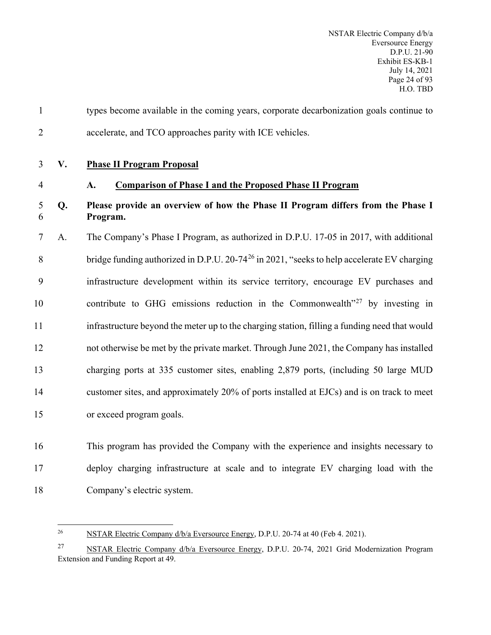<span id="page-25-1"></span><span id="page-25-0"></span>

| $\mathbf{1}$   |    | types become available in the coming years, corporate decarbonization goals continue to                |
|----------------|----|--------------------------------------------------------------------------------------------------------|
| $\overline{2}$ |    | accelerate, and TCO approaches parity with ICE vehicles.                                               |
| 3              | V. | <b>Phase II Program Proposal</b>                                                                       |
| $\overline{4}$ |    | <b>Comparison of Phase I and the Proposed Phase II Program</b><br>A.                                   |
| 5<br>6         | Q. | Please provide an overview of how the Phase II Program differs from the Phase I<br>Program.            |
| 7              | A. | The Company's Phase I Program, as authorized in D.P.U. 17-05 in 2017, with additional                  |
| 8              |    | bridge funding authorized in D.P.U. 20-74 <sup>26</sup> in 2021, "seeks to help accelerate EV charging |
| 9              |    | infrastructure development within its service territory, encourage EV purchases and                    |
| 10             |    | contribute to GHG emissions reduction in the Commonwealth $v^{27}$ by investing in                     |
| 11             |    | infrastructure beyond the meter up to the charging station, filling a funding need that would          |
| 12             |    | not otherwise be met by the private market. Through June 2021, the Company has installed               |
| 13             |    | charging ports at 335 customer sites, enabling 2,879 ports, (including 50 large MUD                    |
| 14             |    | customer sites, and approximately 20% of ports installed at EJCs) and is on track to meet              |
| 15             |    | or exceed program goals.                                                                               |
| 16             |    | This program has provided the Company with the experience and insights necessary to                    |

<span id="page-25-2"></span>Company's electric system.

deploy charging infrastructure at scale and to integrate EV charging load with the

<sup>&</sup>lt;sup>26</sup> NSTAR Electric Company d/b/a Eversource Energy, D.P.U. 20-74 at 40 (Feb 4. 2021).

<span id="page-25-3"></span><sup>&</sup>lt;sup>27</sup> NSTAR Electric Company d/b/a Eversource Energy, D.P.U. 20-74, 2021 Grid Modernization Program Extension and Funding Report at 49.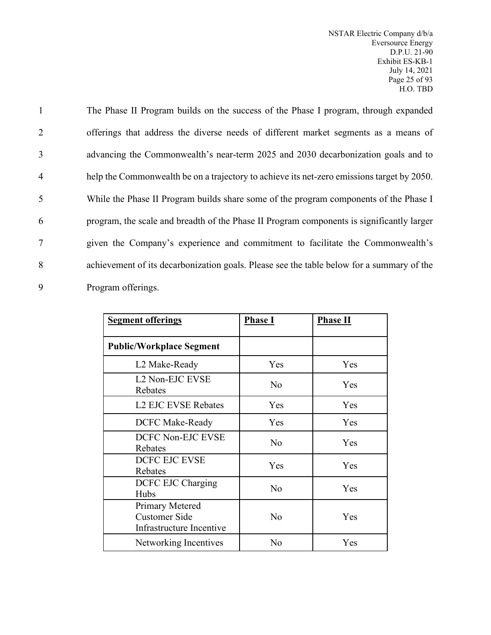NSTAR Electric Company d/b/a Eversource Energy D.P.U. 21-90 Exhibit ES-KB-1 July 14, 2021 Page 25 of 93 H.O. TBD

 The Phase II Program builds on the success of the Phase I program, through expanded offerings that address the diverse needs of different market segments as a means of advancing the Commonwealth's near-term 2025 and 2030 decarbonization goals and to help the Commonwealth be on a trajectory to achieve its net-zero emissions target by 2050. While the Phase II Program builds share some of the program components of the Phase I program, the scale and breadth of the Phase II Program components is significantly larger given the Company's experience and commitment to facilitate the Commonwealth's achievement of its decarbonization goals. Please see the table below for a summary of the Program offerings.

| <b>Segment offerings</b>                                                   | <b>Phase I</b> | <b>Phase II</b> |
|----------------------------------------------------------------------------|----------------|-----------------|
| <b>Public/Workplace Segment</b>                                            |                |                 |
| L2 Make-Ready                                                              | Yes            | Yes             |
| L2 Non-EJC EVSE<br>Rebates                                                 | N <sub>o</sub> | Yes             |
| <b>L2 EJC EVSE Rebates</b>                                                 | Yes            | Yes             |
| <b>DCFC Make-Ready</b>                                                     | Yes            | <b>Yes</b>      |
| <b>DCFC Non-EJC EVSE</b><br>Rebates                                        | N <sub>o</sub> | Yes             |
| <b>DCFC EJC EVSE</b><br>Rebates                                            | Yes            | Yes             |
| DCFC EJC Charging<br>Hubs                                                  | No             | Yes             |
| <b>Primary Metered</b><br><b>Customer Side</b><br>Infrastructure Incentive | No             | Yes             |
| Networking Incentives                                                      | No             | Yes             |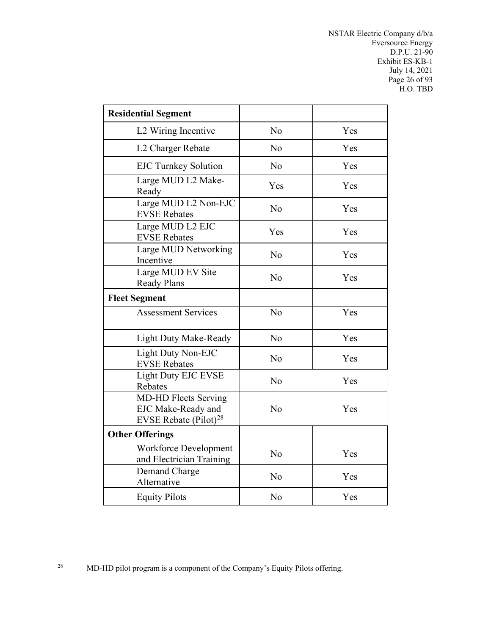NSTAR Electric Company d/b/a Eversource Energy D.P.U. 21-90 Exhibit ES-KB-1 July 14, 2021 Page 26 of 93 H.O. TBD

| <b>Residential Segment</b>                                                     |                |     |
|--------------------------------------------------------------------------------|----------------|-----|
| L2 Wiring Incentive                                                            | No             | Yes |
| L2 Charger Rebate                                                              | N <sub>o</sub> | Yes |
| <b>EJC Turnkey Solution</b>                                                    | N <sub>o</sub> | Yes |
| Large MUD L2 Make-<br>Ready                                                    | Yes            | Yes |
| Large MUD L2 Non-EJC<br><b>EVSE Rebates</b>                                    | No             | Yes |
| Large MUD L2 EJC<br><b>EVSE Rebates</b>                                        | Yes            | Yes |
| Large MUD Networking<br>Incentive                                              | No             | Yes |
| Large MUD EV Site<br><b>Ready Plans</b>                                        | N <sub>o</sub> | Yes |
| <b>Fleet Segment</b>                                                           |                |     |
| <b>Assessment Services</b>                                                     | N <sub>o</sub> | Yes |
| <b>Light Duty Make-Ready</b>                                                   | N <sub>o</sub> | Yes |
| Light Duty Non-EJC<br><b>EVSE Rebates</b>                                      | No             | Yes |
| <b>Light Duty EJC EVSE</b><br>Rebates                                          | No             | Yes |
| <b>MD-HD Fleets Serving</b><br>EJC Make-Ready and<br>EVSE Rebate $(Piot)^{28}$ | N <sub>o</sub> | Yes |
| <b>Other Offerings</b>                                                         |                |     |
| Workforce Development<br>and Electrician Training                              | N <sub>o</sub> | Yes |
| Demand Charge<br>Alternative                                                   | N <sub>o</sub> | Yes |
| <b>Equity Pilots</b>                                                           | No             | Yes |

<span id="page-27-0"></span><sup>28</sup> MD-HD pilot program is a component of the Company's Equity Pilots offering.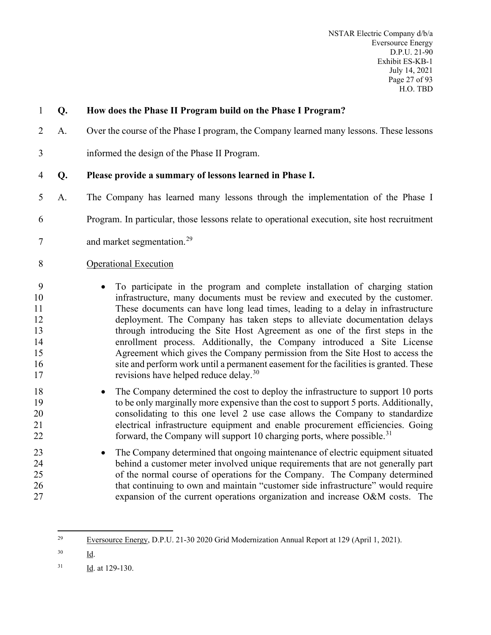NSTAR Electric Company d/b/a Eversource Energy D.P.U. 21-90 Exhibit ES-KB-1 July 14, 2021 Page 27 of 93 H.O. TBD

| Q. | How does the Phase II Program build on the Phase I Program?                                                                                                                                                                                                                                                                                                                                                                                                                                                                                                                                                                                                                                                         |
|----|---------------------------------------------------------------------------------------------------------------------------------------------------------------------------------------------------------------------------------------------------------------------------------------------------------------------------------------------------------------------------------------------------------------------------------------------------------------------------------------------------------------------------------------------------------------------------------------------------------------------------------------------------------------------------------------------------------------------|
| A. | Over the course of the Phase I program, the Company learned many lessons. These lessons                                                                                                                                                                                                                                                                                                                                                                                                                                                                                                                                                                                                                             |
|    | informed the design of the Phase II Program.                                                                                                                                                                                                                                                                                                                                                                                                                                                                                                                                                                                                                                                                        |
| Q. | Please provide a summary of lessons learned in Phase I.                                                                                                                                                                                                                                                                                                                                                                                                                                                                                                                                                                                                                                                             |
| A. | The Company has learned many lessons through the implementation of the Phase I                                                                                                                                                                                                                                                                                                                                                                                                                                                                                                                                                                                                                                      |
|    | Program. In particular, those lessons relate to operational execution, site host recruitment                                                                                                                                                                                                                                                                                                                                                                                                                                                                                                                                                                                                                        |
|    | and market segmentation. <sup>29</sup>                                                                                                                                                                                                                                                                                                                                                                                                                                                                                                                                                                                                                                                                              |
|    | <b>Operational Execution</b>                                                                                                                                                                                                                                                                                                                                                                                                                                                                                                                                                                                                                                                                                        |
|    | To participate in the program and complete installation of charging station<br>infrastructure, many documents must be review and executed by the customer.<br>These documents can have long lead times, leading to a delay in infrastructure<br>deployment. The Company has taken steps to alleviate documentation delays<br>through introducing the Site Host Agreement as one of the first steps in the<br>enrollment process. Additionally, the Company introduced a Site License<br>Agreement which gives the Company permission from the Site Host to access the<br>site and perform work until a permanent easement for the facilities is granted. These<br>revisions have helped reduce delay. <sup>30</sup> |
|    | The Company determined the cost to deploy the infrastructure to support 10 ports<br>to be only marginally more expensive than the cost to support 5 ports. Additionally,<br>consolidating to this one level 2 use case allows the Company to standardize<br>electrical infrastructure equipment and enable procurement efficiencies. Going<br>forward, the Company will support 10 charging ports, where possible. <sup>31</sup>                                                                                                                                                                                                                                                                                    |
|    | The Company determined that ongoing maintenance of electric equipment situated<br>behind a customer meter involved unique requirements that are not generally part<br>of the normal course of operations for the Company. The Company determined<br>that continuing to own and maintain "customer side infrastructure" would require<br>expansion of the current operations organization and increase O&M costs. The                                                                                                                                                                                                                                                                                                |
|    |                                                                                                                                                                                                                                                                                                                                                                                                                                                                                                                                                                                                                                                                                                                     |

- <span id="page-28-1"></span> $30$  Id.
- <span id="page-28-2"></span> $\frac{Id}{1}$ . at 129-130.

<span id="page-28-0"></span><sup>&</sup>lt;sup>29</sup> Eversource Energy, D.P.U. 21-30 2020 Grid Modernization Annual Report at 129 (April 1, 2021).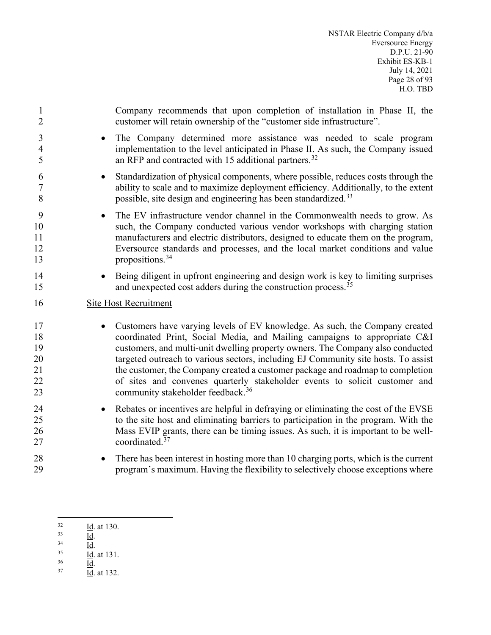| $\mathbf{1}$                           | Company recommends that upon completion of installation in Phase II, the                                                                                                                                                                                                                                                                                                                                                                                                                                                                                       |
|----------------------------------------|----------------------------------------------------------------------------------------------------------------------------------------------------------------------------------------------------------------------------------------------------------------------------------------------------------------------------------------------------------------------------------------------------------------------------------------------------------------------------------------------------------------------------------------------------------------|
| $\overline{2}$                         | customer will retain ownership of the "customer side infrastructure".                                                                                                                                                                                                                                                                                                                                                                                                                                                                                          |
| 3                                      | The Company determined more assistance was needed to scale program                                                                                                                                                                                                                                                                                                                                                                                                                                                                                             |
| $\overline{4}$                         | implementation to the level anticipated in Phase II. As such, the Company issued                                                                                                                                                                                                                                                                                                                                                                                                                                                                               |
| 5                                      | an RFP and contracted with 15 additional partners. <sup>32</sup>                                                                                                                                                                                                                                                                                                                                                                                                                                                                                               |
| 6                                      | Standardization of physical components, where possible, reduces costs through the                                                                                                                                                                                                                                                                                                                                                                                                                                                                              |
| 7                                      | ability to scale and to maximize deployment efficiency. Additionally, to the extent                                                                                                                                                                                                                                                                                                                                                                                                                                                                            |
| 8                                      | possible, site design and engineering has been standardized. <sup>33</sup>                                                                                                                                                                                                                                                                                                                                                                                                                                                                                     |
| 9                                      | The EV infrastructure vendor channel in the Commonwealth needs to grow. As                                                                                                                                                                                                                                                                                                                                                                                                                                                                                     |
| 10                                     | such, the Company conducted various vendor workshops with charging station                                                                                                                                                                                                                                                                                                                                                                                                                                                                                     |
| 11                                     | manufacturers and electric distributors, designed to educate them on the program,                                                                                                                                                                                                                                                                                                                                                                                                                                                                              |
| 12                                     | Eversource standards and processes, and the local market conditions and value                                                                                                                                                                                                                                                                                                                                                                                                                                                                                  |
| 13                                     | propositions. <sup>34</sup>                                                                                                                                                                                                                                                                                                                                                                                                                                                                                                                                    |
| 14                                     | Being diligent in upfront engineering and design work is key to limiting surprises                                                                                                                                                                                                                                                                                                                                                                                                                                                                             |
| 15                                     | and unexpected cost adders during the construction process. <sup>35</sup>                                                                                                                                                                                                                                                                                                                                                                                                                                                                                      |
| 16                                     | Site Host Recruitment                                                                                                                                                                                                                                                                                                                                                                                                                                                                                                                                          |
| 17<br>18<br>19<br>20<br>21<br>22<br>23 | Customers have varying levels of EV knowledge. As such, the Company created<br>$\bullet$<br>coordinated Print, Social Media, and Mailing campaigns to appropriate C&I<br>customers, and multi-unit dwelling property owners. The Company also conducted<br>targeted outreach to various sectors, including EJ Community site hosts. To assist<br>the customer, the Company created a customer package and roadmap to completion<br>of sites and convenes quarterly stakeholder events to solicit customer and<br>community stakeholder feedback. <sup>36</sup> |
| 24                                     | Rebates or incentives are helpful in defraying or eliminating the cost of the EVSE                                                                                                                                                                                                                                                                                                                                                                                                                                                                             |
| 25                                     | to the site host and eliminating barriers to participation in the program. With the                                                                                                                                                                                                                                                                                                                                                                                                                                                                            |
| 26                                     | Mass EVIP grants, there can be timing issues. As such, it is important to be well-                                                                                                                                                                                                                                                                                                                                                                                                                                                                             |
| 27                                     | coordinated. $37$                                                                                                                                                                                                                                                                                                                                                                                                                                                                                                                                              |
| 28                                     | There has been interest in hosting more than 10 charging ports, which is the current                                                                                                                                                                                                                                                                                                                                                                                                                                                                           |
| 29                                     | program's maximum. Having the flexibility to selectively choose exceptions where                                                                                                                                                                                                                                                                                                                                                                                                                                                                               |

- <span id="page-29-4"></span><span id="page-29-3"></span><span id="page-29-2"></span> $\frac{Id}{1}$ . at 131.
- $^{36}$  Id.
- <span id="page-29-5"></span> $\frac{Id}{1}$ . at 132.

<span id="page-29-1"></span><span id="page-29-0"></span> $\frac{Id}{1}$ . at 130.

 $\frac{33}{10}$ .

 $\frac{34}{\underline{d}}$ .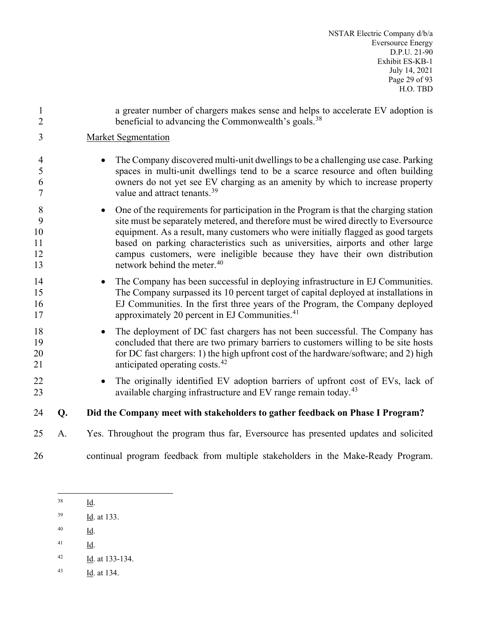NSTAR Electric Company d/b/a Eversource Energy D.P.U. 21-90 Exhibit ES-KB-1 July 14, 2021 Page 29 of 93 H.O. TBD

| $\mathbf{1}$<br>$\overline{2}$ |    | a greater number of chargers makes sense and helps to accelerate EV adoption is<br>beneficial to advancing the Commonwealth's goals. <sup>38</sup>                                                                                                                                                                                                                                                                                                                            |
|--------------------------------|----|-------------------------------------------------------------------------------------------------------------------------------------------------------------------------------------------------------------------------------------------------------------------------------------------------------------------------------------------------------------------------------------------------------------------------------------------------------------------------------|
| 3                              |    | <b>Market Segmentation</b>                                                                                                                                                                                                                                                                                                                                                                                                                                                    |
| $\overline{4}$<br>5<br>6<br>7  |    | The Company discovered multi-unit dwellings to be a challenging use case. Parking<br>spaces in multi-unit dwellings tend to be a scarce resource and often building<br>owners do not yet see EV charging as an amenity by which to increase property<br>value and attract tenants. <sup>39</sup>                                                                                                                                                                              |
| 8<br>9<br>10<br>11<br>12<br>13 |    | One of the requirements for participation in the Program is that the charging station<br>site must be separately metered, and therefore must be wired directly to Eversource<br>equipment. As a result, many customers who were initially flagged as good targets<br>based on parking characteristics such as universities, airports and other large<br>campus customers, were ineligible because they have their own distribution<br>network behind the meter. <sup>40</sup> |
| 14<br>15<br>16<br>17           |    | The Company has been successful in deploying infrastructure in EJ Communities.<br>The Company surpassed its 10 percent target of capital deployed at installations in<br>EJ Communities. In the first three years of the Program, the Company deployed<br>approximately 20 percent in EJ Communities. <sup>41</sup>                                                                                                                                                           |
| 18<br>19<br>20<br>21           |    | The deployment of DC fast chargers has not been successful. The Company has<br>concluded that there are two primary barriers to customers willing to be site hosts<br>for DC fast chargers: 1) the high upfront cost of the hardware/software; and 2) high<br>anticipated operating costs. <sup>42</sup>                                                                                                                                                                      |
| 22<br>23                       |    | The originally identified EV adoption barriers of upfront cost of EVs, lack of<br>available charging infrastructure and EV range remain today. <sup>43</sup>                                                                                                                                                                                                                                                                                                                  |
| 24                             | Q. | Did the Company meet with stakeholders to gather feedback on Phase I Program?                                                                                                                                                                                                                                                                                                                                                                                                 |
| 25                             | A. | Yes. Throughout the program thus far, Eversource has presented updates and solicited                                                                                                                                                                                                                                                                                                                                                                                          |
| 26                             |    | continual program feedback from multiple stakeholders in the Make-Ready Program.                                                                                                                                                                                                                                                                                                                                                                                              |

<span id="page-30-0"></span>Id.

- <span id="page-30-2"></span> $\frac{1}{d}$ .
- <span id="page-30-3"></span> $\frac{41}{\underline{Id}}$ .
- <span id="page-30-4"></span> $\frac{Id}{1}$ . at 133-134.
- <span id="page-30-5"></span> $\frac{Id}{10}$ . at 134.

<span id="page-30-1"></span> $\frac{Id}{10}$ . at 133.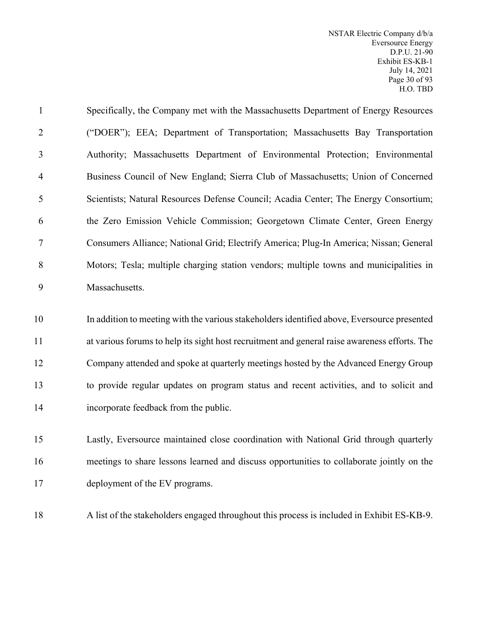| $\mathbf{1}$   | Specifically, the Company met with the Massachusetts Department of Energy Resources           |
|----------------|-----------------------------------------------------------------------------------------------|
| $\overline{2}$ | ("DOER"); EEA; Department of Transportation; Massachusetts Bay Transportation                 |
| 3              | Authority; Massachusetts Department of Environmental Protection; Environmental                |
| $\overline{4}$ | Business Council of New England; Sierra Club of Massachusetts; Union of Concerned             |
| 5              | Scientists; Natural Resources Defense Council; Acadia Center; The Energy Consortium;          |
| 6              | the Zero Emission Vehicle Commission; Georgetown Climate Center, Green Energy                 |
| $\tau$         | Consumers Alliance; National Grid; Electrify America; Plug-In America; Nissan; General        |
| 8              | Motors; Tesla; multiple charging station vendors; multiple towns and municipalities in        |
| 9              | Massachusetts.                                                                                |
| 10             | In addition to meeting with the various stakeholders identified above, Eversource presented   |
| 11             | at various forums to help its sight host recruitment and general raise awareness efforts. The |
| 12             | Company attended and spoke at quarterly meetings hosted by the Advanced Energy Group          |
| 13             | to provide regular updates on program status and recent activities, and to solicit and        |
| 14             | incorporate feedback from the public.                                                         |
| 15             | Lastly, Eversource maintained close coordination with National Grid through quarterly         |
| 16             | meetings to share lessons learned and discuss opportunities to collaborate jointly on the     |
|                |                                                                                               |

A list of the stakeholders engaged throughout this process is included in Exhibit ES-KB-9.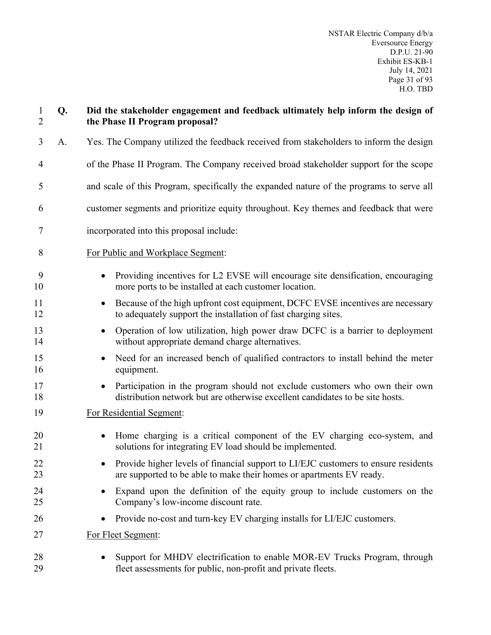| $\mathbf{1}$<br>$\overline{2}$ | Q. | Did the stakeholder engagement and feedback ultimately help inform the design of<br>the Phase II Program proposal?                                            |
|--------------------------------|----|---------------------------------------------------------------------------------------------------------------------------------------------------------------|
| $\overline{3}$                 | A. | Yes. The Company utilized the feedback received from stakeholders to inform the design                                                                        |
| 4                              |    | of the Phase II Program. The Company received broad stakeholder support for the scope                                                                         |
| 5                              |    | and scale of this Program, specifically the expanded nature of the programs to serve all                                                                      |
| 6                              |    | customer segments and prioritize equity throughout. Key themes and feedback that were                                                                         |
| 7                              |    | incorporated into this proposal include:                                                                                                                      |
| 8                              |    | For Public and Workplace Segment:                                                                                                                             |
| 9<br>10                        |    | Providing incentives for L2 EVSE will encourage site densification, encouraging<br>more ports to be installed at each customer location.                      |
| 11<br>12                       |    | Because of the high upfront cost equipment, DCFC EVSE incentives are necessary<br>$\bullet$<br>to adequately support the installation of fast charging sites. |
| 13<br>14                       |    | Operation of low utilization, high power draw DCFC is a barrier to deployment<br>$\bullet$<br>without appropriate demand charge alternatives.                 |
| 15<br>16                       |    | Need for an increased bench of qualified contractors to install behind the meter<br>$\bullet$<br>equipment.                                                   |
| 17<br>18                       |    | Participation in the program should not exclude customers who own their own<br>distribution network but are otherwise excellent candidates to be site hosts.  |
| 19                             |    | For Residential Segment:                                                                                                                                      |
| 20<br>21                       |    | Home charging is a critical component of the EV charging eco-system, and<br>$\bullet$<br>solutions for integrating EV load should be implemented.             |
| 22<br>23                       |    | Provide higher levels of financial support to LI/EJC customers to ensure residents<br>are supported to be able to make their homes or apartments EV ready.    |
| 24<br>25                       |    | Expand upon the definition of the equity group to include customers on the<br>٠<br>Company's low-income discount rate.                                        |
| 26                             |    | Provide no-cost and turn-key EV charging installs for LI/EJC customers.<br>٠                                                                                  |
| 27                             |    | For Fleet Segment:                                                                                                                                            |
| 28<br>29                       |    | Support for MHDV electrification to enable MOR-EV Trucks Program, through<br>fleet assessments for public, non-profit and private fleets.                     |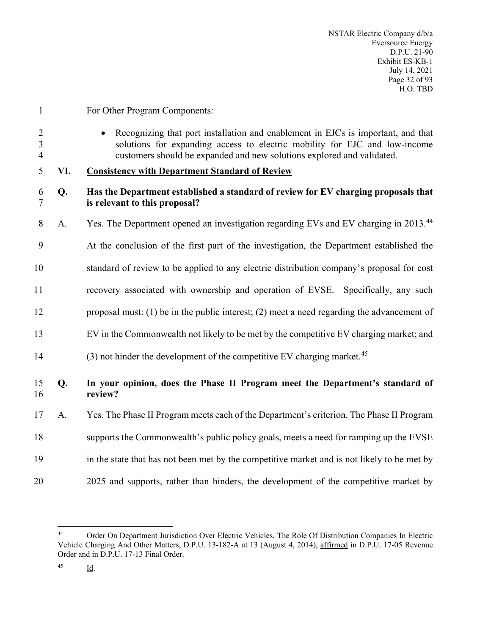For Other Program Components:

 • Recognizing that port installation and enablement in EJCs is important, and that solutions for expanding access to electric mobility for EJC and low-income customers should be expanded and new solutions explored and validated.

# <span id="page-33-0"></span>**VI. Consistency with Department Standard of Review**

# **Q. Has the Department established a standard of review for EV charging proposals that is relevant to this proposal?**

- 8 A. Yes. The Department opened an investigation regarding EVs and EV charging in 2013.<sup>[44](#page-33-1)</sup>
- At the conclusion of the first part of the investigation, the Department established the

standard of review to be applied to any electric distribution company's proposal for cost

- recovery associated with ownership and operation of EVSE. Specifically, any such
- proposal must: (1) be in the public interest; (2) meet a need regarding the advancement of
- EV in the Commonwealth not likely to be met by the competitive EV charging market; and
- (3) not hinder the development of the competitive EV charging market.<sup>[45](#page-33-2)</sup>

# **Q. In your opinion, does the Phase II Program meet the Department's standard of review?**

- A. Yes. The Phase II Program meets each of the Department's criterion. The Phase II Program
- supports the Commonwealth's public policy goals, meets a need for ramping up the EVSE
- in the state that has not been met by the competitive market and is not likely to be met by
- 20 2025 and supports, rather than hinders, the development of the competitive market by

<span id="page-33-2"></span><span id="page-33-1"></span> Order On Department Jurisdiction Over Electric Vehicles, The Role Of Distribution Companies In Electric Vehicle Charging And Other Matters, D.P.U. 13-182-A at 13 (August 4, 2014), affirmed in D.P.U. 17-05 Revenue Order and in D.P.U. 17-13 Final Order.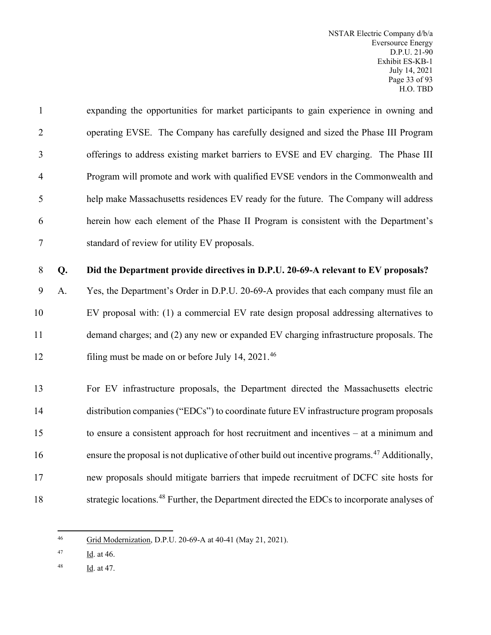| $\mathbf{1}$   |    | expanding the opportunities for market participants to gain experience in owning and                      |
|----------------|----|-----------------------------------------------------------------------------------------------------------|
| $\overline{2}$ |    | operating EVSE. The Company has carefully designed and sized the Phase III Program                        |
| 3              |    | offerings to address existing market barriers to EVSE and EV charging. The Phase III                      |
| $\overline{4}$ |    | Program will promote and work with qualified EVSE vendors in the Commonwealth and                         |
| 5              |    | help make Massachusetts residences EV ready for the future. The Company will address                      |
| 6              |    | herein how each element of the Phase II Program is consistent with the Department's                       |
| 7              |    | standard of review for utility EV proposals.                                                              |
| 8              | Q. | Did the Department provide directives in D.P.U. 20-69-A relevant to EV proposals?                         |
| 9              | A. | Yes, the Department's Order in D.P.U. 20-69-A provides that each company must file an                     |
| 10             |    | EV proposal with: (1) a commercial EV rate design proposal addressing alternatives to                     |
| 11             |    | demand charges; and (2) any new or expanded EV charging infrastructure proposals. The                     |
| 12             |    | filing must be made on or before July 14, 2021. <sup>46</sup>                                             |
| 13             |    | For EV infrastructure proposals, the Department directed the Massachusetts electric                       |
| 14             |    | distribution companies ("EDCs") to coordinate future EV infrastructure program proposals                  |
| 15             |    | to ensure a consistent approach for host recruitment and incentives $-$ at a minimum and                  |
| 16             |    | ensure the proposal is not duplicative of other build out incentive programs. <sup>47</sup> Additionally, |
| 17             |    | new proposals should mitigate barriers that impede recruitment of DCFC site hosts for                     |
| 18             |    | strategic locations. <sup>48</sup> Further, the Department directed the EDCs to incorporate analyses of   |

<span id="page-34-0"></span>Grid Modernization, D.P.U. 20-69-A at 40-41 (May 21, 2021).

<span id="page-34-1"></span> $\frac{Id}{10}$ . at 46.

<span id="page-34-2"></span> $\frac{Id}{10}$ . at 47.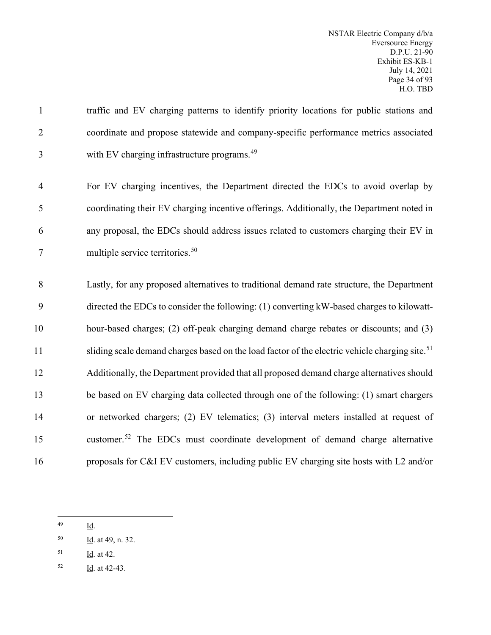# traffic and EV charging patterns to identify priority locations for public stations and coordinate and propose statewide and company-specific performance metrics associated 3 with EV charging infrastructure programs.<sup>[49](#page-35-0)</sup>

 For EV charging incentives, the Department directed the EDCs to avoid overlap by coordinating their EV charging incentive offerings. Additionally, the Department noted in any proposal, the EDCs should address issues related to customers charging their EV in multiple service territories.[50](#page-35-1)

 Lastly, for any proposed alternatives to traditional demand rate structure, the Department directed the EDCs to consider the following: (1) converting kW-based charges to kilowatt- hour-based charges; (2) off-peak charging demand charge rebates or discounts; and (3) sliding scale demand charges based on the load factor of the electric vehicle charging site.<sup>[51](#page-35-2)</sup> Additionally, the Department provided that all proposed demand charge alternatives should be based on EV charging data collected through one of the following: (1) smart chargers or networked chargers; (2) EV telematics; (3) interval meters installed at request of 15 customer.<sup>[52](#page-35-3)</sup> The EDCs must coordinate development of demand charge alternative proposals for C&I EV customers, including public EV charging site hosts with L2 and/or

<span id="page-35-3"></span>Id. at 42-43.

<span id="page-35-0"></span>Id.

<span id="page-35-1"></span>Id. at 49, n. 32.

<span id="page-35-2"></span>Id. at 42.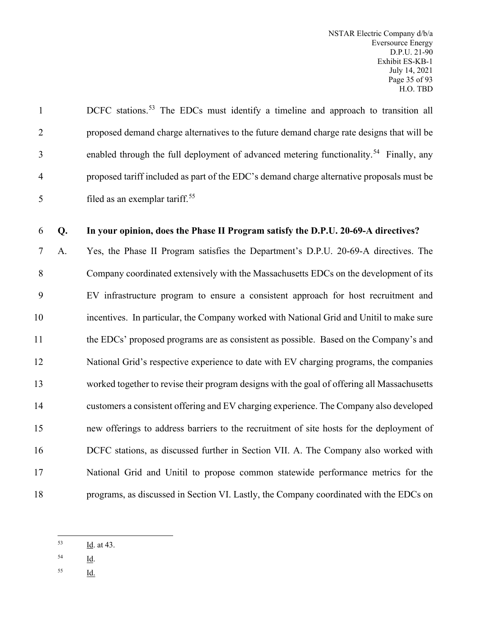| $\mathbf{1}$   | DCFC stations. <sup>53</sup> The EDCs must identify a timeline and approach to transition all      |
|----------------|----------------------------------------------------------------------------------------------------|
| 2              | proposed demand charge alternatives to the future demand charge rate designs that will be          |
| 3              | enabled through the full deployment of advanced metering functionality. <sup>54</sup> Finally, any |
| $\overline{4}$ | proposed tariff included as part of the EDC's demand charge alternative proposals must be          |
| 5              | filed as an exemplar tariff. <sup>55</sup>                                                         |

# 6 **Q. In your opinion, does the Phase II Program satisfy the D.P.U. 20-69-A directives?**

 A. Yes, the Phase II Program satisfies the Department's D.P.U. 20-69-A directives. The Company coordinated extensively with the Massachusetts EDCs on the development of its EV infrastructure program to ensure a consistent approach for host recruitment and incentives. In particular, the Company worked with National Grid and Unitil to make sure the EDCs' proposed programs are as consistent as possible. Based on the Company's and National Grid's respective experience to date with EV charging programs, the companies worked together to revise their program designs with the goal of offering all Massachusetts customers a consistent offering and EV charging experience. The Company also developed new offerings to address barriers to the recruitment of site hosts for the deployment of DCFC stations, as discussed further in Section VII. A. The Company also worked with National Grid and Unitil to propose common statewide performance metrics for the programs, as discussed in Section VI. Lastly, the Company coordinated with the EDCs on

- <span id="page-36-1"></span> $\frac{54}{\underline{Id}}$ .
- <span id="page-36-2"></span> $\frac{55}{10}$

<span id="page-36-0"></span> $\frac{Id}{1}$ . at 43.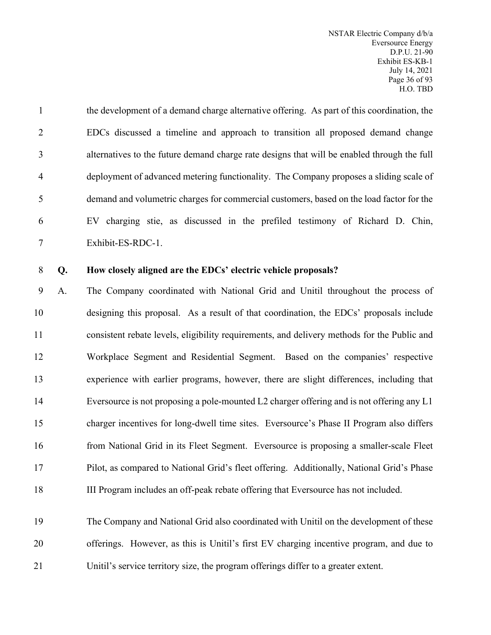the development of a demand charge alternative offering. As part of this coordination, the EDCs discussed a timeline and approach to transition all proposed demand change alternatives to the future demand charge rate designs that will be enabled through the full deployment of advanced metering functionality. The Company proposes a sliding scale of demand and volumetric charges for commercial customers, based on the load factor for the EV charging stie, as discussed in the prefiled testimony of Richard D. Chin, Exhibit-ES-RDC-1.

## **Q. How closely aligned are the EDCs' electric vehicle proposals?**

 A. The Company coordinated with National Grid and Unitil throughout the process of designing this proposal. As a result of that coordination, the EDCs' proposals include consistent rebate levels, eligibility requirements, and delivery methods for the Public and Workplace Segment and Residential Segment. Based on the companies' respective experience with earlier programs, however, there are slight differences, including that Eversource is not proposing a pole-mounted L2 charger offering and is not offering any L1 charger incentives for long-dwell time sites. Eversource's Phase II Program also differs from National Grid in its Fleet Segment. Eversource is proposing a smaller-scale Fleet Pilot, as compared to National Grid's fleet offering. Additionally, National Grid's Phase III Program includes an off-peak rebate offering that Eversource has not included.

 The Company and National Grid also coordinated with Unitil on the development of these offerings. However, as this is Unitil's first EV charging incentive program, and due to Unitil's service territory size, the program offerings differ to a greater extent.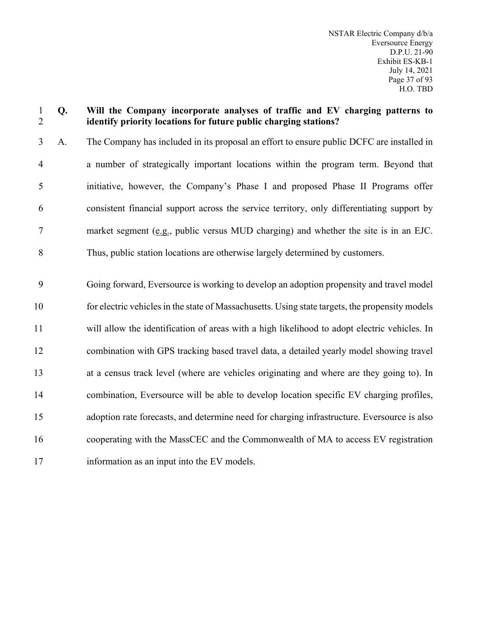### **Q. Will the Company incorporate analyses of traffic and EV charging patterns to identify priority locations for future public charging stations?**

 A. The Company has included in its proposal an effort to ensure public DCFC are installed in a number of strategically important locations within the program term. Beyond that initiative, however, the Company's Phase I and proposed Phase II Programs offer consistent financial support across the service territory, only differentiating support by market segment (e.g., public versus MUD charging) and whether the site is in an EJC. Thus, public station locations are otherwise largely determined by customers.

 Going forward, Eversource is working to develop an adoption propensity and travel model for electric vehicles in the state of Massachusetts. Using state targets, the propensity models will allow the identification of areas with a high likelihood to adopt electric vehicles. In combination with GPS tracking based travel data, a detailed yearly model showing travel at a census track level (where are vehicles originating and where are they going to). In combination, Eversource will be able to develop location specific EV charging profiles, adoption rate forecasts, and determine need for charging infrastructure. Eversource is also cooperating with the MassCEC and the Commonwealth of MA to access EV registration information as an input into the EV models.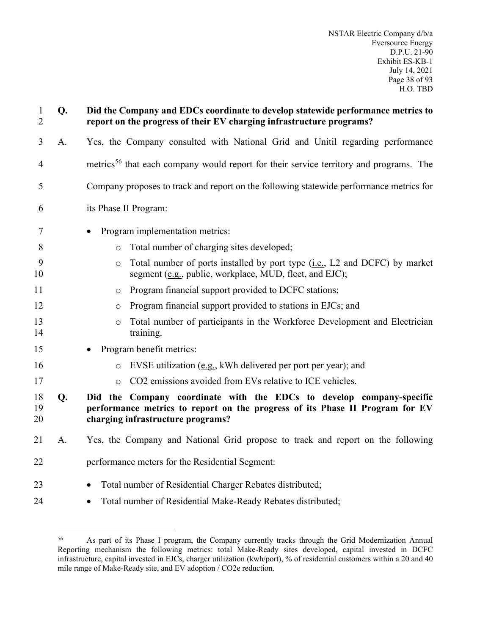| $\mathbf{1}$<br>$\overline{2}$ | Q. | Did the Company and EDCs coordinate to develop statewide performance metrics to<br>report on the progress of their EV charging infrastructure programs?                                   |
|--------------------------------|----|-------------------------------------------------------------------------------------------------------------------------------------------------------------------------------------------|
| 3                              | A. | Yes, the Company consulted with National Grid and Unitil regarding performance                                                                                                            |
| $\overline{4}$                 |    | metrics <sup>56</sup> that each company would report for their service territory and programs. The                                                                                        |
| 5                              |    | Company proposes to track and report on the following statewide performance metrics for                                                                                                   |
| 6                              |    | its Phase II Program:                                                                                                                                                                     |
| 7                              |    | Program implementation metrics:                                                                                                                                                           |
| 8                              |    | Total number of charging sites developed;<br>$\circ$                                                                                                                                      |
| 9<br>10                        |    | Total number of ports installed by port type (i.e., L2 and DCFC) by market<br>$\circ$<br>segment (e.g., public, workplace, MUD, fleet, and EJC);                                          |
| 11                             |    | Program financial support provided to DCFC stations;<br>$\circ$                                                                                                                           |
| 12                             |    | Program financial support provided to stations in EJCs; and<br>$\circ$                                                                                                                    |
| 13<br>14                       |    | Total number of participants in the Workforce Development and Electrician<br>$\circ$<br>training.                                                                                         |
| 15                             |    | Program benefit metrics:                                                                                                                                                                  |
| 16                             |    | EVSE utilization (e.g., kWh delivered per port per year); and<br>$\circ$                                                                                                                  |
| 17                             |    | CO2 emissions avoided from EVs relative to ICE vehicles.<br>$\circ$                                                                                                                       |
| 18<br>19<br>20                 | Q. | Did the Company coordinate with the EDCs to develop company-specific<br>performance metrics to report on the progress of its Phase II Program for EV<br>charging infrastructure programs? |
| 21                             | A. | Yes, the Company and National Grid propose to track and report on the following                                                                                                           |
| 22                             |    | performance meters for the Residential Segment:                                                                                                                                           |
| 23                             |    | Total number of Residential Charger Rebates distributed;<br>$\bullet$                                                                                                                     |
| 24                             |    | Total number of Residential Make-Ready Rebates distributed;<br>$\bullet$                                                                                                                  |

<span id="page-39-0"></span><sup>56</sup> As part of its Phase I program, the Company currently tracks through the Grid Modernization Annual Reporting mechanism the following metrics: total Make-Ready sites developed, capital invested in DCFC infrastructure, capital invested in EJCs, charger utilization (kwh/port), % of residential customers within a 20 and 40 mile range of Make-Ready site, and EV adoption / CO2e reduction.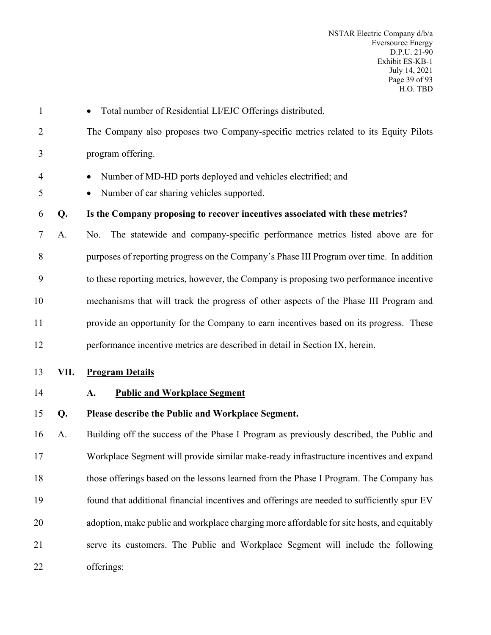| $\mathbf{1}$   |      | Total number of Residential LI/EJC Offerings distributed.                                                              |
|----------------|------|------------------------------------------------------------------------------------------------------------------------|
| $\overline{2}$ |      | The Company also proposes two Company-specific metrics related to its Equity Pilots                                    |
| 3              |      | program offering.                                                                                                      |
| 4<br>5         |      | Number of MD-HD ports deployed and vehicles electrified; and<br>Number of car sharing vehicles supported.<br>$\bullet$ |
| 6              | Q.   | Is the Company proposing to recover incentives associated with these metrics?                                          |
| 7              | A.   | The statewide and company-specific performance metrics listed above are for<br>No.                                     |
| 8              |      | purposes of reporting progress on the Company's Phase III Program over time. In addition                               |
| 9              |      | to these reporting metrics, however, the Company is proposing two performance incentive                                |
| 10             |      | mechanisms that will track the progress of other aspects of the Phase III Program and                                  |
| 11             |      | provide an opportunity for the Company to earn incentives based on its progress. These                                 |
| 12             |      | performance incentive metrics are described in detail in Section IX, herein.                                           |
| 13             | VII. | <b>Program Details</b>                                                                                                 |
| 14             |      | <b>Public and Workplace Segment</b><br>A.                                                                              |
| 15             |      |                                                                                                                        |
|                | Q.   | Please describe the Public and Workplace Segment.                                                                      |
| 16             | A.   | Building off the success of the Phase I Program as previously described, the Public and                                |
| 17             |      | Workplace Segment will provide similar make-ready infrastructure incentives and expand                                 |
| 18             |      | those offerings based on the lessons learned from the Phase I Program. The Company has                                 |
| 19             |      | found that additional financial incentives and offerings are needed to sufficiently spur EV                            |
| 20             |      | adoption, make public and workplace charging more affordable for site hosts, and equitably                             |
| 21             |      | serve its customers. The Public and Workplace Segment will include the following                                       |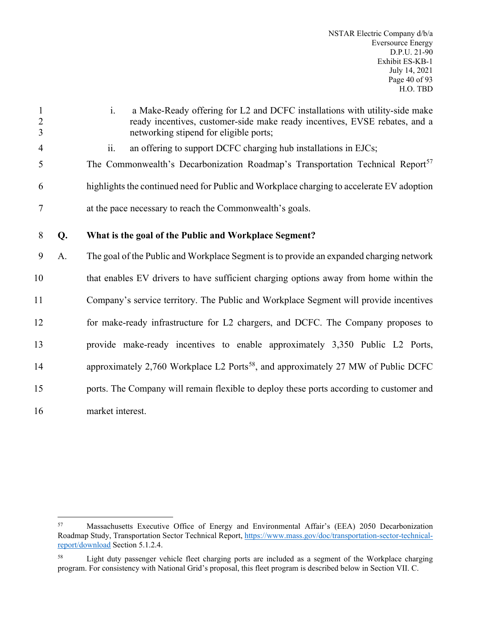| $\mathbf{1}$<br>$\overline{2}$<br>$\overline{3}$ |    | a Make-Ready offering for L2 and DCFC installations with utility-side make<br>$\mathbf{i}$ .<br>ready incentives, customer-side make ready incentives, EVSE rebates, and a<br>networking stipend for eligible ports; |
|--------------------------------------------------|----|----------------------------------------------------------------------------------------------------------------------------------------------------------------------------------------------------------------------|
| $\overline{4}$                                   |    | ii.<br>an offering to support DCFC charging hub installations in EJCs;                                                                                                                                               |
| 5                                                |    | The Commonwealth's Decarbonization Roadmap's Transportation Technical Report <sup>57</sup>                                                                                                                           |
| 6                                                |    | highlights the continued need for Public and Workplace charging to accelerate EV adoption                                                                                                                            |
| $\tau$                                           |    | at the pace necessary to reach the Commonwealth's goals.                                                                                                                                                             |
| 8                                                | Q. | What is the goal of the Public and Workplace Segment?                                                                                                                                                                |
| 9                                                | A. | The goal of the Public and Workplace Segment is to provide an expanded charging network                                                                                                                              |
| 10                                               |    | that enables EV drivers to have sufficient charging options away from home within the                                                                                                                                |
| 11                                               |    | Company's service territory. The Public and Workplace Segment will provide incentives                                                                                                                                |
| 12                                               |    | for make-ready infrastructure for L2 chargers, and DCFC. The Company proposes to                                                                                                                                     |
| 13                                               |    | provide make-ready incentives to enable approximately 3,350 Public L2 Ports,                                                                                                                                         |
| 14                                               |    | approximately 2,760 Workplace L2 Ports <sup>58</sup> , and approximately 27 MW of Public DCFC                                                                                                                        |
| 15                                               |    | ports. The Company will remain flexible to deploy these ports according to customer and                                                                                                                              |
| 16                                               |    | market interest.                                                                                                                                                                                                     |

<span id="page-41-0"></span><sup>57</sup> Massachusetts Executive Office of Energy and Environmental Affair's (EEA) 2050 Decarbonization Roadmap Study, Transportation Sector Technical Report, [https://www.mass.gov/doc/transportation-sector-technical](https://www.mass.gov/doc/transportation-sector-technical-report/download)[report/download](https://www.mass.gov/doc/transportation-sector-technical-report/download) Section 5.1.2.4.

<span id="page-41-1"></span><sup>58</sup> Light duty passenger vehicle fleet charging ports are included as a segment of the Workplace charging program. For consistency with National Grid's proposal, this fleet program is described below in Section VII. C.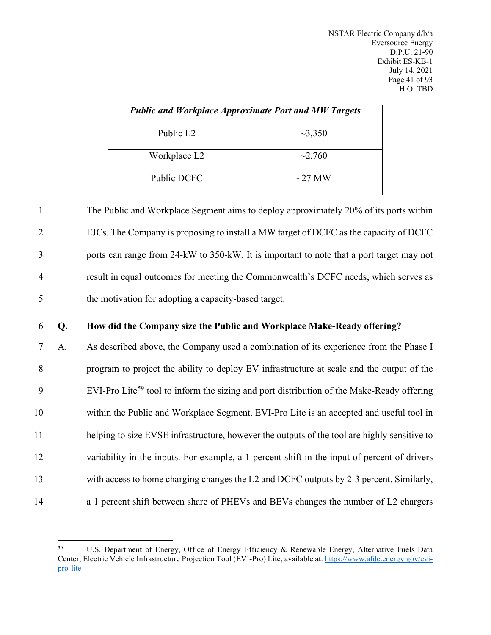|                       | <b>Public and Workplace Approximate Port and MW Targets</b> |
|-----------------------|-------------------------------------------------------------|
| Public L <sub>2</sub> | $\sim$ 3,350                                                |
| Workplace L2          | $\sim$ 2,760                                                |
| Public DCFC           | $\sim$ 27 MW                                                |

 The Public and Workplace Segment aims to deploy approximately 20% of its ports within EJCs. The Company is proposing to install a MW target of DCFC as the capacity of DCFC ports can range from 24-kW to 350-kW. It is important to note that a port target may not result in equal outcomes for meeting the Commonwealth's DCFC needs, which serves as the motivation for adopting a capacity-based target.

## 6 **Q. How did the Company size the Public and Workplace Make-Ready offering?**

 A. As described above, the Company used a combination of its experience from the Phase I program to project the ability to deploy EV infrastructure at scale and the output of the 9 EVI-Pro Lite<sup>[59](#page-42-0)</sup> tool to inform the sizing and port distribution of the Make-Ready offering within the Public and Workplace Segment. EVI-Pro Lite is an accepted and useful tool in helping to size EVSE infrastructure, however the outputs of the tool are highly sensitive to variability in the inputs. For example, a 1 percent shift in the input of percent of drivers with access to home charging changes the L2 and DCFC outputs by 2-3 percent. Similarly, 14 a 1 percent shift between share of PHEVs and BEVs changes the number of L2 chargers

<span id="page-42-0"></span><sup>59</sup> U.S. Department of Energy, Office of Energy Efficiency & Renewable Energy, Alternative Fuels Data Center, Electric Vehicle Infrastructure Projection Tool (EVI-Pro) Lite, available at: https://www.afdc.energy.gov/evipro-lite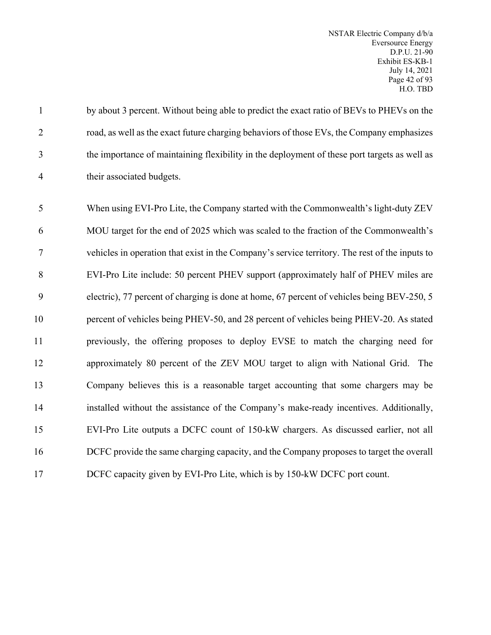NSTAR Electric Company d/b/a Eversource Energy D.P.U. 21-90 Exhibit ES-KB-1 July 14, 2021 Page 42 of 93 H.O. TBD

1 by about 3 percent. Without being able to predict the exact ratio of BEVs to PHEVs on the road, as well as the exact future charging behaviors of those EVs, the Company emphasizes the importance of maintaining flexibility in the deployment of these port targets as well as their associated budgets.

 When using EVI-Pro Lite, the Company started with the Commonwealth's light-duty ZEV MOU target for the end of 2025 which was scaled to the fraction of the Commonwealth's vehicles in operation that exist in the Company's service territory. The rest of the inputs to EVI-Pro Lite include: 50 percent PHEV support (approximately half of PHEV miles are electric), 77 percent of charging is done at home, 67 percent of vehicles being BEV-250, 5 percent of vehicles being PHEV-50, and 28 percent of vehicles being PHEV-20. As stated previously, the offering proposes to deploy EVSE to match the charging need for approximately 80 percent of the ZEV MOU target to align with National Grid. The Company believes this is a reasonable target accounting that some chargers may be installed without the assistance of the Company's make-ready incentives. Additionally, EVI-Pro Lite outputs a DCFC count of 150-kW chargers. As discussed earlier, not all DCFC provide the same charging capacity, and the Company proposes to target the overall 17 DCFC capacity given by EVI-Pro Lite, which is by 150-kW DCFC port count.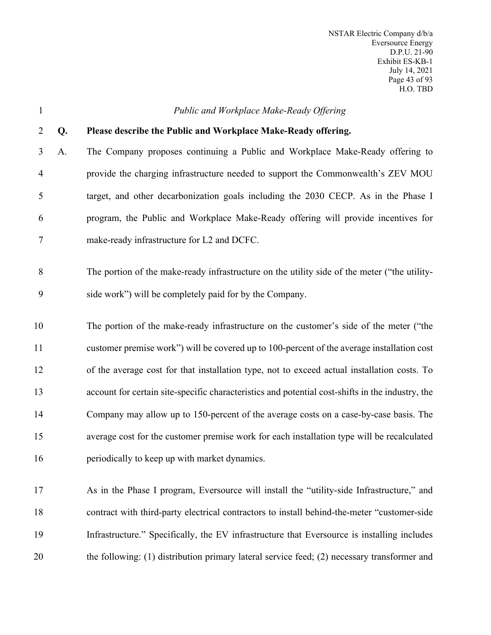| $\mathbf{1}$   |    | Public and Workplace Make-Ready Offering                                                         |
|----------------|----|--------------------------------------------------------------------------------------------------|
| $\overline{2}$ | Q. | Please describe the Public and Workplace Make-Ready offering.                                    |
| 3              | A. | The Company proposes continuing a Public and Workplace Make-Ready offering to                    |
| 4              |    | provide the charging infrastructure needed to support the Commonwealth's ZEV MOU                 |
| 5              |    | target, and other decarbonization goals including the 2030 CECP. As in the Phase I               |
| 6              |    | program, the Public and Workplace Make-Ready offering will provide incentives for                |
| 7              |    | make-ready infrastructure for L2 and DCFC.                                                       |
|                |    |                                                                                                  |
| 8              |    | The portion of the make-ready infrastructure on the utility side of the meter ("the utility-     |
| 9              |    | side work") will be completely paid for by the Company.                                          |
| 10             |    | The portion of the make-ready infrastructure on the customer's side of the meter ("the           |
| 11             |    | customer premise work") will be covered up to 100-percent of the average installation cost       |
| 12             |    | of the average cost for that installation type, not to exceed actual installation costs. To      |
| 13             |    | account for certain site-specific characteristics and potential cost-shifts in the industry, the |
| 14             |    | Company may allow up to 150-percent of the average costs on a case-by-case basis. The            |
| 15             |    | average cost for the customer premise work for each installation type will be recalculated       |
| 16             |    | periodically to keep up with market dynamics.                                                    |
| 17             |    | As in the Phase I program, Eversource will install the "utility-side Infrastructure," and        |
|                |    |                                                                                                  |
| 18             |    | contract with third-party electrical contractors to install behind-the-meter "customer-side      |
| 19             |    | Infrastructure." Specifically, the EV infrastructure that Eversource is installing includes      |
| 20             |    | the following: (1) distribution primary lateral service feed; (2) necessary transformer and      |
|                |    |                                                                                                  |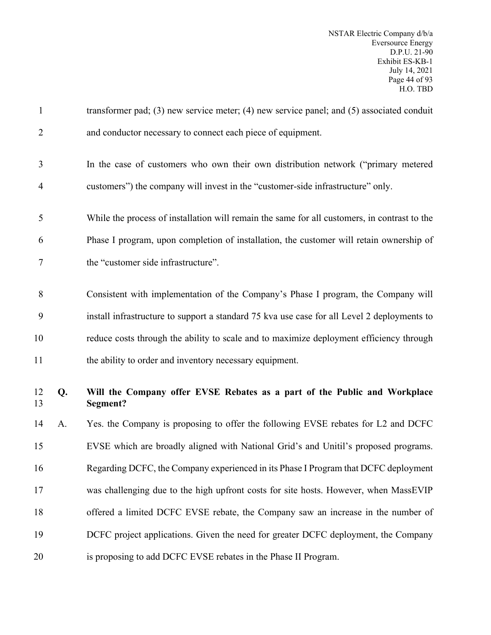| $\mathbf{1}$   |    | transformer pad; (3) new service meter; (4) new service panel; and $(5)$ associated conduit  |
|----------------|----|----------------------------------------------------------------------------------------------|
| $\overline{2}$ |    | and conductor necessary to connect each piece of equipment.                                  |
| 3              |    | In the case of customers who own their own distribution network ("primary metered            |
| 4              |    | customers") the company will invest in the "customer-side infrastructure" only.              |
| 5              |    | While the process of installation will remain the same for all customers, in contrast to the |
| 6              |    | Phase I program, upon completion of installation, the customer will retain ownership of      |
| 7              |    | the "customer side infrastructure".                                                          |
| 8              |    | Consistent with implementation of the Company's Phase I program, the Company will            |
| 9              |    | install infrastructure to support a standard 75 kva use case for all Level 2 deployments to  |
| 10             |    | reduce costs through the ability to scale and to maximize deployment efficiency through      |
| 11             |    | the ability to order and inventory necessary equipment.                                      |
| 12<br>13       | Q. | Will the Company offer EVSE Rebates as a part of the Public and Workplace<br>Segment?        |
| 14             | A. | Yes. the Company is proposing to offer the following EVSE rebates for L2 and DCFC            |
| 15             |    | EVSE which are broadly aligned with National Grid's and Unitil's proposed programs.          |
| 16             |    | Regarding DCFC, the Company experienced in its Phase I Program that DCFC deployment          |
| 17             |    | was challenging due to the high upfront costs for site hosts. However, when MassEVIP         |
| 18             |    | offered a limited DCFC EVSE rebate, the Company saw an increase in the number of             |
| 19             |    | DCFC project applications. Given the need for greater DCFC deployment, the Company           |
| 20             |    | is proposing to add DCFC EVSE rebates in the Phase II Program.                               |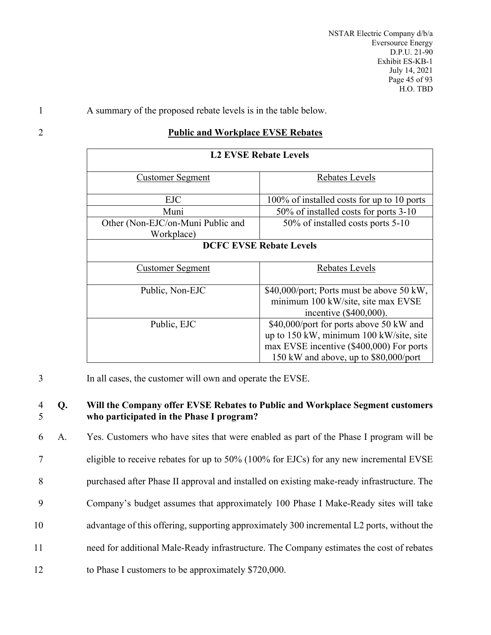NSTAR Electric Company d/b/a Eversource Energy D.P.U. 21-90 Exhibit ES-KB-1 July 14, 2021 Page 45 of 93 H.O. TBD

1 A summary of the proposed rebate levels is in the table below.

# 2 **Public and Workplace EVSE Rebates**

| <b>L2 EVSE Rebate Levels</b>      |                                            |  |
|-----------------------------------|--------------------------------------------|--|
| <u>Customer Segment</u>           | Rebates Levels                             |  |
| <b>EJC</b>                        | 100% of installed costs for up to 10 ports |  |
| Muni                              | 50% of installed costs for ports 3-10      |  |
| Other (Non-EJC/on-Muni Public and | 50% of installed costs ports 5-10          |  |
| Workplace)                        |                                            |  |
| <b>DCFC EVSE Rebate Levels</b>    |                                            |  |
| <u>Customer Segment</u>           | Rebates Levels                             |  |
| Public, Non-EJC                   | \$40,000/port; Ports must be above 50 kW,  |  |
|                                   | minimum 100 kW/site, site max EVSE         |  |
|                                   | incentive $(\$400,000)$ .                  |  |
| Public, EJC                       | \$40,000/port for ports above 50 kW and    |  |
|                                   | up to 150 kW, minimum 100 kW/site, site    |  |
|                                   | max EVSE incentive (\$400,000) For ports   |  |
|                                   | 150 kW and above, up to \$80,000/port      |  |

3 In all cases, the customer will own and operate the EVSE.

## 4 **Q. Will the Company offer EVSE Rebates to Public and Workplace Segment customers**  5 **who participated in the Phase I program?**

 A. Yes. Customers who have sites that were enabled as part of the Phase I program will be eligible to receive rebates for up to 50% (100% for EJCs) for any new incremental EVSE purchased after Phase II approval and installed on existing make-ready infrastructure. The Company's budget assumes that approximately 100 Phase I Make-Ready sites will take advantage of this offering, supporting approximately 300 incremental L2 ports, without the need for additional Male-Ready infrastructure. The Company estimates the cost of rebates to Phase I customers to be approximately \$720,000.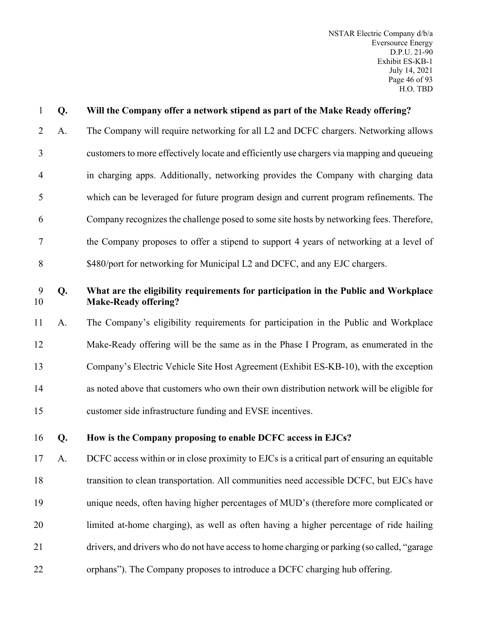| $\mathbf{1}$   | Q. | Will the Company offer a network stipend as part of the Make Ready offering?                                       |
|----------------|----|--------------------------------------------------------------------------------------------------------------------|
| $\overline{2}$ | A. | The Company will require networking for all L2 and DCFC chargers. Networking allows                                |
| 3              |    | customers to more effectively locate and efficiently use chargers via mapping and queueing                         |
| $\overline{4}$ |    | in charging apps. Additionally, networking provides the Company with charging data                                 |
| 5              |    | which can be leveraged for future program design and current program refinements. The                              |
| 6              |    | Company recognizes the challenge posed to some site hosts by networking fees. Therefore,                           |
| 7              |    | the Company proposes to offer a stipend to support 4 years of networking at a level of                             |
| $8\,$          |    | \$480/port for networking for Municipal L2 and DCFC, and any EJC chargers.                                         |
| 9<br>10        | Q. | What are the eligibility requirements for participation in the Public and Workplace<br><b>Make-Ready offering?</b> |
| 11             | A. | The Company's eligibility requirements for participation in the Public and Workplace                               |
| 12             |    | Make-Ready offering will be the same as in the Phase I Program, as enumerated in the                               |
| 13             |    | Company's Electric Vehicle Site Host Agreement (Exhibit ES-KB-10), with the exception                              |
| 14             |    | as noted above that customers who own their own distribution network will be eligible for                          |
| 15             |    | customer side infrastructure funding and EVSE incentives.                                                          |
| 16             | Q. | How is the Company proposing to enable DCFC access in EJCs?                                                        |
| 17             | A. | DCFC access within or in close proximity to EJCs is a critical part of ensuring an equitable                       |
| 18             |    | transition to clean transportation. All communities need accessible DCFC, but EJCs have                            |
| 19             |    | unique needs, often having higher percentages of MUD's (therefore more complicated or                              |
| 20             |    | limited at-home charging), as well as often having a higher percentage of ride hailing                             |
| 21             |    | drivers, and drivers who do not have access to home charging or parking (so called, "garage                        |
| 22             |    | orphans"). The Company proposes to introduce a DCFC charging hub offering.                                         |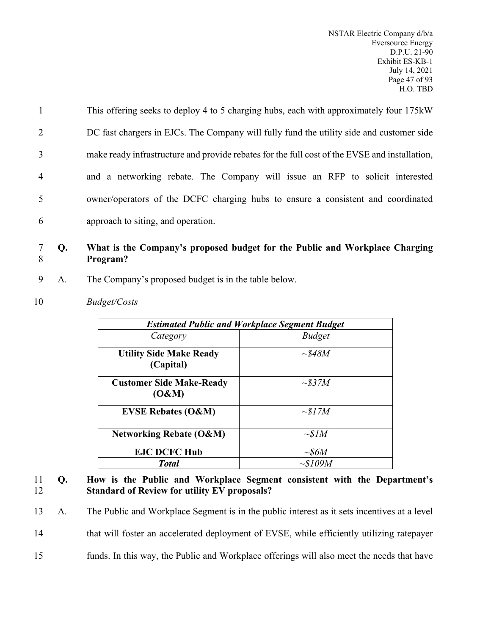| $\mathbf{1}$   | This offering seeks to deploy 4 to 5 charging hubs, each with approximately four 175kW        |
|----------------|-----------------------------------------------------------------------------------------------|
| 2              | DC fast chargers in EJCs. The Company will fully fund the utility side and customer side      |
| 3              | make ready infrastructure and provide rebates for the full cost of the EVSE and installation, |
| $\overline{4}$ | and a networking rebate. The Company will issue an RFP to solicit interested                  |
| 5              | owner/operators of the DCFC charging hubs to ensure a consistent and coordinated              |
| 6              | approach to siting, and operation.                                                            |

## 7 **Q. What is the Company's proposed budget for the Public and Workplace Charging**  8 **Program?**

- 9 A. The Company's proposed budget is in the table below.
- 10 *Budget/Costs*

|                                             | <b>Estimated Public and Workplace Segment Budget</b> |
|---------------------------------------------|------------------------------------------------------|
| Category                                    | <b>Budget</b>                                        |
| <b>Utility Side Make Ready</b><br>(Capital) | $\sim$ \$48M                                         |
| <b>Customer Side Make-Ready</b><br>(O&M)    | $\sim$ \$37M                                         |
| <b>EVSE Rebates (O&amp;M)</b>               | $\sim$ \$17M                                         |
| <b>Networking Rebate (O&amp;M)</b>          | $\sim SIM$                                           |
| <b>EJC DCFC Hub</b>                         | $\sim\!\!$ S6M                                       |
| <b>Total</b>                                | $\sim$ \$109M                                        |

### 11 **Q. How is the Public and Workplace Segment consistent with the Department's**  12 **Standard of Review for utility EV proposals?**

13 A. The Public and Workplace Segment is in the public interest as it sets incentives at a level

14 that will foster an accelerated deployment of EVSE, while efficiently utilizing ratepayer

15 funds. In this way, the Public and Workplace offerings will also meet the needs that have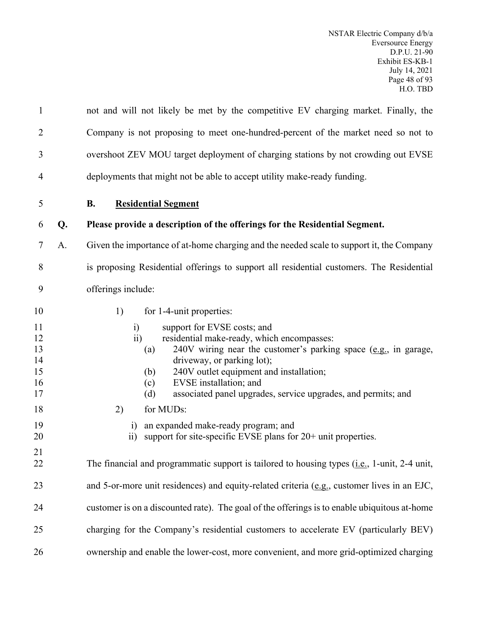| $\mathbf{1}$                                                   |    | not and will not likely be met by the competitive EV charging market. Finally, the                                                                                                                                                                                                                                                                                                                                                                                                                                                                                            |
|----------------------------------------------------------------|----|-------------------------------------------------------------------------------------------------------------------------------------------------------------------------------------------------------------------------------------------------------------------------------------------------------------------------------------------------------------------------------------------------------------------------------------------------------------------------------------------------------------------------------------------------------------------------------|
| $\overline{2}$                                                 |    | Company is not proposing to meet one-hundred-percent of the market need so not to                                                                                                                                                                                                                                                                                                                                                                                                                                                                                             |
| 3                                                              |    | overshoot ZEV MOU target deployment of charging stations by not crowding out EVSE                                                                                                                                                                                                                                                                                                                                                                                                                                                                                             |
| 4                                                              |    | deployments that might not be able to accept utility make-ready funding.                                                                                                                                                                                                                                                                                                                                                                                                                                                                                                      |
| 5                                                              |    | <b>Residential Segment</b><br><b>B.</b>                                                                                                                                                                                                                                                                                                                                                                                                                                                                                                                                       |
| 6                                                              | Q. | Please provide a description of the offerings for the Residential Segment.                                                                                                                                                                                                                                                                                                                                                                                                                                                                                                    |
| 7                                                              | A. | Given the importance of at-home charging and the needed scale to support it, the Company                                                                                                                                                                                                                                                                                                                                                                                                                                                                                      |
| 8                                                              |    | is proposing Residential offerings to support all residential customers. The Residential                                                                                                                                                                                                                                                                                                                                                                                                                                                                                      |
| 9                                                              |    | offerings include:                                                                                                                                                                                                                                                                                                                                                                                                                                                                                                                                                            |
| 10<br>11<br>12<br>13<br>14<br>15<br>16<br>17<br>18<br>19<br>20 |    | for 1-4-unit properties:<br>1)<br>support for EVSE costs; and<br>$\ddot{1}$<br>$\overline{11}$<br>residential make-ready, which encompasses:<br>$240V$ wiring near the customer's parking space (e.g., in garage,<br>(a)<br>driveway, or parking lot);<br>240V outlet equipment and installation;<br>(b)<br>EVSE installation; and<br>(c)<br>associated panel upgrades, service upgrades, and permits; and<br>(d)<br>for MUDs:<br>2)<br>an expanded make-ready program; and<br>$\ddot{1}$<br>support for site-specific EVSE plans for 20+ unit properties.<br>$\overline{11}$ |
| 21<br>22                                                       |    | The financial and programmatic support is tailored to housing types ( <i>i.e.</i> , 1-unit, 2-4 unit,                                                                                                                                                                                                                                                                                                                                                                                                                                                                         |
| 23                                                             |    | and 5-or-more unit residences) and equity-related criteria (e.g., customer lives in an EJC,                                                                                                                                                                                                                                                                                                                                                                                                                                                                                   |
| 24                                                             |    | customer is on a discounted rate). The goal of the offerings is to enable ubiquitous at-home                                                                                                                                                                                                                                                                                                                                                                                                                                                                                  |
| 25                                                             |    | charging for the Company's residential customers to accelerate EV (particularly BEV)                                                                                                                                                                                                                                                                                                                                                                                                                                                                                          |
| 26                                                             |    | ownership and enable the lower-cost, more convenient, and more grid-optimized charging                                                                                                                                                                                                                                                                                                                                                                                                                                                                                        |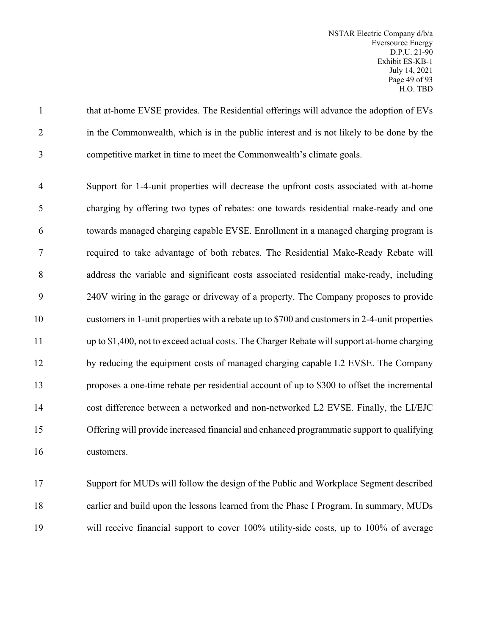1 that at-home EVSE provides. The Residential offerings will advance the adoption of EVs in the Commonwealth, which is in the public interest and is not likely to be done by the competitive market in time to meet the Commonwealth's climate goals.

 Support for 1-4-unit properties will decrease the upfront costs associated with at-home charging by offering two types of rebates: one towards residential make-ready and one towards managed charging capable EVSE. Enrollment in a managed charging program is required to take advantage of both rebates. The Residential Make-Ready Rebate will address the variable and significant costs associated residential make-ready, including 240V wiring in the garage or driveway of a property. The Company proposes to provide customers in 1-unit properties with a rebate up to \$700 and customers in 2-4-unit properties up to \$1,400, not to exceed actual costs. The Charger Rebate will support at-home charging by reducing the equipment costs of managed charging capable L2 EVSE. The Company proposes a one-time rebate per residential account of up to \$300 to offset the incremental cost difference between a networked and non-networked L2 EVSE. Finally, the LI/EJC Offering will provide increased financial and enhanced programmatic support to qualifying customers.

 Support for MUDs will follow the design of the Public and Workplace Segment described earlier and build upon the lessons learned from the Phase I Program. In summary, MUDs will receive financial support to cover 100% utility-side costs, up to 100% of average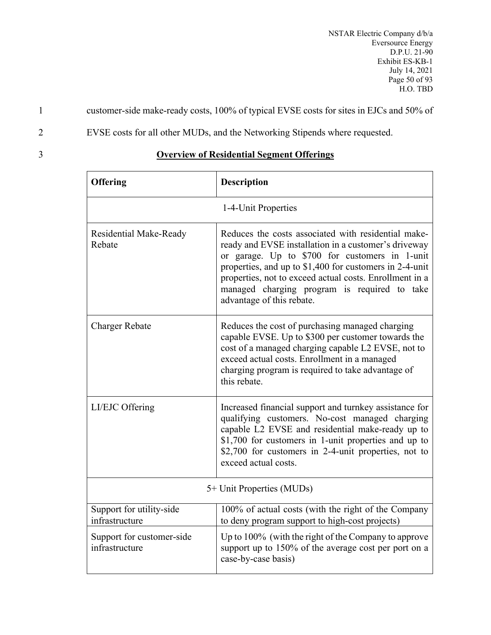1 customer-side make-ready costs, 100% of typical EVSE costs for sites in EJCs and 50% of

2 EVSE costs for all other MUDs, and the Networking Stipends where requested.

3 **Overview of Residential Segment Offerings**

| <b>Offering</b>                                                                                                                                     | <b>Description</b>                                                                                                                                                                                                                                                                                                                                               |  |  |
|-----------------------------------------------------------------------------------------------------------------------------------------------------|------------------------------------------------------------------------------------------------------------------------------------------------------------------------------------------------------------------------------------------------------------------------------------------------------------------------------------------------------------------|--|--|
| 1-4-Unit Properties                                                                                                                                 |                                                                                                                                                                                                                                                                                                                                                                  |  |  |
| <b>Residential Make-Ready</b><br>Rebate                                                                                                             | Reduces the costs associated with residential make-<br>ready and EVSE installation in a customer's driveway<br>or garage. Up to \$700 for customers in 1-unit<br>properties, and up to \$1,400 for customers in 2-4-unit<br>properties, not to exceed actual costs. Enrollment in a<br>managed charging program is required to take<br>advantage of this rebate. |  |  |
| <b>Charger Rebate</b>                                                                                                                               | Reduces the cost of purchasing managed charging<br>capable EVSE. Up to \$300 per customer towards the<br>cost of a managed charging capable L2 EVSE, not to<br>exceed actual costs. Enrollment in a managed<br>charging program is required to take advantage of<br>this rebate.                                                                                 |  |  |
| LI/EJC Offering                                                                                                                                     | Increased financial support and turnkey assistance for<br>qualifying customers. No-cost managed charging<br>capable L2 EVSE and residential make-ready up to<br>\$1,700 for customers in 1-unit properties and up to<br>\$2,700 for customers in 2-4-unit properties, not to<br>exceed actual costs.                                                             |  |  |
| 5+ Unit Properties (MUDs)                                                                                                                           |                                                                                                                                                                                                                                                                                                                                                                  |  |  |
| Support for utility-side<br>100% of actual costs (with the right of the Company<br>infrastructure<br>to deny program support to high-cost projects) |                                                                                                                                                                                                                                                                                                                                                                  |  |  |
| Support for customer-side<br>infrastructure                                                                                                         | Up to 100% (with the right of the Company to approve<br>support up to 150% of the average cost per port on a<br>case-by-case basis)                                                                                                                                                                                                                              |  |  |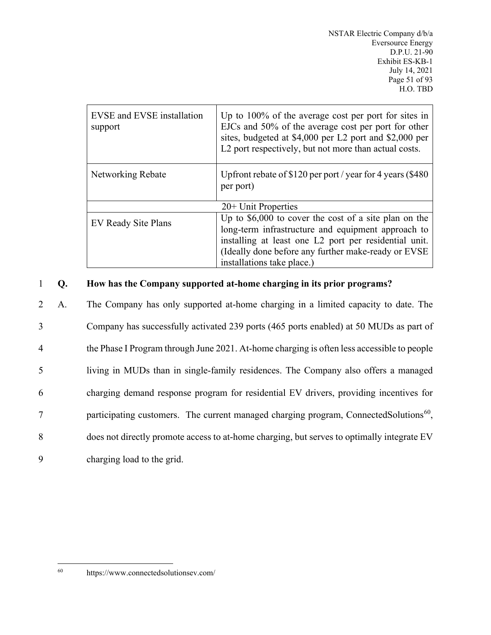| <b>EVSE</b> and <b>EVSE</b> installation<br>support | Up to $100\%$ of the average cost per port for sites in<br>EJCs and 50% of the average cost per port for other<br>sites, budgeted at \$4,000 per L2 port and \$2,000 per<br>L2 port respectively, but not more than actual costs.                           |  |
|-----------------------------------------------------|-------------------------------------------------------------------------------------------------------------------------------------------------------------------------------------------------------------------------------------------------------------|--|
| Networking Rebate                                   | Upfront rebate of \$120 per port / year for 4 years (\$480)<br>per port)                                                                                                                                                                                    |  |
| $20+$ Unit Properties                               |                                                                                                                                                                                                                                                             |  |
| EV Ready Site Plans                                 | Up to $$6,000$ to cover the cost of a site plan on the<br>long-term infrastructure and equipment approach to<br>installing at least one L2 port per residential unit.<br>(Ideally done before any further make-ready or EVSE)<br>installations take place.) |  |

# 1 **Q. How has the Company supported at-home charging in its prior programs?**

 A. The Company has only supported at-home charging in a limited capacity to date. The Company has successfully activated 239 ports (465 ports enabled) at 50 MUDs as part of the Phase I Program through June 2021. At-home charging is often less accessible to people living in MUDs than in single-family residences. The Company also offers a managed charging demand response program for residential EV drivers, providing incentives for  $7$  participating customers. The current managed charging program, ConnectedSolutions<sup>[60](#page-52-0)</sup>, does not directly promote access to at-home charging, but serves to optimally integrate EV charging load to the grid.

<span id="page-52-0"></span><sup>60</sup> https://www.connectedsolutionsev.com/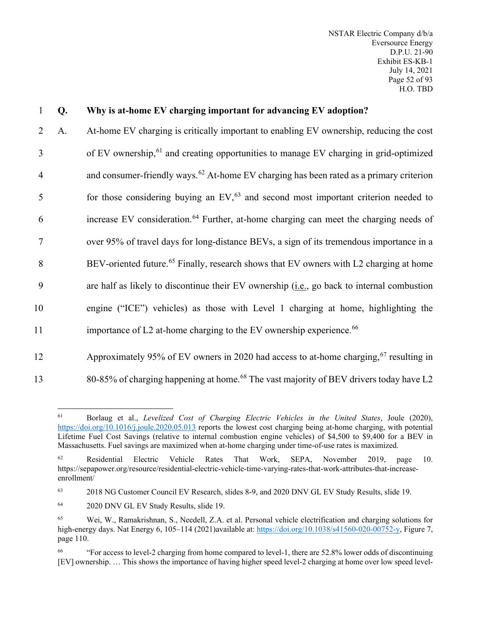| 1              | Q. | Why is at-home EV charging important for advancing EV adoption?                                    |
|----------------|----|----------------------------------------------------------------------------------------------------|
| 2              | A. | At-home EV charging is critically important to enabling EV ownership, reducing the cost            |
| 3              |    | of EV ownership, <sup>61</sup> and creating opportunities to manage EV charging in grid-optimized  |
| $\overline{4}$ |    | and consumer-friendly ways. $62$ At-home EV charging has been rated as a primary criterion         |
| 5              |    | for those considering buying an $EV1$ <sup>63</sup> and second most important criterion needed to  |
| 6              |    | increase EV consideration. <sup>64</sup> Further, at-home charging can meet the charging needs of  |
| 7              |    | over 95% of travel days for long-distance BEVs, a sign of its tremendous importance in a           |
| 8              |    | BEV-oriented future. <sup>65</sup> Finally, research shows that EV owners with L2 charging at home |
| 9              |    | are half as likely to discontinue their EV ownership (i.e., go back to internal combustion         |
| 10             |    | engine ("ICE") vehicles) as those with Level 1 charging at home, highlighting the                  |
| 11             |    | importance of L2 at-home charging to the EV ownership experience. <sup>66</sup>                    |
| 12             |    | Approximately 95% of EV owners in 2020 had access to at-home charging, <sup>67</sup> resulting in  |

<span id="page-53-0"></span>

80-85% of charging happening at home.<sup>[68](#page-53-7)</sup> The vast majority of BEV drivers today have L2

<sup>61</sup> Borlaug et al., *Levelized Cost of Charging Electric Vehicles in the United States*, Joule (2020), <https://doi.org/10.1016/j.joule.2020.05.013> reports the lowest cost charging being at-home charging, with potential Lifetime Fuel Cost Savings (relative to internal combustion engine vehicles) of \$4,500 to \$9,400 for a BEV in Massachusetts. Fuel savings are maximized when at-home charging under time-of-use rates is maximized.

<span id="page-53-1"></span><sup>62</sup> Residential Electric Vehicle Rates That Work, SEPA, November 2019, page 10. https://sepapower.org/resource/residential-electric-vehicle-time-varying-rates-that-work-attributes-that-increaseenrollment/

<span id="page-53-6"></span><span id="page-53-2"></span><sup>&</sup>lt;sup>63</sup> 2018 NG Customer Council EV Research, slides 8-9, and 2020 DNV GL EV Study Results, slide 19.

<span id="page-53-7"></span><span id="page-53-3"></span><sup>64</sup> 2020 DNV GL EV Study Results, slide 19.

<span id="page-53-4"></span><sup>65</sup> Wei, W., Ramakrishnan, S., Needell, Z.A. et al. Personal vehicle electrification and charging solutions for high-energy days. Nat Energy 6, 105–114 (2021)available at: [https://doi.org/10.1038/s41560-020-00752-y,](https://doi.org/10.1038/s41560-020-00752-y) Figure 7, page 110.

<span id="page-53-5"></span><sup>66</sup> "For access to level-2 charging from home compared to level-1, there are 52.8% lower odds of discontinuing [EV] ownership. … This shows the importance of having higher speed level-2 charging at home over low speed level-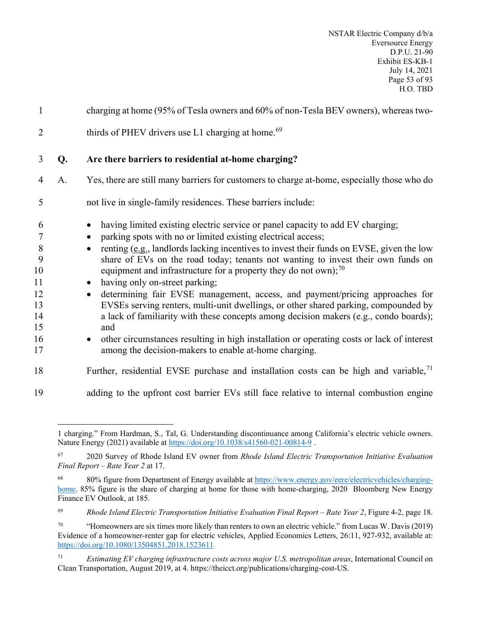| $\mathbf{1}$                                               |    | charging at home (95% of Tesla owners and 60% of non-Tesla BEV owners), whereas two-                                                                                                                                                                                                                                                                                                                                                                                                                                                                                                                                                                                                                                                                                                                                                                 |
|------------------------------------------------------------|----|------------------------------------------------------------------------------------------------------------------------------------------------------------------------------------------------------------------------------------------------------------------------------------------------------------------------------------------------------------------------------------------------------------------------------------------------------------------------------------------------------------------------------------------------------------------------------------------------------------------------------------------------------------------------------------------------------------------------------------------------------------------------------------------------------------------------------------------------------|
| $\overline{2}$                                             |    | thirds of PHEV drivers use L1 charging at home. <sup>69</sup>                                                                                                                                                                                                                                                                                                                                                                                                                                                                                                                                                                                                                                                                                                                                                                                        |
| 3                                                          | Q. | Are there barriers to residential at-home charging?                                                                                                                                                                                                                                                                                                                                                                                                                                                                                                                                                                                                                                                                                                                                                                                                  |
| $\overline{4}$                                             | A. | Yes, there are still many barriers for customers to charge at-home, especially those who do                                                                                                                                                                                                                                                                                                                                                                                                                                                                                                                                                                                                                                                                                                                                                          |
| 5                                                          |    | not live in single-family residences. These barriers include:                                                                                                                                                                                                                                                                                                                                                                                                                                                                                                                                                                                                                                                                                                                                                                                        |
| 6<br>7<br>8<br>9<br>10<br>11<br>12<br>13<br>14<br>15<br>16 |    | having limited existing electric service or panel capacity to add EV charging;<br>parking spots with no or limited existing electrical access;<br>renting (e.g., landlords lacking incentives to invest their funds on EVSE, given the low<br>share of EVs on the road today; tenants not wanting to invest their own funds on<br>equipment and infrastructure for a property they do not own); $^{70}$<br>having only on-street parking;<br>$\bullet$<br>determining fair EVSE management, access, and payment/pricing approaches for<br>$\bullet$<br>EVSEs serving renters, multi-unit dwellings, or other shared parking, compounded by<br>a lack of familiarity with these concepts among decision makers (e.g., condo boards);<br>and<br>other circumstances resulting in high installation or operating costs or lack of interest<br>$\bullet$ |
| 17                                                         |    | among the decision-makers to enable at-home charging.                                                                                                                                                                                                                                                                                                                                                                                                                                                                                                                                                                                                                                                                                                                                                                                                |
| 18                                                         |    | Further, residential EVSE purchase and installation costs can be high and variable, $\frac{1}{1}$                                                                                                                                                                                                                                                                                                                                                                                                                                                                                                                                                                                                                                                                                                                                                    |
| 19                                                         |    | adding to the upfront cost barrier EVs still face relative to internal combustion engine                                                                                                                                                                                                                                                                                                                                                                                                                                                                                                                                                                                                                                                                                                                                                             |

<span id="page-54-1"></span><sup>71</sup> *Estimating EV charging infrastructure costs across major U.S. metropolitan areas*, International Council on Clean Transportation, August 2019, at 4. https://theicct.org/publications/charging-cost-US.

<sup>1</sup> charging." From Hardman, S., Tal, G. Understanding discontinuance among California's electric vehicle owners. Nature Energy (2021) available at <https://doi.org/10.1038/s41560-021-00814-9> .

<sup>67</sup> 2020 Survey of Rhode Island EV owner from *Rhode Island Electric Transportation Initiative Evaluation Final Report – Rate Year 2* at 17.

<sup>68</sup> 80% figure from Department of Energy available at [https://www.energy.gov/eere/electricvehicles/charging](https://www.energy.gov/eere/electricvehicles/charging-home)[home.](https://www.energy.gov/eere/electricvehicles/charging-home) 85% figure is the share of charging at home for those with home-charging, 2020 Bloomberg New Energy Finance EV Outlook, at 185.

<sup>69</sup> *Rhode Island Electric Transportation Initiative Evaluation Final Report – Rate Year 2*, Figure 4-2, page 18.

<span id="page-54-0"></span><sup>&</sup>lt;sup>70</sup> "Homeowners are six times more likely than renters to own an electric vehicle." from Lucas W. Davis (2019) Evidence of a homeowner-renter gap for electric vehicles, Applied Economics Letters, 26:11, 927-932, available at: <https://doi.org/10.1080/13504851.2018.1523611>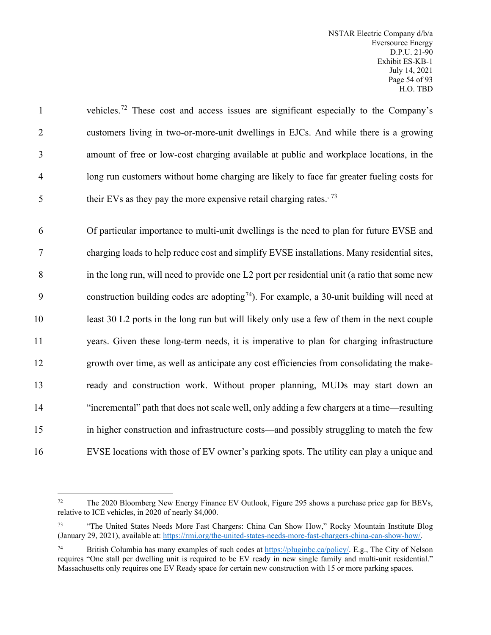1 vehicles.<sup>[72](#page-55-1)</sup> These cost and access issues are significant especially to the Company's 2 customers living in two-or-more-unit dwellings in EJCs. And while there is a growing 3 amount of free or low-cost charging available at public and workplace locations, in the 4 long run customers without home charging are likely to face far greater fueling costs for 5 their EVs as they pay the more expensive retail charging rates.<sup>[73](#page-55-2)</sup>

 Of particular importance to multi-unit dwellings is the need to plan for future EVSE and charging loads to help reduce cost and simplify EVSE installations. Many residential sites, in the long run, will need to provide one L2 port per residential unit (a ratio that some new 9 construction building codes are adopting<sup>[74](#page-55-3)</sup>). For example, a 30-unit building will need at least 30 L2 ports in the long run but will likely only use a few of them in the next couple years. Given these long-term needs, it is imperative to plan for charging infrastructure growth over time, as well as anticipate any cost efficiencies from consolidating the make- ready and construction work. Without proper planning, MUDs may start down an "incremental" path that does not scale well, only adding a few chargers at a time—resulting in higher construction and infrastructure costs—and possibly struggling to match the few EVSE locations with those of EV owner's parking spots. The utility can play a unique and

<span id="page-55-1"></span><span id="page-55-0"></span><sup>72</sup> The 2020 Bloomberg New Energy Finance EV Outlook, Figure 295 shows a purchase price gap for BEVs, relative to ICE vehicles, in 2020 of nearly \$4,000.

<span id="page-55-2"></span><sup>&</sup>lt;sup>73</sup> "The United States Needs More Fast Chargers: China Can Show How," Rocky Mountain Institute Blog (January 29, 2021), available at: [https://rmi.org/the-united-states-needs-more-fast-chargers-china-can-show-how/.](https://rmi.org/the-united-states-needs-more-fast-chargers-china-can-show-how/)

<span id="page-55-3"></span><sup>74</sup> British Columbia has many examples of such codes at [https://pluginbc.ca/policy/.](https://pluginbc.ca/policy/) E.g., The City of Nelson requires "One stall per dwelling unit is required to be EV ready in new single family and multi-unit residential." Massachusetts only requires one EV Ready space for certain new construction with 15 or more parking spaces.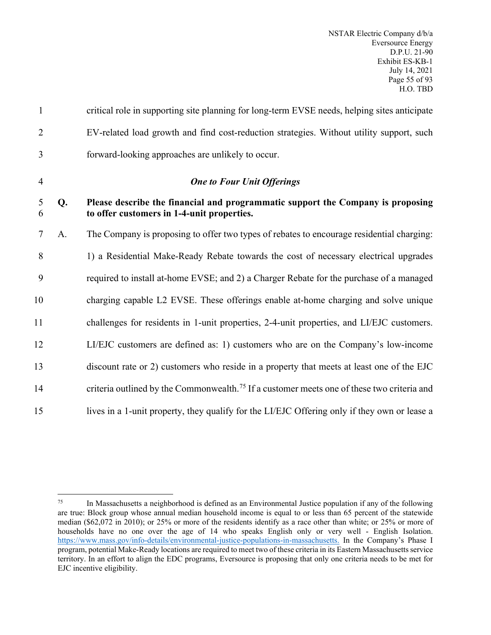| $\mathbf{1}$   |    | critical role in supporting site planning for long-term EVSE needs, helping sites anticipate                                  |  |  |
|----------------|----|-------------------------------------------------------------------------------------------------------------------------------|--|--|
| $\overline{2}$ |    | EV-related load growth and find cost-reduction strategies. Without utility support, such                                      |  |  |
| 3              |    | forward-looking approaches are unlikely to occur.                                                                             |  |  |
| $\overline{4}$ |    | <b>One to Four Unit Offerings</b>                                                                                             |  |  |
| 5<br>6         | Q. | Please describe the financial and programmatic support the Company is proposing<br>to offer customers in 1-4-unit properties. |  |  |
| $\overline{7}$ | A. | The Company is proposing to offer two types of rebates to encourage residential charging:                                     |  |  |
| 8              |    | 1) a Residential Make-Ready Rebate towards the cost of necessary electrical upgrades                                          |  |  |
| 9              |    | required to install at-home EVSE; and 2) a Charger Rebate for the purchase of a managed                                       |  |  |
| 10             |    | charging capable L2 EVSE. These offerings enable at-home charging and solve unique                                            |  |  |
| 11             |    | challenges for residents in 1-unit properties, 2-4-unit properties, and LI/EJC customers.                                     |  |  |
| 12             |    | LI/EJC customers are defined as: 1) customers who are on the Company's low-income                                             |  |  |
| 13             |    | discount rate or 2) customers who reside in a property that meets at least one of the EJC                                     |  |  |
| 14             |    | criteria outlined by the Commonwealth. <sup>75</sup> If a customer meets one of these two criteria and                        |  |  |
| 15             |    | lives in a 1-unit property, they qualify for the LI/EJC Offering only if they own or lease a                                  |  |  |

<span id="page-56-0"></span><sup>75</sup> In Massachusetts a neighborhood is defined as an Environmental Justice population if any of the following are true: Block group whose annual median household income is equal to or less than 65 percent of the statewide median (\$62,072 in 2010); or 25% or more of the residents identify as a race other than white; or 25% or more of households have no one over the age of 14 who speaks English only or very well - English Isolation. [https://www.mass.gov/info-details/environmental-justice-populations-in-massachusetts.](https://www.mass.gov/info-details/environmental-justice-populations-in-massachusetts) In the Company's Phase I program, potential Make-Ready locations are required to meet two of these criteria in its Eastern Massachusetts service territory. In an effort to align the EDC programs, Eversource is proposing that only one criteria needs to be met for EJC incentive eligibility.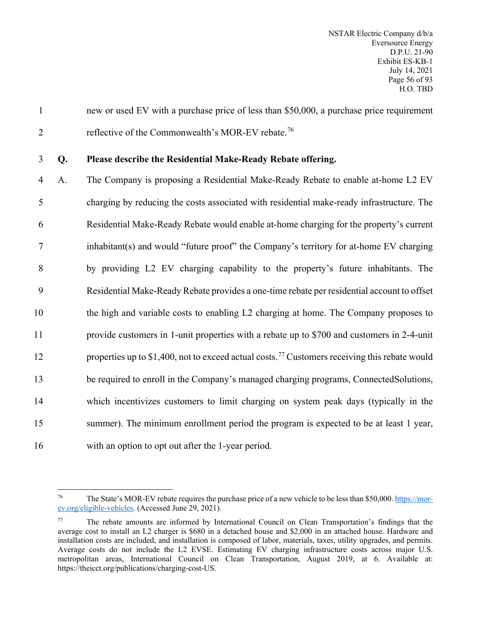1 new or used EV with a purchase price of less than \$50,000, a purchase price requirement 2 reflective of the Commonwealth's MOR-EV rebate.<sup>[76](#page-57-0)</sup>

#### 3 **Q. Please describe the Residential Make-Ready Rebate offering.**

 A. The Company is proposing a Residential Make-Ready Rebate to enable at-home L2 EV charging by reducing the costs associated with residential make-ready infrastructure. The Residential Make-Ready Rebate would enable at-home charging for the property's current inhabitant(s) and would "future proof" the Company's territory for at-home EV charging by providing L2 EV charging capability to the property's future inhabitants. The Residential Make-Ready Rebate provides a one-time rebate per residential account to offset 10 the high and variable costs to enabling L2 charging at home. The Company proposes to provide customers in 1-unit properties with a rebate up to \$700 and customers in 2-4-unit 12 properties up to \$1,400, not to exceed actual costs.<sup>[77](#page-57-1)</sup> Customers receiving this rebate would be required to enroll in the Company's managed charging programs, ConnectedSolutions, which incentivizes customers to limit charging on system peak days (typically in the summer). The minimum enrollment period the program is expected to be at least 1 year, with an option to opt out after the 1-year period.

<span id="page-57-0"></span><sup>&</sup>lt;sup>76</sup> The State's MOR-EV rebate requires the purchase price of a new vehicle to be less than \$50,000. [https://mor](https://mor-ev.org/eligible-vehicles)[ev.org/eligible-vehicles.](https://mor-ev.org/eligible-vehicles) (Accessed June 29, 2021).

<span id="page-57-1"></span>The rebate amounts are informed by International Council on Clean Transportation's findings that the average cost to install an L2 charger is \$680 in a detached house and \$2,000 in an attached house. Hardware and installation costs are included, and installation is composed of labor, materials, taxes, utility upgrades, and permits. Average costs do not include the L2 EVSE. Estimating EV charging infrastructure costs across major U.S. metropolitan areas, International Council on Clean Transportation, August 2019, at 6. Available at: https://theicct.org/publications/charging-cost-US.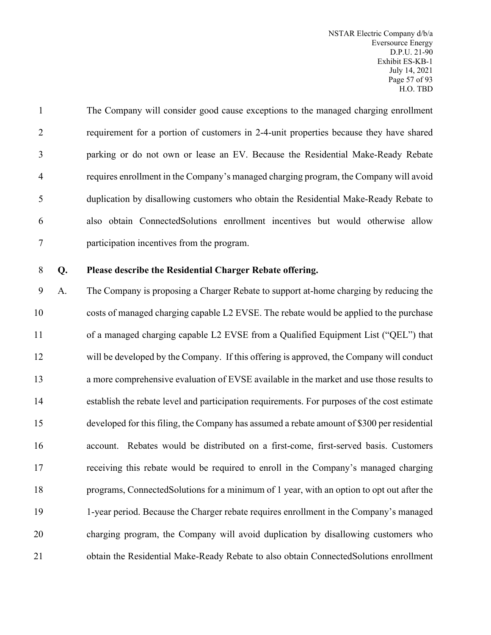| $\mathbf{1}$   | The Company will consider good cause exceptions to the managed charging enrollment     |
|----------------|----------------------------------------------------------------------------------------|
| 2              | requirement for a portion of customers in 2-4-unit properties because they have shared |
| 3              | parking or do not own or lease an EV. Because the Residential Make-Ready Rebate        |
| $\overline{4}$ | requires enrollment in the Company's managed charging program, the Company will avoid  |
| 5              | duplication by disallowing customers who obtain the Residential Make-Ready Rebate to   |
| 6              | also obtain ConnectedSolutions enrollment incentives but would otherwise allow         |
| 7              | participation incentives from the program.                                             |

#### **Q. Please describe the Residential Charger Rebate offering.**

 A. The Company is proposing a Charger Rebate to support at-home charging by reducing the costs of managed charging capable L2 EVSE. The rebate would be applied to the purchase of a managed charging capable L2 EVSE from a Qualified Equipment List ("QEL") that will be developed by the Company. If this offering is approved, the Company will conduct a more comprehensive evaluation of EVSE available in the market and use those results to establish the rebate level and participation requirements. For purposes of the cost estimate developed for this filing, the Company has assumed a rebate amount of \$300 per residential account. Rebates would be distributed on a first-come, first-served basis. Customers receiving this rebate would be required to enroll in the Company's managed charging programs, ConnectedSolutions for a minimum of 1 year, with an option to opt out after the 1-year period. Because the Charger rebate requires enrollment in the Company's managed charging program, the Company will avoid duplication by disallowing customers who obtain the Residential Make-Ready Rebate to also obtain ConnectedSolutions enrollment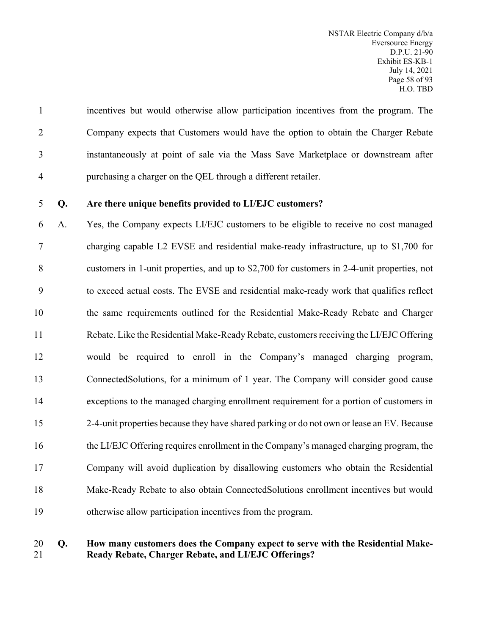incentives but would otherwise allow participation incentives from the program. The Company expects that Customers would have the option to obtain the Charger Rebate instantaneously at point of sale via the Mass Save Marketplace or downstream after purchasing a charger on the QEL through a different retailer.

### **Q. Are there unique benefits provided to LI/EJC customers?**

 A. Yes, the Company expects LI/EJC customers to be eligible to receive no cost managed charging capable L2 EVSE and residential make-ready infrastructure, up to \$1,700 for customers in 1-unit properties, and up to \$2,700 for customers in 2-4-unit properties, not to exceed actual costs. The EVSE and residential make-ready work that qualifies reflect the same requirements outlined for the Residential Make-Ready Rebate and Charger Rebate. Like the Residential Make-Ready Rebate, customers receiving the LI/EJC Offering would be required to enroll in the Company's managed charging program, ConnectedSolutions, for a minimum of 1 year. The Company will consider good cause exceptions to the managed charging enrollment requirement for a portion of customers in 2-4-unit properties because they have shared parking or do not own or lease an EV. Because the LI/EJC Offering requires enrollment in the Company's managed charging program, the Company will avoid duplication by disallowing customers who obtain the Residential Make-Ready Rebate to also obtain ConnectedSolutions enrollment incentives but would otherwise allow participation incentives from the program.

## **Q. How many customers does the Company expect to serve with the Residential Make-Ready Rebate, Charger Rebate, and LI/EJC Offerings?**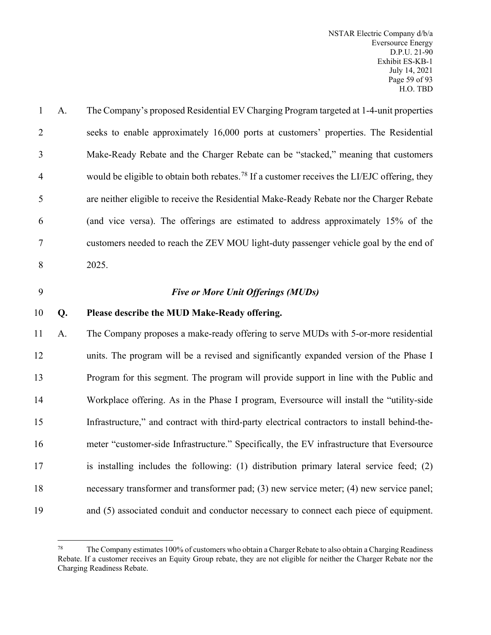| $\mathbf{1}$   | A. | The Company's proposed Residential EV Charging Program targeted at 1-4-unit properties                   |
|----------------|----|----------------------------------------------------------------------------------------------------------|
| 2              |    | seeks to enable approximately 16,000 ports at customers' properties. The Residential                     |
| 3              |    | Make-Ready Rebate and the Charger Rebate can be "stacked," meaning that customers                        |
| $\overline{4}$ |    | would be eligible to obtain both rebates. <sup>78</sup> If a customer receives the LI/EJC offering, they |
| 5              |    | are neither eligible to receive the Residential Make-Ready Rebate nor the Charger Rebate                 |
| 6              |    | (and vice versa). The offerings are estimated to address approximately 15% of the                        |
| $\overline{7}$ |    | customers needed to reach the ZEV MOU light-duty passenger vehicle goal by the end of                    |
| 8              |    | 2025.                                                                                                    |
|                |    |                                                                                                          |

## 9 *Five or More Unit Offerings (MUDs)*

#### 10 **Q. Please describe the MUD Make-Ready offering.**

 A. The Company proposes a make-ready offering to serve MUDs with 5-or-more residential units. The program will be a revised and significantly expanded version of the Phase I Program for this segment. The program will provide support in line with the Public and Workplace offering. As in the Phase I program, Eversource will install the "utility-side Infrastructure," and contract with third-party electrical contractors to install behind-the- meter "customer-side Infrastructure." Specifically, the EV infrastructure that Eversource 17 is installing includes the following: (1) distribution primary lateral service feed; (2) necessary transformer and transformer pad; (3) new service meter; (4) new service panel; and (5) associated conduit and conductor necessary to connect each piece of equipment.

<span id="page-60-0"></span><sup>&</sup>lt;sup>78</sup> The Company estimates 100% of customers who obtain a Charger Rebate to also obtain a Charging Readiness Rebate. If a customer receives an Equity Group rebate, they are not eligible for neither the Charger Rebate nor the Charging Readiness Rebate.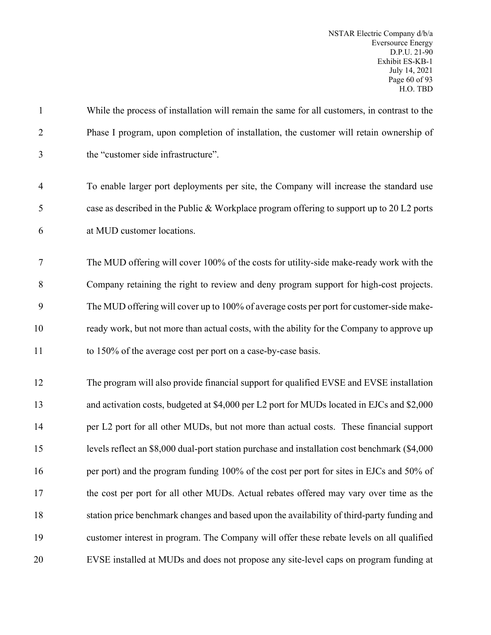| $\mathbf{1}$   | While the process of installation will remain the same for all customers, in contrast to the   |
|----------------|------------------------------------------------------------------------------------------------|
| $\overline{2}$ | Phase I program, upon completion of installation, the customer will retain ownership of        |
| 3              | the "customer side infrastructure".                                                            |
| $\overline{4}$ | To enable larger port deployments per site, the Company will increase the standard use         |
| 5              | case as described in the Public & Workplace program offering to support up to 20 L2 ports      |
| 6              | at MUD customer locations.                                                                     |
| $\tau$         | The MUD offering will cover 100% of the costs for utility-side make-ready work with the        |
| 8              | Company retaining the right to review and deny program support for high-cost projects.         |
| 9              | The MUD offering will cover up to 100% of average costs per port for customer-side make-       |
| 10             | ready work, but not more than actual costs, with the ability for the Company to approve up     |
|                |                                                                                                |
| 11             | to 150% of the average cost per port on a case-by-case basis.                                  |
| 12             | The program will also provide financial support for qualified EVSE and EVSE installation       |
| 13             | and activation costs, budgeted at \$4,000 per L2 port for MUDs located in EJCs and \$2,000     |
| 14             | per L2 port for all other MUDs, but not more than actual costs. These financial support        |
| 15             | levels reflect an \$8,000 dual-port station purchase and installation cost benchmark (\$4,000) |
| 16             | per port) and the program funding 100% of the cost per port for sites in EJCs and 50% of       |
| 17             | the cost per port for all other MUDs. Actual rebates offered may vary over time as the         |
| 18             | station price benchmark changes and based upon the availability of third-party funding and     |
| 19             | customer interest in program. The Company will offer these rebate levels on all qualified      |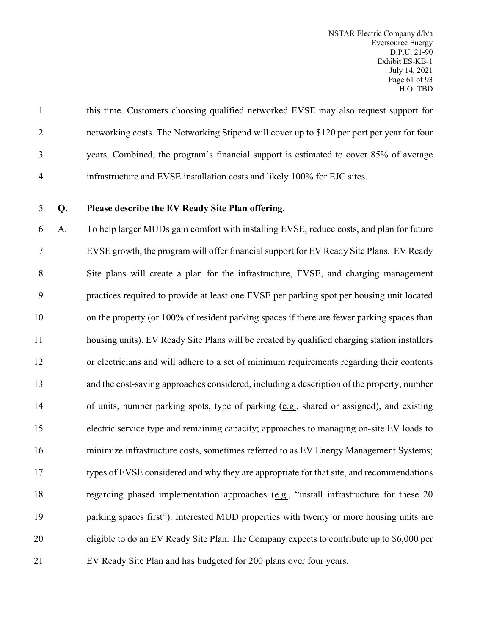this time. Customers choosing qualified networked EVSE may also request support for networking costs. The Networking Stipend will cover up to \$120 per port per year for four years. Combined, the program's financial support is estimated to cover 85% of average infrastructure and EVSE installation costs and likely 100% for EJC sites.

**Q. Please describe the EV Ready Site Plan offering.**

 A. To help larger MUDs gain comfort with installing EVSE, reduce costs, and plan for future EVSE growth, the program will offer financial support for EV Ready Site Plans. EV Ready Site plans will create a plan for the infrastructure, EVSE, and charging management practices required to provide at least one EVSE per parking spot per housing unit located 10 on the property (or 100% of resident parking spaces if there are fewer parking spaces than housing units). EV Ready Site Plans will be created by qualified charging station installers or electricians and will adhere to a set of minimum requirements regarding their contents and the cost-saving approaches considered, including a description of the property, number of units, number parking spots, type of parking (e.g., shared or assigned), and existing electric service type and remaining capacity; approaches to managing on-site EV loads to minimize infrastructure costs, sometimes referred to as EV Energy Management Systems; types of EVSE considered and why they are appropriate for that site, and recommendations regarding phased implementation approaches (e.g., "install infrastructure for these 20 parking spaces first"). Interested MUD properties with twenty or more housing units are eligible to do an EV Ready Site Plan. The Company expects to contribute up to \$6,000 per EV Ready Site Plan and has budgeted for 200 plans over four years.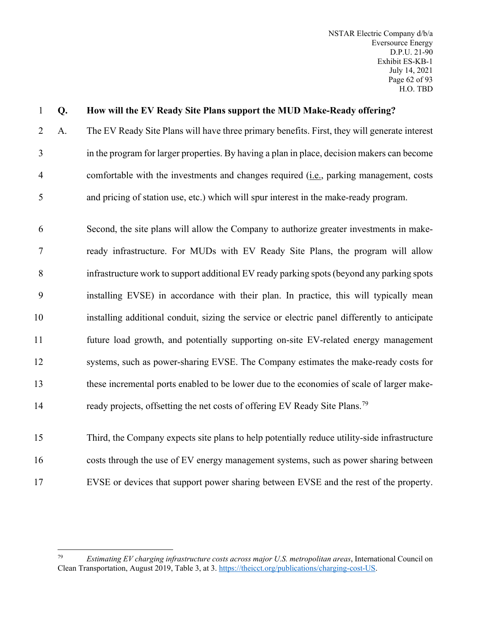## **Q. How will the EV Ready Site Plans support the MUD Make-Ready offering?**

 A. The EV Ready Site Plans will have three primary benefits. First, they will generate interest in the program for larger properties. By having a plan in place, decision makers can become comfortable with the investments and changes required (i.e., parking management, costs and pricing of station use, etc.) which will spur interest in the make-ready program.

 Second, the site plans will allow the Company to authorize greater investments in make- ready infrastructure. For MUDs with EV Ready Site Plans, the program will allow infrastructure work to support additional EV ready parking spots (beyond any parking spots installing EVSE) in accordance with their plan. In practice, this will typically mean installing additional conduit, sizing the service or electric panel differently to anticipate future load growth, and potentially supporting on-site EV-related energy management systems, such as power-sharing EVSE. The Company estimates the make-ready costs for these incremental ports enabled to be lower due to the economies of scale of larger make-14 ready projects, offsetting the net costs of offering EV Ready Site Plans.<sup>[79](#page-63-0)</sup>

 Third, the Company expects site plans to help potentially reduce utility-side infrastructure costs through the use of EV energy management systems, such as power sharing between EVSE or devices that support power sharing between EVSE and the rest of the property.

<span id="page-63-0"></span> *Estimating EV charging infrastructure costs across major U.S. metropolitan areas*, International Council on Clean Transportation, August 2019, Table 3, at 3. [https://theicct.org/publications/charging-cost-US.](https://theicct.org/publications/charging-cost-US)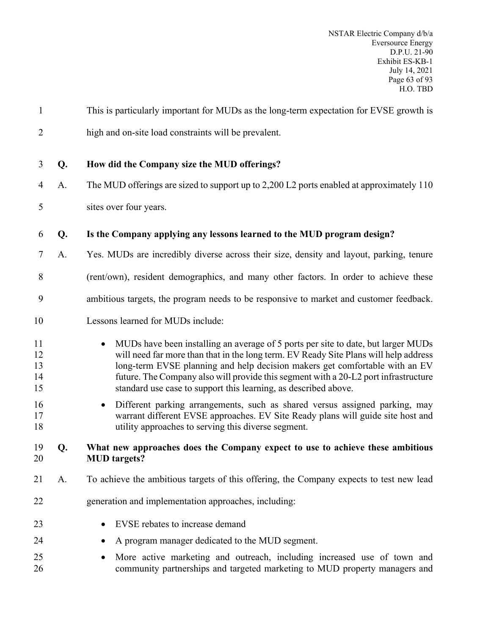| $\mathbf{1}$               |    | This is particularly important for MUDs as the long-term expectation for EVSE growth is                                                                                                                                                                                                                                                                                                                                         |  |  |  |
|----------------------------|----|---------------------------------------------------------------------------------------------------------------------------------------------------------------------------------------------------------------------------------------------------------------------------------------------------------------------------------------------------------------------------------------------------------------------------------|--|--|--|
| $\overline{2}$             |    | high and on-site load constraints will be prevalent.                                                                                                                                                                                                                                                                                                                                                                            |  |  |  |
| 3                          | Q. | How did the Company size the MUD offerings?                                                                                                                                                                                                                                                                                                                                                                                     |  |  |  |
| $\overline{4}$             | A. | The MUD offerings are sized to support up to 2,200 L2 ports enabled at approximately 110                                                                                                                                                                                                                                                                                                                                        |  |  |  |
| 5                          |    | sites over four years.                                                                                                                                                                                                                                                                                                                                                                                                          |  |  |  |
| 6                          | Q. | Is the Company applying any lessons learned to the MUD program design?                                                                                                                                                                                                                                                                                                                                                          |  |  |  |
| 7                          | A. | Yes. MUDs are incredibly diverse across their size, density and layout, parking, tenure                                                                                                                                                                                                                                                                                                                                         |  |  |  |
| 8                          |    | (rent/own), resident demographics, and many other factors. In order to achieve these                                                                                                                                                                                                                                                                                                                                            |  |  |  |
| 9                          |    | ambitious targets, the program needs to be responsive to market and customer feedback.                                                                                                                                                                                                                                                                                                                                          |  |  |  |
| 10                         |    | Lessons learned for MUDs include:                                                                                                                                                                                                                                                                                                                                                                                               |  |  |  |
| 11<br>12<br>13<br>14<br>15 |    | MUDs have been installing an average of 5 ports per site to date, but larger MUDs<br>$\bullet$<br>will need far more than that in the long term. EV Ready Site Plans will help address<br>long-term EVSE planning and help decision makers get comfortable with an EV<br>future. The Company also will provide this segment with a 20-L2 port infrastructure<br>standard use case to support this learning, as described above. |  |  |  |
| 16<br>17<br>18             |    | Different parking arrangements, such as shared versus assigned parking, may<br>$\bullet$<br>warrant different EVSE approaches. EV Site Ready plans will guide site host and<br>utility approaches to serving this diverse segment.                                                                                                                                                                                              |  |  |  |
| 19<br>20                   | Q. | What new approaches does the Company expect to use to achieve these ambitious<br><b>MUD</b> targets?                                                                                                                                                                                                                                                                                                                            |  |  |  |
| 21                         | A. | To achieve the ambitious targets of this offering, the Company expects to test new lead                                                                                                                                                                                                                                                                                                                                         |  |  |  |
| 22                         |    | generation and implementation approaches, including:                                                                                                                                                                                                                                                                                                                                                                            |  |  |  |
| 23                         |    | EVSE rebates to increase demand                                                                                                                                                                                                                                                                                                                                                                                                 |  |  |  |
| 24                         |    | A program manager dedicated to the MUD segment.                                                                                                                                                                                                                                                                                                                                                                                 |  |  |  |
| 25<br>26                   |    | More active marketing and outreach, including increased use of town and<br>community partnerships and targeted marketing to MUD property managers and                                                                                                                                                                                                                                                                           |  |  |  |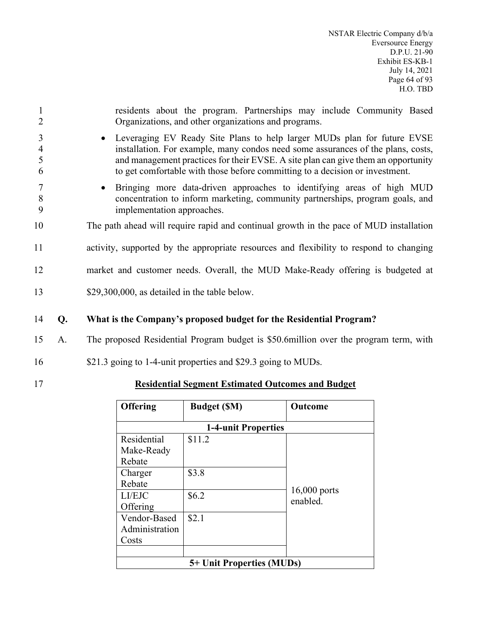| 2                             |    | residents about the program. Partnerships may include Community Based<br>Organizations, and other organizations and programs.                                                                                                                                                                                                      |
|-------------------------------|----|------------------------------------------------------------------------------------------------------------------------------------------------------------------------------------------------------------------------------------------------------------------------------------------------------------------------------------|
| 3<br>$\overline{4}$<br>5<br>6 |    | • Leveraging EV Ready Site Plans to help larger MUDs plan for future EVSE<br>installation. For example, many condos need some assurances of the plans, costs,<br>and management practices for their EVSE. A site plan can give them an opportunity<br>to get comfortable with those before committing to a decision or investment. |
| 7<br>8<br>9                   |    | Bringing more data-driven approaches to identifying areas of high MUD<br>concentration to inform marketing, community partnerships, program goals, and<br>implementation approaches.                                                                                                                                               |
| 10                            |    | The path ahead will require rapid and continual growth in the pace of MUD installation                                                                                                                                                                                                                                             |
| 11                            |    | activity, supported by the appropriate resources and flexibility to respond to changing                                                                                                                                                                                                                                            |
| 12                            |    | market and customer needs. Overall, the MUD Make-Ready offering is budgeted at                                                                                                                                                                                                                                                     |
| 13                            |    | \$29,300,000, as detailed in the table below.                                                                                                                                                                                                                                                                                      |
| 14                            | Q. | What is the Company's proposed budget for the Residential Program?                                                                                                                                                                                                                                                                 |
| 15                            | A. | The proposed Residential Program budget is \$50.6 million over the program term, with                                                                                                                                                                                                                                              |
|                               |    |                                                                                                                                                                                                                                                                                                                                    |

- 16 \$21.3 going to 1-4-unit properties and \$29.3 going to MUDs.
- 

# 17 **Residential Segment Estimated Outcomes and Budget**

| <b>Offering</b>           | <b>Budget (SM)</b> | Outcome                  |  |  |
|---------------------------|--------------------|--------------------------|--|--|
| 1-4-unit Properties       |                    |                          |  |  |
| Residential               | \$11.2             |                          |  |  |
| Make-Ready                |                    |                          |  |  |
| Rebate                    |                    |                          |  |  |
| Charger                   | \$3.8              |                          |  |  |
| Rebate                    |                    |                          |  |  |
| LI/EJC                    | \$6.2\$            | 16,000 ports<br>enabled. |  |  |
| Offering                  |                    |                          |  |  |
| Vendor-Based              | \$2.1              |                          |  |  |
| Administration            |                    |                          |  |  |
| Costs                     |                    |                          |  |  |
|                           |                    |                          |  |  |
| 5+ Unit Properties (MUDs) |                    |                          |  |  |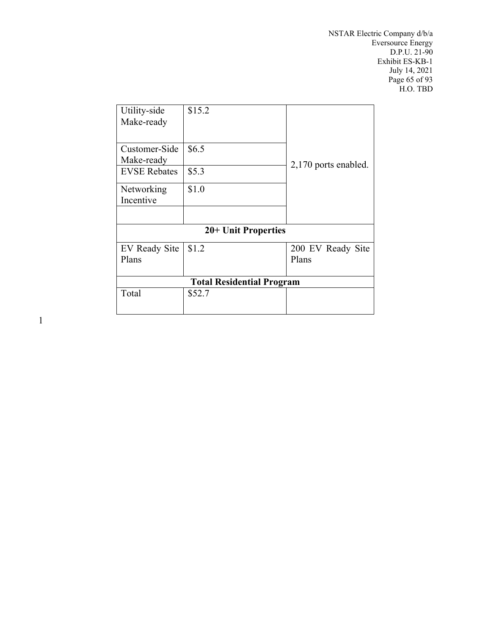NSTAR Electric Company d/b/a Eversource Energy D.P.U. 21-90 Exhibit ES-KB-1 July 14, 2021 Page 65 of 93 H.O. TBD

| \$15.2                           |                      |  |  |  |  |
|----------------------------------|----------------------|--|--|--|--|
| \$6.5                            |                      |  |  |  |  |
| \$5.3                            | 2,170 ports enabled. |  |  |  |  |
| \$1.0                            |                      |  |  |  |  |
|                                  |                      |  |  |  |  |
|                                  |                      |  |  |  |  |
| 20+ Unit Properties              |                      |  |  |  |  |
| \$1.2                            | 200 EV Ready Site    |  |  |  |  |
|                                  | Plans                |  |  |  |  |
|                                  |                      |  |  |  |  |
| <b>Total Residential Program</b> |                      |  |  |  |  |
| \$52.7                           |                      |  |  |  |  |
|                                  |                      |  |  |  |  |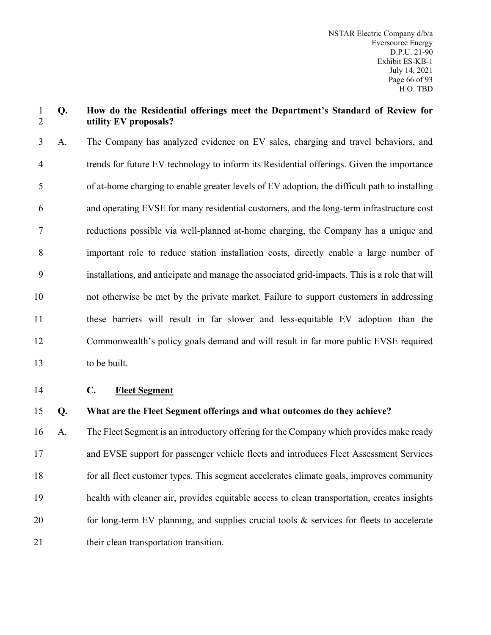#### **Q. How do the Residential offerings meet the Department's Standard of Review for utility EV proposals?**

 A. The Company has analyzed evidence on EV sales, charging and travel behaviors, and trends for future EV technology to inform its Residential offerings. Given the importance of at-home charging to enable greater levels of EV adoption, the difficult path to installing and operating EVSE for many residential customers, and the long-term infrastructure cost reductions possible via well-planned at-home charging, the Company has a unique and important role to reduce station installation costs, directly enable a large number of installations, and anticipate and manage the associated grid-impacts. This is a role that will not otherwise be met by the private market. Failure to support customers in addressing these barriers will result in far slower and less-equitable EV adoption than the Commonwealth's policy goals demand and will result in far more public EVSE required to be built.

**C. Fleet Segment**

**Q. What are the Fleet Segment offerings and what outcomes do they achieve?**

 A. The Fleet Segment is an introductory offering for the Company which provides make ready and EVSE support for passenger vehicle fleets and introduces Fleet Assessment Services for all fleet customer types. This segment accelerates climate goals, improves community health with cleaner air, provides equitable access to clean transportation, creates insights 20 for long-term EV planning, and supplies crucial tools & services for fleets to accelerate 21 their clean transportation transition.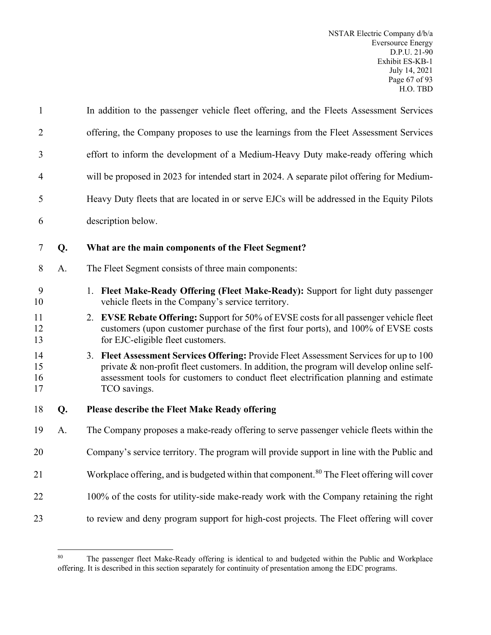| $\mathbf{1}$         |    | In addition to the passenger vehicle fleet offering, and the Fleets Assessment Services                                                                                                                                                                                                        |  |  |
|----------------------|----|------------------------------------------------------------------------------------------------------------------------------------------------------------------------------------------------------------------------------------------------------------------------------------------------|--|--|
| $\overline{2}$       |    | offering, the Company proposes to use the learnings from the Fleet Assessment Services                                                                                                                                                                                                         |  |  |
| 3                    |    | effort to inform the development of a Medium-Heavy Duty make-ready offering which                                                                                                                                                                                                              |  |  |
| 4                    |    | will be proposed in 2023 for intended start in 2024. A separate pilot offering for Medium-                                                                                                                                                                                                     |  |  |
| 5                    |    | Heavy Duty fleets that are located in or serve EJCs will be addressed in the Equity Pilots                                                                                                                                                                                                     |  |  |
| 6                    |    | description below.                                                                                                                                                                                                                                                                             |  |  |
| 7                    | Q. | What are the main components of the Fleet Segment?                                                                                                                                                                                                                                             |  |  |
| 8                    | A. | The Fleet Segment consists of three main components:                                                                                                                                                                                                                                           |  |  |
| 9<br>10              |    | 1. Fleet Make-Ready Offering (Fleet Make-Ready): Support for light duty passenger<br>vehicle fleets in the Company's service territory.                                                                                                                                                        |  |  |
| 11<br>12<br>13       |    | 2. EVSE Rebate Offering: Support for 50% of EVSE costs for all passenger vehicle fleet<br>customers (upon customer purchase of the first four ports), and 100% of EVSE costs<br>for EJC-eligible fleet customers.                                                                              |  |  |
| 14<br>15<br>16<br>17 |    | 3. Fleet Assessment Services Offering: Provide Fleet Assessment Services for up to 100<br>private $\&$ non-profit fleet customers. In addition, the program will develop online self-<br>assessment tools for customers to conduct fleet electrification planning and estimate<br>TCO savings. |  |  |
| 18                   | Q. | <b>Please describe the Fleet Make Ready offering</b>                                                                                                                                                                                                                                           |  |  |
| 19                   | A. | The Company proposes a make-ready offering to serve passenger vehicle fleets within the                                                                                                                                                                                                        |  |  |
| 20                   |    | Company's service territory. The program will provide support in line with the Public and                                                                                                                                                                                                      |  |  |
| 21                   |    | Workplace offering, and is budgeted within that component. <sup>80</sup> The Fleet offering will cover                                                                                                                                                                                         |  |  |
| 22                   |    | 100% of the costs for utility-side make-ready work with the Company retaining the right                                                                                                                                                                                                        |  |  |
| 23                   |    | to review and deny program support for high-cost projects. The Fleet offering will cover                                                                                                                                                                                                       |  |  |

<span id="page-68-0"></span><sup>&</sup>lt;sup>80</sup> The passenger fleet Make-Ready offering is identical to and budgeted within the Public and Workplace offering. It is described in this section separately for continuity of presentation among the EDC programs.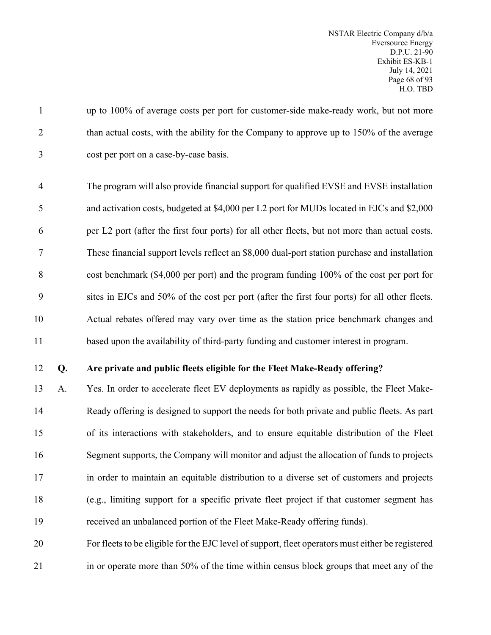up to 100% of average costs per port for customer-side make-ready work, but not more 2 than actual costs, with the ability for the Company to approve up to 150% of the average cost per port on a case-by-case basis.

 The program will also provide financial support for qualified EVSE and EVSE installation 5 and activation costs, budgeted at \$4,000 per L2 port for MUDs located in EJCs and \$2,000 per L2 port (after the first four ports) for all other fleets, but not more than actual costs. These financial support levels reflect an \$8,000 dual-port station purchase and installation cost benchmark (\$4,000 per port) and the program funding 100% of the cost per port for sites in EJCs and 50% of the cost per port (after the first four ports) for all other fleets. Actual rebates offered may vary over time as the station price benchmark changes and based upon the availability of third-party funding and customer interest in program.

#### **Q. Are private and public fleets eligible for the Fleet Make-Ready offering?**

 A. Yes. In order to accelerate fleet EV deployments as rapidly as possible, the Fleet Make- Ready offering is designed to support the needs for both private and public fleets. As part of its interactions with stakeholders, and to ensure equitable distribution of the Fleet Segment supports, the Company will monitor and adjust the allocation of funds to projects in order to maintain an equitable distribution to a diverse set of customers and projects (e.g., limiting support for a specific private fleet project if that customer segment has received an unbalanced portion of the Fleet Make-Ready offering funds).

 For fleets to be eligible for the EJC level of support, fleet operators must either be registered in or operate more than 50% of the time within census block groups that meet any of the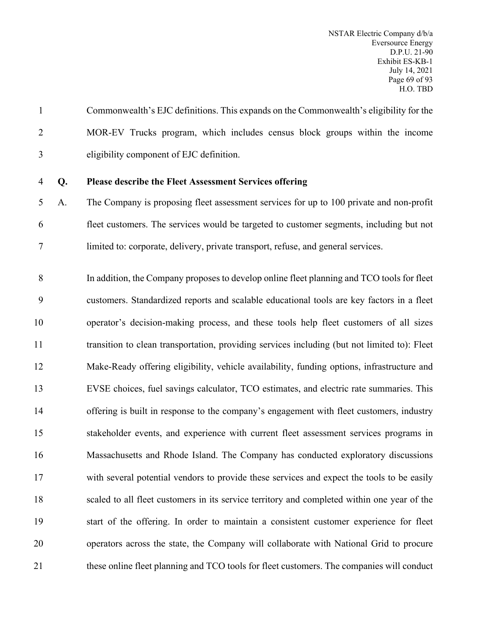Commonwealth's EJC definitions. This expands on the Commonwealth's eligibility for the MOR-EV Trucks program, which includes census block groups within the income eligibility component of EJC definition.

## **Q. Please describe the Fleet Assessment Services offering**

 A. The Company is proposing fleet assessment services for up to 100 private and non-profit fleet customers. The services would be targeted to customer segments, including but not limited to: corporate, delivery, private transport, refuse, and general services.

 In addition, the Company proposes to develop online fleet planning and TCO tools for fleet customers. Standardized reports and scalable educational tools are key factors in a fleet operator's decision-making process, and these tools help fleet customers of all sizes transition to clean transportation, providing services including (but not limited to): Fleet Make-Ready offering eligibility, vehicle availability, funding options, infrastructure and EVSE choices, fuel savings calculator, TCO estimates, and electric rate summaries. This offering is built in response to the company's engagement with fleet customers, industry stakeholder events, and experience with current fleet assessment services programs in Massachusetts and Rhode Island. The Company has conducted exploratory discussions with several potential vendors to provide these services and expect the tools to be easily scaled to all fleet customers in its service territory and completed within one year of the start of the offering. In order to maintain a consistent customer experience for fleet operators across the state, the Company will collaborate with National Grid to procure these online fleet planning and TCO tools for fleet customers. The companies will conduct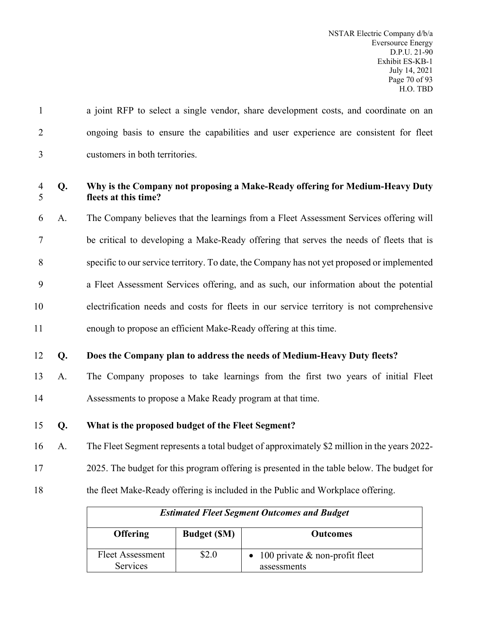| $\mathbf{1}$   |    | a joint RFP to select a single vendor, share development costs, and coordinate on an                 |
|----------------|----|------------------------------------------------------------------------------------------------------|
| $\overline{2}$ |    | ongoing basis to ensure the capabilities and user experience are consistent for fleet                |
| 3              |    | customers in both territories.                                                                       |
| 4<br>5         | Q. | Why is the Company not proposing a Make-Ready offering for Medium-Heavy Duty<br>fleets at this time? |
| 6              | A. | The Company believes that the learnings from a Fleet Assessment Services offering will               |
| 7              |    | be critical to developing a Make-Ready offering that serves the needs of fleets that is              |
| 8              |    | specific to our service territory. To date, the Company has not yet proposed or implemented          |
| 9              |    | a Fleet Assessment Services offering, and as such, our information about the potential               |
| 10             |    | electrification needs and costs for fleets in our service territory is not comprehensive             |
| 11             |    | enough to propose an efficient Make-Ready offering at this time.                                     |
| 12             | Q. | Does the Company plan to address the needs of Medium-Heavy Duty fleets?                              |
| 13             | A. | The Company proposes to take learnings from the first two years of initial Fleet                     |
| 14             |    | Assessments to propose a Make Ready program at that time.                                            |
| 15             | Q. | What is the proposed budget of the Fleet Segment?                                                    |
| 16             | A. | The Fleet Segment represents a total budget of approximately \$2 million in the years 2022-          |
| 17             |    | 2025. The budget for this program offering is presented in the table below. The budget for           |
| 18             |    | the fleet Make-Ready offering is included in the Public and Workplace offering.                      |

| <b>Estimated Fleet Segment Outcomes and Budget</b> |                    |                                                   |  |  |  |
|----------------------------------------------------|--------------------|---------------------------------------------------|--|--|--|
| <b>Offering</b>                                    | <b>Budget (SM)</b> | <b>Outcomes</b>                                   |  |  |  |
| <b>Fleet Assessment</b><br>Services                | \$2.0              | • 100 private $&$ non-profit fleet<br>assessments |  |  |  |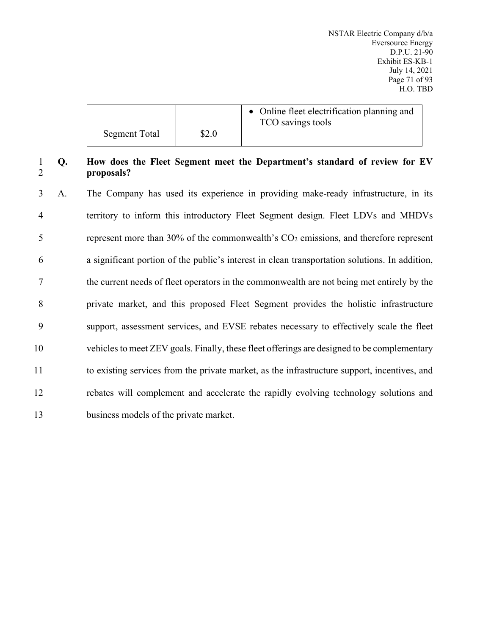|               |       | • Online fleet electrification planning and<br>TCO savings tools |
|---------------|-------|------------------------------------------------------------------|
| Segment Total | \$2.0 |                                                                  |

### 1 **Q. How does the Fleet Segment meet the Department's standard of review for EV**  2 **proposals?**

 A. The Company has used its experience in providing make-ready infrastructure, in its territory to inform this introductory Fleet Segment design. Fleet LDVs and MHDVs 5 represent more than  $30\%$  of the commonwealth's  $CO<sub>2</sub>$  emissions, and therefore represent a significant portion of the public's interest in clean transportation solutions. In addition, the current needs of fleet operators in the commonwealth are not being met entirely by the private market, and this proposed Fleet Segment provides the holistic infrastructure support, assessment services, and EVSE rebates necessary to effectively scale the fleet vehicles to meet ZEV goals. Finally, these fleet offerings are designed to be complementary to existing services from the private market, as the infrastructure support, incentives, and rebates will complement and accelerate the rapidly evolving technology solutions and business models of the private market.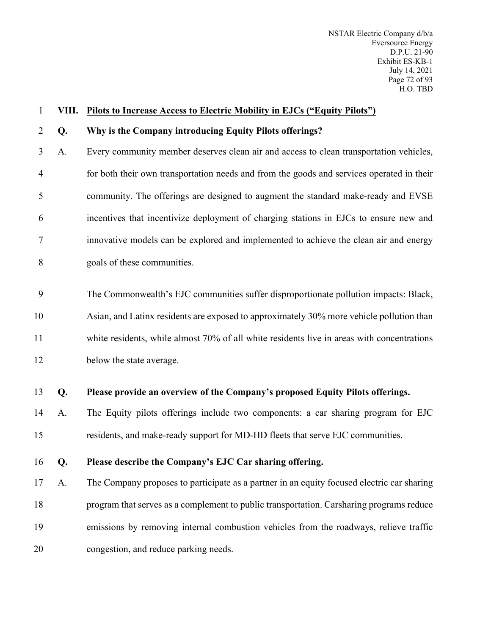| $\mathbf{1}$   | VIII. | <b>Pilots to Increase Access to Electric Mobility in EJCs ("Equity Pilots")</b>            |
|----------------|-------|--------------------------------------------------------------------------------------------|
| $\overline{2}$ | Q.    | Why is the Company introducing Equity Pilots offerings?                                    |
| 3              | A.    | Every community member deserves clean air and access to clean transportation vehicles,     |
| $\overline{4}$ |       | for both their own transportation needs and from the goods and services operated in their  |
| 5              |       | community. The offerings are designed to augment the standard make-ready and EVSE          |
| 6              |       | incentives that incentivize deployment of charging stations in EJCs to ensure new and      |
| 7              |       | innovative models can be explored and implemented to achieve the clean air and energy      |
| 8              |       | goals of these communities.                                                                |
| 9              |       | The Commonwealth's EJC communities suffer disproportionate pollution impacts: Black,       |
|                |       |                                                                                            |
| 10             |       | Asian, and Latinx residents are exposed to approximately 30% more vehicle pollution than   |
| 11             |       | white residents, while almost 70% of all white residents live in areas with concentrations |
| 12             |       | below the state average.                                                                   |
| 13             | Q.    | Please provide an overview of the Company's proposed Equity Pilots offerings.              |
| 14             | A.    | The Equity pilots offerings include two components: a car sharing program for EJC          |
| 15             |       | residents, and make-ready support for MD-HD fleets that serve EJC communities.             |
| 16             | Q.    | Please describe the Company's EJC Car sharing offering.                                    |
| 17             | A.    | The Company proposes to participate as a partner in an equity focused electric car sharing |
| 18             |       | program that serves as a complement to public transportation. Carsharing programs reduce   |
| 19             |       | emissions by removing internal combustion vehicles from the roadways, relieve traffic      |
| 20             |       | congestion, and reduce parking needs.                                                      |
|                |       |                                                                                            |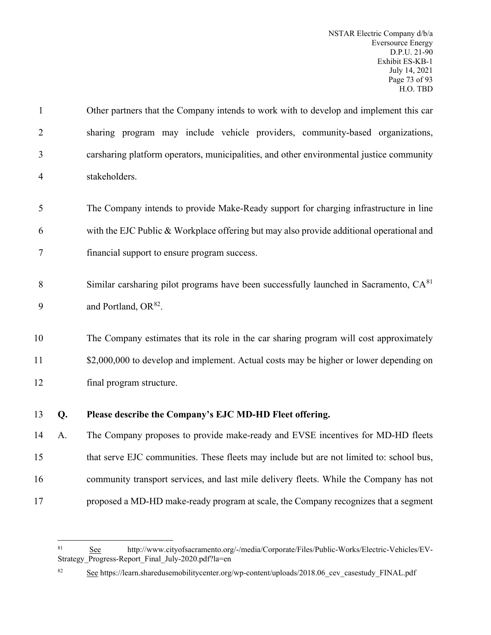Other partners that the Company intends to work with to develop and implement this car sharing program may include vehicle providers, community-based organizations, carsharing platform operators, municipalities, and other environmental justice community stakeholders. The Company intends to provide Make-Ready support for charging infrastructure in line with the EJC Public & Workplace offering but may also provide additional operational and

- 7 financial support to ensure program success.
- Similar carsharing pilot programs have been successfully launched in Sacramento, CA[81](#page-74-0) 8 9 and Portland,  $OR^{82}$  $OR^{82}$  $OR^{82}$ .

10 The Company estimates that its role in the car sharing program will cost approximately 11 \$2,000,000 to develop and implement. Actual costs may be higher or lower depending on 12 final program structure.

13 **Q. Please describe the Company's EJC MD-HD Fleet offering.**

 A. The Company proposes to provide make-ready and EVSE incentives for MD-HD fleets that serve EJC communities. These fleets may include but are not limited to: school bus, community transport services, and last mile delivery fleets. While the Company has not proposed a MD-HD make-ready program at scale, the Company recognizes that a segment

<span id="page-74-0"></span><sup>81</sup> See http://www.cityofsacramento.org/-/media/Corporate/Files/Public-Works/Electric-Vehicles/EV-Strategy\_Progress-Report\_Final\_July-2020.pdf?la=en

<span id="page-74-1"></span><sup>82</sup> See https://learn.sharedusemobilitycenter.org/wp-content/uploads/2018.06 cev casestudy FINAL.pdf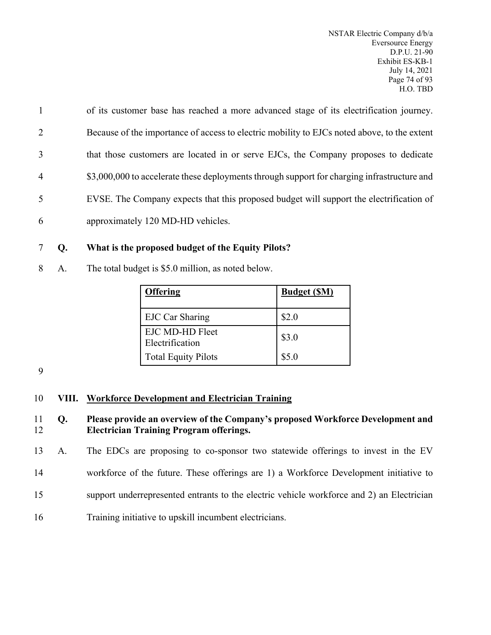of its customer base has reached a more advanced stage of its electrification journey. Because of the importance of access to electric mobility to EJCs noted above, to the extent that those customers are located in or serve EJCs, the Company proposes to dedicate  $$3,000,000$  to accelerate these deployments through support for charging infrastructure and EVSE. The Company expects that this proposed budget will support the electrification of approximately 120 MD-HD vehicles.

# 7 **Q. What is the proposed budget of the Equity Pilots?**

8 A. The total budget is \$5.0 million, as noted below.

| <b>Offering</b>                    | <b>Budget (SM)</b> |
|------------------------------------|--------------------|
| <b>EJC Car Sharing</b>             | \$2.0              |
| EJC MD-HD Fleet<br>Electrification | \$3.0              |
| <b>Total Equity Pilots</b>         | \$5.0              |

9

# 10 **VIII. Workforce Development and Electrician Training**

11 **Q. Please provide an overview of the Company's proposed Workforce Development and**  12 **Electrician Training Program offerings.**

13 A. The EDCs are proposing to co-sponsor two statewide offerings to invest in the EV

14 workforce of the future. These offerings are 1) a Workforce Development initiative to

15 support underrepresented entrants to the electric vehicle workforce and 2) an Electrician

16 Training initiative to upskill incumbent electricians.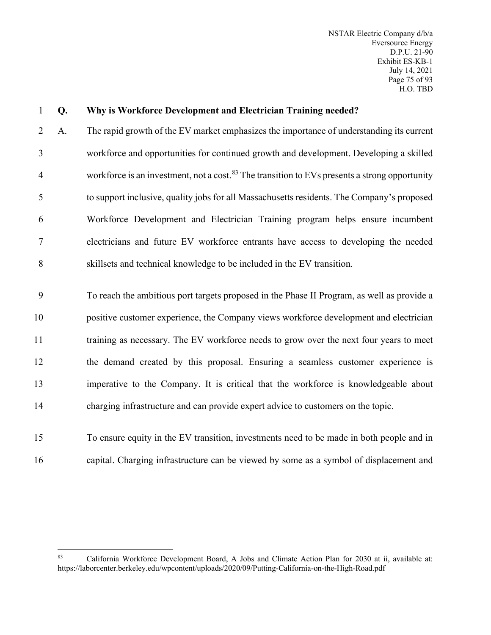NSTAR Electric Company d/b/a Eversource Energy D.P.U. 21-90 Exhibit ES-KB-1 July 14, 2021 Page 75 of 93 H.O. TBD

| $\mathbf{1}$   | Q. | Why is Workforce Development and Electrician Training needed?                                             |
|----------------|----|-----------------------------------------------------------------------------------------------------------|
| $\overline{2}$ | A. | The rapid growth of the EV market emphasizes the importance of understanding its current                  |
| $\mathfrak{Z}$ |    | workforce and opportunities for continued growth and development. Developing a skilled                    |
| $\overline{4}$ |    | workforce is an investment, not a cost. <sup>83</sup> The transition to EVs presents a strong opportunity |
| 5              |    | to support inclusive, quality jobs for all Massachusetts residents. The Company's proposed                |
| 6              |    | Workforce Development and Electrician Training program helps ensure incumbent                             |
| $\tau$         |    | electricians and future EV workforce entrants have access to developing the needed                        |
| 8              |    | skillsets and technical knowledge to be included in the EV transition.                                    |
| 9              |    | To reach the ambitious port targets proposed in the Phase II Program, as well as provide a                |
| 10             |    | positive customer experience, the Company views workforce development and electrician                     |
| 11             |    | training as necessary. The EV workforce needs to grow over the next four years to meet                    |
| 12             |    | the demand created by this proposal. Ensuring a seamless customer experience is                           |
| 13             |    | imperative to the Company. It is critical that the workforce is knowledgeable about                       |
| 14             |    | charging infrastructure and can provide expert advice to customers on the topic.                          |
| 15             |    | To ensure equity in the EV transition, investments need to be made in both people and in                  |
| 16             |    | capital. Charging infrastructure can be viewed by some as a symbol of displacement and                    |

<span id="page-76-0"></span><sup>83</sup> California Workforce Development Board, A Jobs and Climate Action Plan for 2030 at ii, available at: https://laborcenter.berkeley.edu/wpcontent/uploads/2020/09/Putting-California-on-the-High-Road.pdf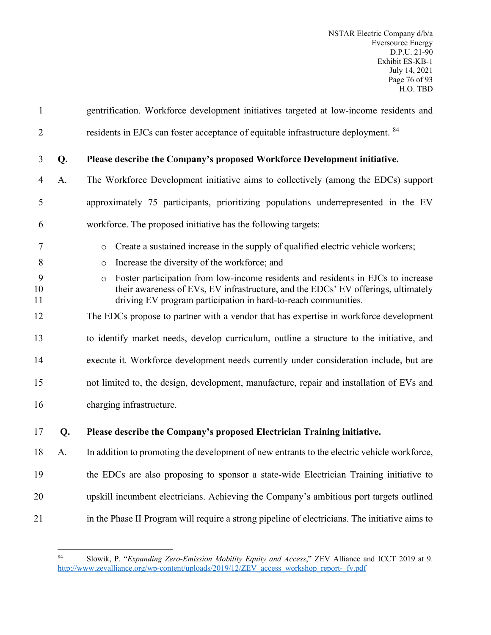| $\mathbf{1}$   |    | gentrification. Workforce development initiatives targeted at low-income residents and                                                                                                                                                             |
|----------------|----|----------------------------------------------------------------------------------------------------------------------------------------------------------------------------------------------------------------------------------------------------|
| $\overline{2}$ |    | residents in EJCs can foster acceptance of equitable infrastructure deployment. 84                                                                                                                                                                 |
| 3              | Q. | Please describe the Company's proposed Workforce Development initiative.                                                                                                                                                                           |
| $\overline{4}$ | A. | The Workforce Development initiative aims to collectively (among the EDCs) support                                                                                                                                                                 |
| 5              |    | approximately 75 participants, prioritizing populations underrepresented in the EV                                                                                                                                                                 |
| 6              |    | workforce. The proposed initiative has the following targets:                                                                                                                                                                                      |
| 7              |    | Create a sustained increase in the supply of qualified electric vehicle workers;<br>$\circ$                                                                                                                                                        |
| 8              |    | Increase the diversity of the workforce; and<br>$\circ$                                                                                                                                                                                            |
| 9<br>10<br>11  |    | Foster participation from low-income residents and residents in EJCs to increase<br>$\circ$<br>their awareness of EVs, EV infrastructure, and the EDCs' EV offerings, ultimately<br>driving EV program participation in hard-to-reach communities. |
| 12             |    | The EDCs propose to partner with a vendor that has expertise in workforce development                                                                                                                                                              |
| 13             |    | to identify market needs, develop curriculum, outline a structure to the initiative, and                                                                                                                                                           |
| 14             |    | execute it. Workforce development needs currently under consideration include, but are                                                                                                                                                             |
| 15             |    | not limited to, the design, development, manufacture, repair and installation of EVs and                                                                                                                                                           |
| 16             |    | charging infrastructure.                                                                                                                                                                                                                           |
| 17             | Q. | Please describe the Company's proposed Electrician Training initiative.                                                                                                                                                                            |
| 18             | A. | In addition to promoting the development of new entrants to the electric vehicle workforce,                                                                                                                                                        |
| 19             |    | the EDCs are also proposing to sponsor a state-wide Electrician Training initiative to                                                                                                                                                             |
| 20             |    | upskill incumbent electricians. Achieving the Company's ambitious port targets outlined                                                                                                                                                            |
| 21             |    | in the Phase II Program will require a strong pipeline of electricians. The initiative aims to                                                                                                                                                     |
|                |    |                                                                                                                                                                                                                                                    |

<span id="page-77-0"></span><sup>84</sup> Slowik, P. "*Expanding Zero-Emission Mobility Equity and Access*," ZEV Alliance and ICCT 2019 at 9. [http://www.zevalliance.org/wp-content/uploads/2019/12/ZEV\\_access\\_workshop\\_report-\\_fv.pdf](http://www.zevalliance.org/wp-content/uploads/2019/12/ZEV_access_workshop_report-_fv.pdf)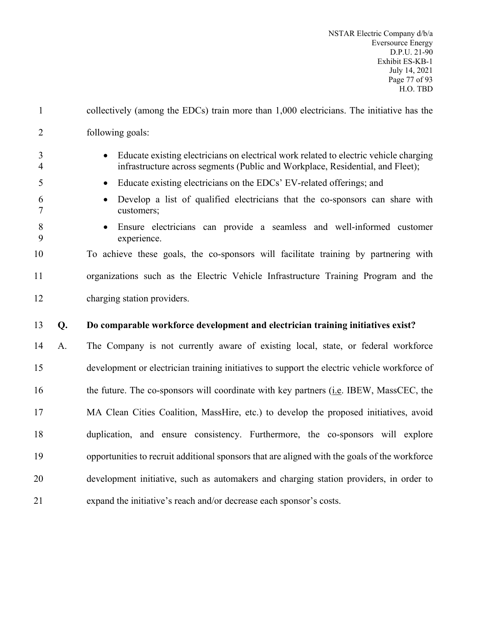- collectively (among the EDCs) train more than 1,000 electricians. The initiative has the following goals:
- Educate existing electricians on electrical work related to electric vehicle charging infrastructure across segments (Public and Workplace, Residential, and Fleet);
- Educate existing electricians on the EDCs' EV-related offerings; and
- Develop a list of qualified electricians that the co-sponsors can share with customers;
- 
- Ensure electricians can provide a seamless and well-informed customer experience.

# To achieve these goals, the co-sponsors will facilitate training by partnering with organizations such as the Electric Vehicle Infrastructure Training Program and the charging station providers.

# **Q. Do comparable workforce development and electrician training initiatives exist?**

 A. The Company is not currently aware of existing local, state, or federal workforce development or electrician training initiatives to support the electric vehicle workforce of the future. The co-sponsors will coordinate with key partners (i.e. IBEW, MassCEC, the MA Clean Cities Coalition, MassHire, etc.) to develop the proposed initiatives, avoid duplication, and ensure consistency. Furthermore, the co-sponsors will explore opportunities to recruit additional sponsors that are aligned with the goals of the workforce development initiative, such as automakers and charging station providers, in order to expand the initiative's reach and/or decrease each sponsor's costs.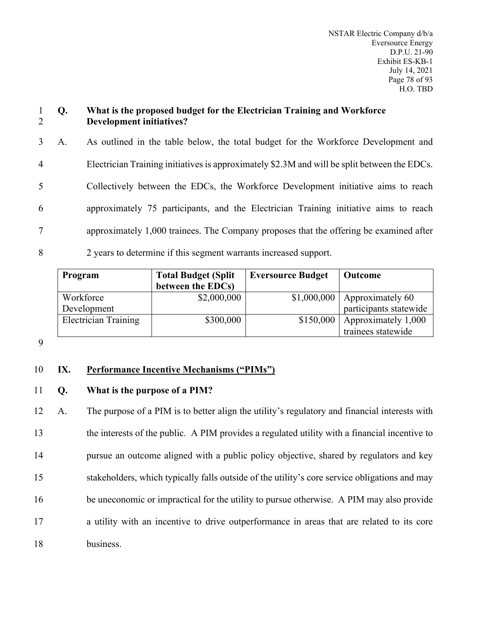### 1 **Q. What is the proposed budget for the Electrician Training and Workforce**  2 **Development initiatives?**

 A. As outlined in the table below, the total budget for the Workforce Development and Electrician Training initiatives is approximately \$2.3M and will be split between the EDCs. Collectively between the EDCs, the Workforce Development initiative aims to reach approximately 75 participants, and the Electrician Training initiative aims to reach approximately 1,000 trainees. The Company proposes that the offering be examined after 2 years to determine if this segment warrants increased support.

| Program                     | <b>Total Budget (Split</b> | <b>Eversource Budget</b> | Outcome                          |
|-----------------------------|----------------------------|--------------------------|----------------------------------|
|                             | between the EDCs)          |                          |                                  |
| Workforce                   | \$2,000,000                |                          | $$1,000,000$   Approximately 60  |
| Development                 |                            |                          | participants statewide           |
| <b>Electrician Training</b> | \$300,000                  |                          | $$150,000$   Approximately 1,000 |
|                             |                            |                          | trainees statewide               |

9

# 10 **IX. Performance Incentive Mechanisms ("PIMs")**

### 11 **Q. What is the purpose of a PIM?**

 A. The purpose of a PIM is to better align the utility's regulatory and financial interests with the interests of the public. A PIM provides a regulated utility with a financial incentive to pursue an outcome aligned with a public policy objective, shared by regulators and key stakeholders, which typically falls outside of the utility's core service obligations and may be uneconomic or impractical for the utility to pursue otherwise. A PIM may also provide a utility with an incentive to drive outperformance in areas that are related to its core 18 business.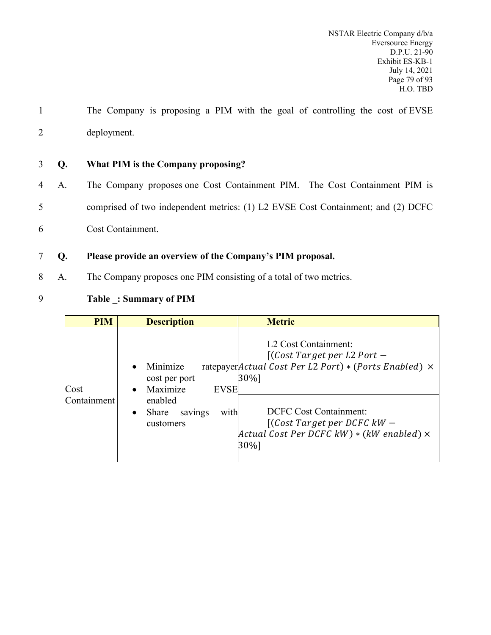- 1 The Company is proposing a PIM with the goal of controlling the cost of EVSE 2 deployment.
- 3 **Q. What PIM is the Company proposing?**
- 4 A. The Company proposes one Cost Containment PIM. The Cost Containment PIM is 5 comprised of two independent metrics: (1) L2 EVSE Cost Containment; and (2) DCFC
- 6 Cost Containment.
- 7 **Q. Please provide an overview of the Company's PIM proposal.**
- 8 A. The Company proposes one PIM consisting of a total of two metrics.
- 9 **Table \_: Summary of PIM**

| <b>PIM</b>  | <b>Description</b>                                                | <b>Metric</b>                                                                                                                               |
|-------------|-------------------------------------------------------------------|---------------------------------------------------------------------------------------------------------------------------------------------|
| Cost        | Minimize<br>cost per port<br>Maximize<br><b>EVSE</b><br>$\bullet$ | L <sub>2</sub> Cost Containment:<br>$[$ (Cost Target per L2 Port –<br>ratepayer Actual Cost Per L2 Port) * (Ports Enabled) $\times$<br>30%] |
| Containment | enabled<br>with<br>Share<br>savings<br>$\bullet$<br>customers     | <b>DCFC</b> Cost Containment:<br>$[(Cost Target per DCFG kW -$<br>$Actual Cost Per DCFG kW) * (kW enabled) ×$<br>30%]                       |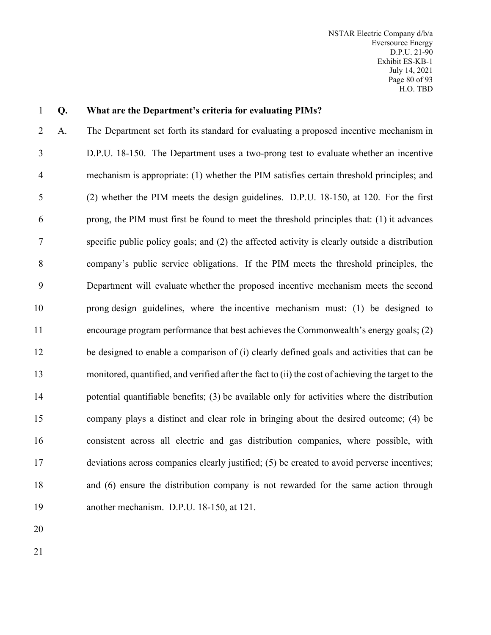NSTAR Electric Company d/b/a Eversource Energy D.P.U. 21-90 Exhibit ES-KB-1 July 14, 2021 Page 80 of 93 H.O. TBD

#### **Q. What are the Department's criteria for evaluating PIMs?**

 A. The Department set forth its standard for evaluating a proposed incentive mechanism in D.P.U. 18-150. The Department uses a two-prong test to evaluate whether an incentive mechanism is appropriate: (1) whether the PIM satisfies certain threshold principles; and (2) whether the PIM meets the design guidelines. D.P.U. 18-150, at 120. For the first prong, the PIM must first be found to meet the threshold principles that: (1) it advances specific public policy goals; and (2) the affected activity is clearly outside a distribution company's public service obligations. If the PIM meets the threshold principles, the Department will evaluate whether the proposed incentive mechanism meets the second prong design guidelines, where the incentive mechanism must: (1) be designed to encourage program performance that best achieves the Commonwealth's energy goals; (2) be designed to enable a comparison of (i) clearly defined goals and activities that can be monitored, quantified, and verified after the fact to (ii) the cost of achieving the target to the potential quantifiable benefits; (3) be available only for activities where the distribution company plays a distinct and clear role in bringing about the desired outcome; (4) be consistent across all electric and gas distribution companies, where possible, with deviations across companies clearly justified; (5) be created to avoid perverse incentives; and (6) ensure the distribution company is not rewarded for the same action through another mechanism. D.P.U. 18-150, at 121.

- 
-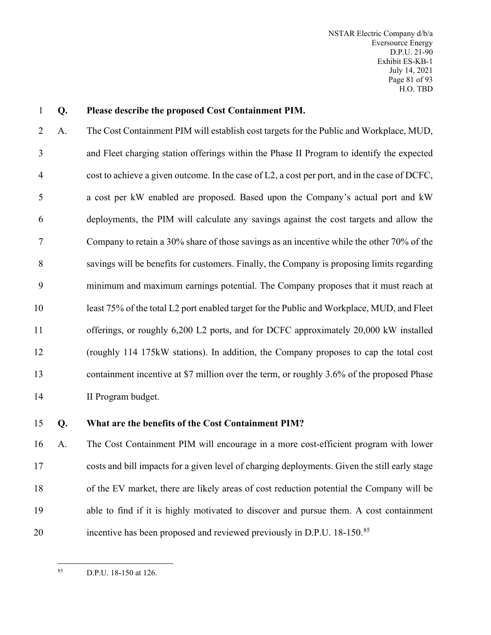#### **Q. Please describe the proposed Cost Containment PIM.**

 A. The Cost Containment PIM will establish cost targets for the Public and Workplace, MUD, and Fleet charging station offerings within the Phase II Program to identify the expected cost to achieve a given outcome. In the case of L2, a cost per port, and in the case of DCFC, a cost per kW enabled are proposed. Based upon the Company's actual port and kW deployments, the PIM will calculate any savings against the cost targets and allow the Company to retain a 30% share of those savings as an incentive while the other 70% of the savings will be benefits for customers. Finally, the Company is proposing limits regarding minimum and maximum earnings potential. The Company proposes that it must reach at least 75% of the total L2 port enabled target for the Public and Workplace, MUD, and Fleet offerings, or roughly 6,200 L2 ports, and for DCFC approximately 20,000 kW installed (roughly 114 175kW stations). In addition, the Company proposes to cap the total cost containment incentive at \$7 million over the term, or roughly 3.6% of the proposed Phase II Program budget.

### **Q. What are the benefits of the Cost Containment PIM?**

 A. The Cost Containment PIM will encourage in a more cost-efficient program with lower costs and bill impacts for a given level of charging deployments. Given the still early stage of the EV market, there are likely areas of cost reduction potential the Company will be able to find if it is highly motivated to discover and pursue them. A cost containment 20 incentive has been proposed and reviewed previously in D.P.U. 18-150.<sup>[85](#page-82-0)</sup>

<span id="page-82-0"></span>D.P.U. 18-150 at 126.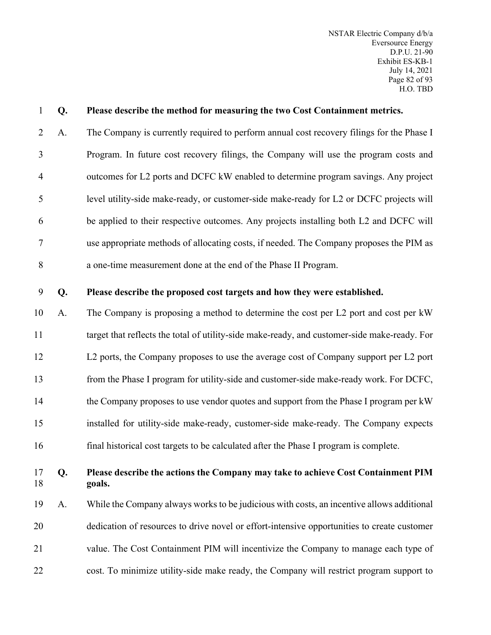| $\mathbf{1}$   | Q. | Please describe the method for measuring the two Cost Containment metrics.                   |
|----------------|----|----------------------------------------------------------------------------------------------|
| $\overline{2}$ | A. | The Company is currently required to perform annual cost recovery filings for the Phase I    |
| 3              |    | Program. In future cost recovery filings, the Company will use the program costs and         |
| $\overline{4}$ |    | outcomes for L2 ports and DCFC kW enabled to determine program savings. Any project          |
| 5              |    | level utility-side make-ready, or customer-side make-ready for L2 or DCFC projects will      |
| 6              |    | be applied to their respective outcomes. Any projects installing both L2 and DCFC will       |
| 7              |    | use appropriate methods of allocating costs, if needed. The Company proposes the PIM as      |
| 8              |    | a one-time measurement done at the end of the Phase II Program.                              |
| 9              | Q. | Please describe the proposed cost targets and how they were established.                     |
| 10             | A. | The Company is proposing a method to determine the cost per L2 port and cost per kW          |
| 11             |    | target that reflects the total of utility-side make-ready, and customer-side make-ready. For |
| 12             |    | L2 ports, the Company proposes to use the average cost of Company support per L2 port        |
| 13             |    | from the Phase I program for utility-side and customer-side make-ready work. For DCFC,       |
| 14             |    | the Company proposes to use vendor quotes and support from the Phase I program per kW        |
| 15             |    | installed for utility-side make-ready, customer-side make-ready. The Company expects         |
| 16             |    | final historical cost targets to be calculated after the Phase I program is complete.        |
| 17<br>18       | Q. | Please describe the actions the Company may take to achieve Cost Containment PIM<br>goals.   |
| 19             | A. | While the Company always works to be judicious with costs, an incentive allows additional    |
| 20             |    | dedication of resources to drive novel or effort-intensive opportunities to create customer  |
| 21             |    | value. The Cost Containment PIM will incentivize the Company to manage each type of          |
| 22             |    | cost. To minimize utility-side make ready, the Company will restrict program support to      |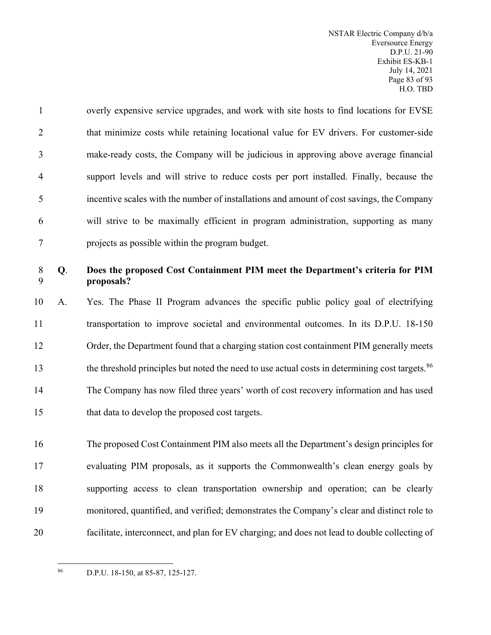overly expensive service upgrades, and work with site hosts to find locations for EVSE 2 that minimize costs while retaining locational value for EV drivers. For customer-side make-ready costs, the Company will be judicious in approving above average financial support levels and will strive to reduce costs per port installed. Finally, because the incentive scales with the number of installations and amount of cost savings, the Company will strive to be maximally efficient in program administration, supporting as many projects as possible within the program budget.

# **Q**. **Does the proposed Cost Containment PIM meet the Department's criteria for PIM proposals?**

 A. Yes. The Phase II Program advances the specific public policy goal of electrifying transportation to improve societal and environmental outcomes. In its D.P.U. 18-150 Order, the Department found that a charging station cost containment PIM generally meets the threshold principles but noted the need to use actual costs in determining cost targets.<sup>[86](#page-84-0)</sup> The Company has now filed three years' worth of cost recovery information and has used that data to develop the proposed cost targets.

 The proposed Cost Containment PIM also meets all the Department's design principles for evaluating PIM proposals, as it supports the Commonwealth's clean energy goals by supporting access to clean transportation ownership and operation; can be clearly monitored, quantified, and verified; demonstrates the Company's clear and distinct role to facilitate, interconnect, and plan for EV charging; and does not lead to double collecting of

<span id="page-84-0"></span>D.P.U. 18-150, at 85-87, 125-127.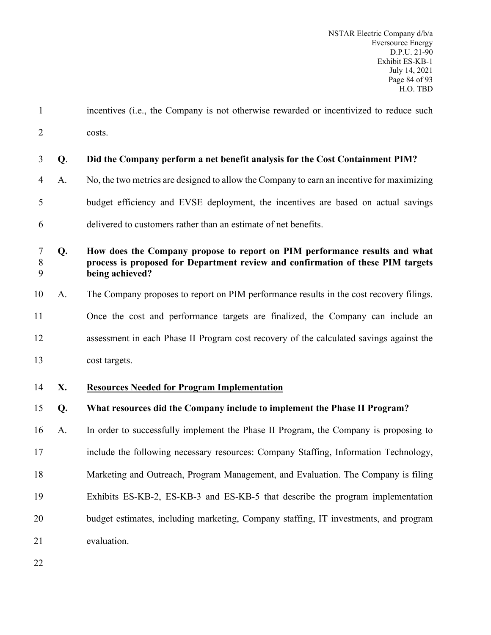1 incentives (i.e., the Company is not otherwise rewarded or incentivized to reduce such costs.

| $\mathfrak{Z}$        | Q. | Did the Company perform a net benefit analysis for the Cost Containment PIM?                                                                                                     |
|-----------------------|----|----------------------------------------------------------------------------------------------------------------------------------------------------------------------------------|
| $\overline{4}$        | A. | No, the two metrics are designed to allow the Company to earn an incentive for maximizing                                                                                        |
| 5                     |    | budget efficiency and EVSE deployment, the incentives are based on actual savings                                                                                                |
| 6                     |    | delivered to customers rather than an estimate of net benefits.                                                                                                                  |
| $\tau$<br>$\, 8$<br>9 | Q. | How does the Company propose to report on PIM performance results and what<br>process is proposed for Department review and confirmation of these PIM targets<br>being achieved? |
| 10                    | A. | The Company proposes to report on PIM performance results in the cost recovery filings.                                                                                          |
| 11                    |    | Once the cost and performance targets are finalized, the Company can include an                                                                                                  |
| 12                    |    | assessment in each Phase II Program cost recovery of the calculated savings against the                                                                                          |
| 13                    |    | cost targets.                                                                                                                                                                    |
| 14                    | X. | <b>Resources Needed for Program Implementation</b>                                                                                                                               |
| 15                    | Q. | What resources did the Company include to implement the Phase II Program?                                                                                                        |
| 16                    | A. | In order to successfully implement the Phase II Program, the Company is proposing to                                                                                             |
| 17                    |    | include the following necessary resources: Company Staffing, Information Technology,                                                                                             |
| 18                    |    | Marketing and Outreach, Program Management, and Evaluation. The Company is filing                                                                                                |
| 19                    |    | Exhibits ES-KB-2, ES-KB-3 and ES-KB-5 that describe the program implementation                                                                                                   |
| 20                    |    | budget estimates, including marketing, Company staffing, IT investments, and program                                                                                             |
| 21                    |    | evaluation.                                                                                                                                                                      |
| 22                    |    |                                                                                                                                                                                  |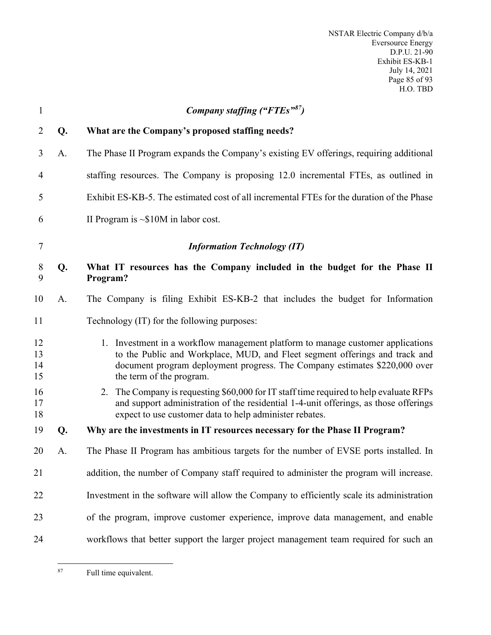NSTAR Electric Company d/b/a Eversource Energy D.P.U. 21-90 Exhibit ES-KB-1 July 14, 2021 Page 85 of 93 H.O. TBD

| $\mathbf{1}$         |    | Company staffing ("FTEs")                                                                                                                                                                                                                                                |
|----------------------|----|--------------------------------------------------------------------------------------------------------------------------------------------------------------------------------------------------------------------------------------------------------------------------|
| 2                    | Q. | What are the Company's proposed staffing needs?                                                                                                                                                                                                                          |
| 3                    | A. | The Phase II Program expands the Company's existing EV offerings, requiring additional                                                                                                                                                                                   |
| $\overline{4}$       |    | staffing resources. The Company is proposing 12.0 incremental FTEs, as outlined in                                                                                                                                                                                       |
| 5                    |    | Exhibit ES-KB-5. The estimated cost of all incremental FTEs for the duration of the Phase                                                                                                                                                                                |
| 6                    |    | II Program is $\sim $10M$ in labor cost.                                                                                                                                                                                                                                 |
| $\tau$               |    | <b>Information Technology (IT)</b>                                                                                                                                                                                                                                       |
| 8<br>9               | Q. | What IT resources has the Company included in the budget for the Phase II<br>Program?                                                                                                                                                                                    |
| 10                   | A. | The Company is filing Exhibit ES-KB-2 that includes the budget for Information                                                                                                                                                                                           |
| 11                   |    | Technology (IT) for the following purposes:                                                                                                                                                                                                                              |
| 12<br>13<br>14<br>15 |    | 1. Investment in a workflow management platform to manage customer applications<br>to the Public and Workplace, MUD, and Fleet segment offerings and track and<br>document program deployment progress. The Company estimates \$220,000 over<br>the term of the program. |
| 16<br>17<br>18       |    | 2. The Company is requesting \$60,000 for IT staff time required to help evaluate RFPs<br>and support administration of the residential 1-4-unit offerings, as those offerings<br>expect to use customer data to help administer rebates.                                |
| 19                   | Q. | Why are the investments in IT resources necessary for the Phase II Program?                                                                                                                                                                                              |
| 20                   | A. | The Phase II Program has ambitious targets for the number of EVSE ports installed. In                                                                                                                                                                                    |
| 21                   |    | addition, the number of Company staff required to administer the program will increase.                                                                                                                                                                                  |
| 22                   |    | Investment in the software will allow the Company to efficiently scale its administration                                                                                                                                                                                |
| 23                   |    | of the program, improve customer experience, improve data management, and enable                                                                                                                                                                                         |
| 24                   |    | workflows that better support the larger project management team required for such an                                                                                                                                                                                    |

<span id="page-86-0"></span>Full time equivalent.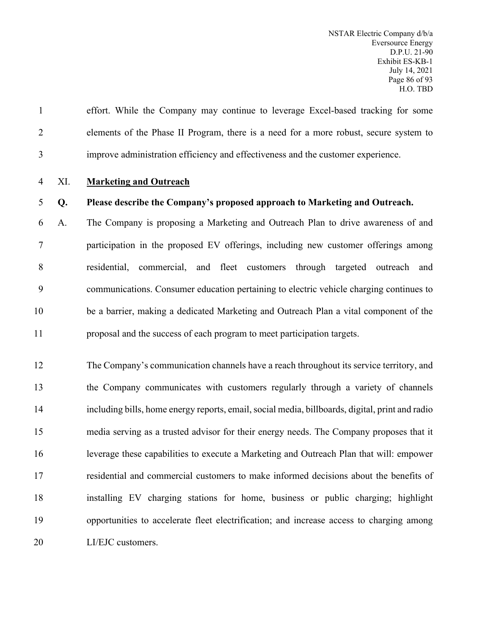effort. While the Company may continue to leverage Excel-based tracking for some elements of the Phase II Program, there is a need for a more robust, secure system to improve administration efficiency and effectiveness and the customer experience.

#### XI. **Marketing and Outreach**

#### **Q. Please describe the Company's proposed approach to Marketing and Outreach.**

 A. The Company is proposing a Marketing and Outreach Plan to drive awareness of and participation in the proposed EV offerings, including new customer offerings among residential, commercial, and fleet customers through targeted outreach and communications. Consumer education pertaining to electric vehicle charging continues to be a barrier, making a dedicated Marketing and Outreach Plan a vital component of the proposal and the success of each program to meet participation targets.

 The Company's communication channels have a reach throughout its service territory, and the Company communicates with customers regularly through a variety of channels including bills, home energy reports, email, social media, billboards, digital, print and radio media serving as a trusted advisor for their energy needs. The Company proposes that it leverage these capabilities to execute a Marketing and Outreach Plan that will: empower residential and commercial customers to make informed decisions about the benefits of installing EV charging stations for home, business or public charging; highlight opportunities to accelerate fleet electrification; and increase access to charging among 20 LI/EJC customers.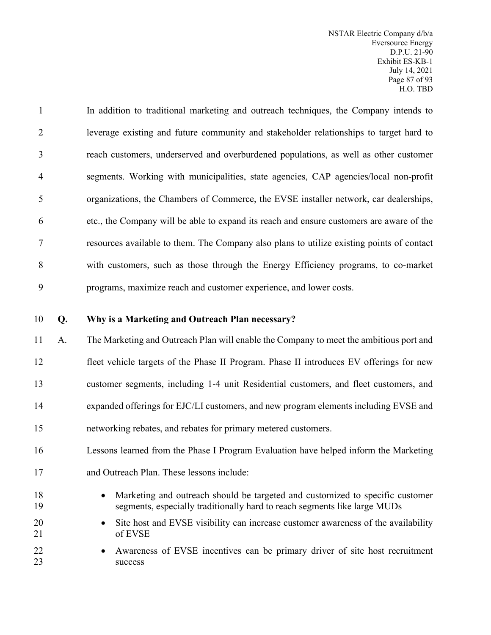In addition to traditional marketing and outreach techniques, the Company intends to leverage existing and future community and stakeholder relationships to target hard to reach customers, underserved and overburdened populations, as well as other customer segments. Working with municipalities, state agencies, CAP agencies/local non-profit organizations, the Chambers of Commerce, the EVSE installer network, car dealerships, etc., the Company will be able to expand its reach and ensure customers are aware of the resources available to them. The Company also plans to utilize existing points of contact with customers, such as those through the Energy Efficiency programs, to co-market programs, maximize reach and customer experience, and lower costs.

#### **Q. Why is a Marketing and Outreach Plan necessary?**

 A. The Marketing and Outreach Plan will enable the Company to meet the ambitious port and fleet vehicle targets of the Phase II Program. Phase II introduces EV offerings for new customer segments, including 1-4 unit Residential customers, and fleet customers, and expanded offerings for EJC/LI customers, and new program elements including EVSE and networking rebates, and rebates for primary metered customers.

# Lessons learned from the Phase I Program Evaluation have helped inform the Marketing

- and Outreach Plan. These lessons include:
- Marketing and outreach should be targeted and customized to specific customer segments, especially traditionally hard to reach segments like large MUDs
- 20 Site host and EVSE visibility can increase customer awareness of the availability of EVSE
- Awareness of EVSE incentives can be primary driver of site host recruitment 23 success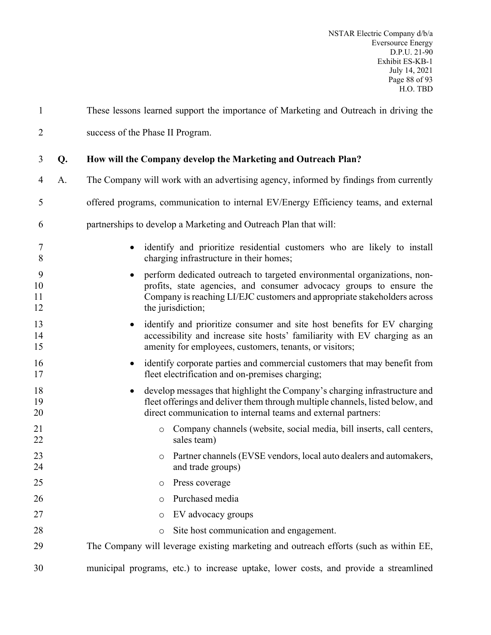| $\mathbf{1}$        |    | These lessons learned support the importance of Marketing and Outreach in driving the                                                                                                                                                                 |
|---------------------|----|-------------------------------------------------------------------------------------------------------------------------------------------------------------------------------------------------------------------------------------------------------|
| $\overline{2}$      |    | success of the Phase II Program.                                                                                                                                                                                                                      |
| 3                   | Q. | How will the Company develop the Marketing and Outreach Plan?                                                                                                                                                                                         |
| 4                   | A. | The Company will work with an advertising agency, informed by findings from currently                                                                                                                                                                 |
| 5                   |    | offered programs, communication to internal EV/Energy Efficiency teams, and external                                                                                                                                                                  |
| 6                   |    | partnerships to develop a Marketing and Outreach Plan that will:                                                                                                                                                                                      |
| 7<br>8              |    | identify and prioritize residential customers who are likely to install<br>$\bullet$<br>charging infrastructure in their homes;                                                                                                                       |
| 9<br>10<br>11<br>12 |    | perform dedicated outreach to targeted environmental organizations, non-<br>٠<br>profits, state agencies, and consumer advocacy groups to ensure the<br>Company is reaching LI/EJC customers and appropriate stakeholders across<br>the jurisdiction; |
| 13<br>14<br>15      |    | identify and prioritize consumer and site host benefits for EV charging<br>accessibility and increase site hosts' familiarity with EV charging as an<br>amenity for employees, customers, tenants, or visitors;                                       |
| 16<br>17            |    | identify corporate parties and commercial customers that may benefit from<br>fleet electrification and on-premises charging;                                                                                                                          |
| 18<br>19<br>20      |    | develop messages that highlight the Company's charging infrastructure and<br>fleet offerings and deliver them through multiple channels, listed below, and<br>direct communication to internal teams and external partners:                           |
| 21<br>22            |    | Company channels (website, social media, bill inserts, call centers,<br>$\circ$<br>sales team)                                                                                                                                                        |
| 23<br>24            |    | Partner channels (EVSE vendors, local auto dealers and automakers,<br>$\circ$<br>and trade groups)                                                                                                                                                    |
| 25                  |    | Press coverage<br>$\circ$                                                                                                                                                                                                                             |
| 26                  |    | Purchased media<br>$\circ$                                                                                                                                                                                                                            |
| 27                  |    | EV advocacy groups<br>O                                                                                                                                                                                                                               |
| 28                  |    | Site host communication and engagement.<br>$\circ$                                                                                                                                                                                                    |
| 29                  |    | The Company will leverage existing marketing and outreach efforts (such as within EE,                                                                                                                                                                 |
| 30                  |    | municipal programs, etc.) to increase uptake, lower costs, and provide a streamlined                                                                                                                                                                  |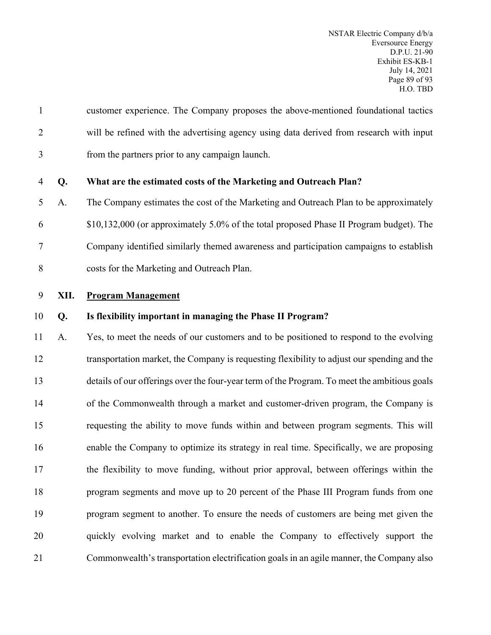| $\mathbf{1}$   |      | customer experience. The Company proposes the above-mentioned foundational tactics           |
|----------------|------|----------------------------------------------------------------------------------------------|
| $\overline{2}$ |      | will be refined with the advertising agency using data derived from research with input      |
| 3              |      | from the partners prior to any campaign launch.                                              |
| 4              | Q.   | What are the estimated costs of the Marketing and Outreach Plan?                             |
| 5              | A.   | The Company estimates the cost of the Marketing and Outreach Plan to be approximately        |
| 6              |      | \$10,132,000 (or approximately 5.0% of the total proposed Phase II Program budget). The      |
| 7              |      | Company identified similarly themed awareness and participation campaigns to establish       |
| 8              |      | costs for the Marketing and Outreach Plan.                                                   |
| 9              | XII. | <b>Program Management</b>                                                                    |
| 10             | Q.   | Is flexibility important in managing the Phase II Program?                                   |
| 11             | A.   | Yes, to meet the needs of our customers and to be positioned to respond to the evolving      |
| 12             |      | transportation market, the Company is requesting flexibility to adjust our spending and the  |
| 13             |      | details of our offerings over the four-year term of the Program. To meet the ambitious goals |
| 14             |      | of the Commonwealth through a market and customer-driven program, the Company is             |
| 15             |      | requesting the ability to move funds within and between program segments. This will          |
| 16             |      | enable the Company to optimize its strategy in real time. Specifically, we are proposing     |
| 17             |      | the flexibility to move funding, without prior approval, between offerings within the        |
| 18             |      | program segments and move up to 20 percent of the Phase III Program funds from one           |
| 19             |      | program segment to another. To ensure the needs of customers are being met given the         |
| 20             |      | quickly evolving market and to enable the Company to effectively support the                 |
| 21             |      | Commonwealth's transportation electrification goals in an agile manner, the Company also     |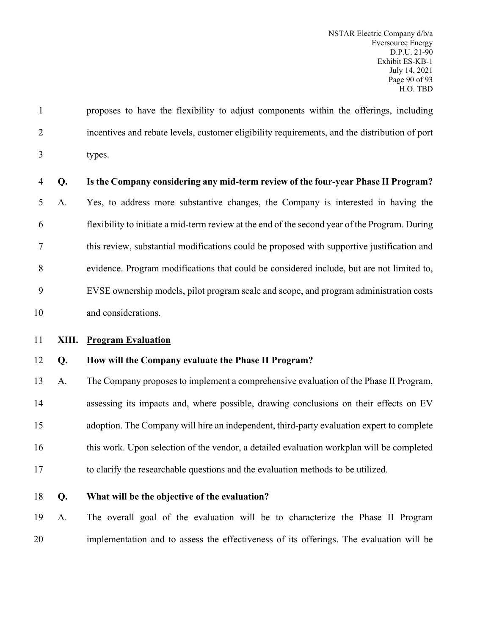proposes to have the flexibility to adjust components within the offerings, including incentives and rebate levels, customer eligibility requirements, and the distribution of port types.

#### **Q. Is the Company considering any mid-term review of the four-year Phase II Program?**

 A. Yes, to address more substantive changes, the Company is interested in having the flexibility to initiate a mid-term review at the end of the second year of the Program. During this review, substantial modifications could be proposed with supportive justification and evidence. Program modifications that could be considered include, but are not limited to, EVSE ownership models, pilot program scale and scope, and program administration costs and considerations.

**XIII. Program Evaluation**

#### **Q. How will the Company evaluate the Phase II Program?**

 A. The Company proposes to implement a comprehensive evaluation of the Phase II Program, assessing its impacts and, where possible, drawing conclusions on their effects on EV adoption. The Company will hire an independent, third-party evaluation expert to complete this work. Upon selection of the vendor, a detailed evaluation workplan will be completed to clarify the researchable questions and the evaluation methods to be utilized.

#### **Q. What will be the objective of the evaluation?**

 A. The overall goal of the evaluation will be to characterize the Phase II Program implementation and to assess the effectiveness of its offerings. The evaluation will be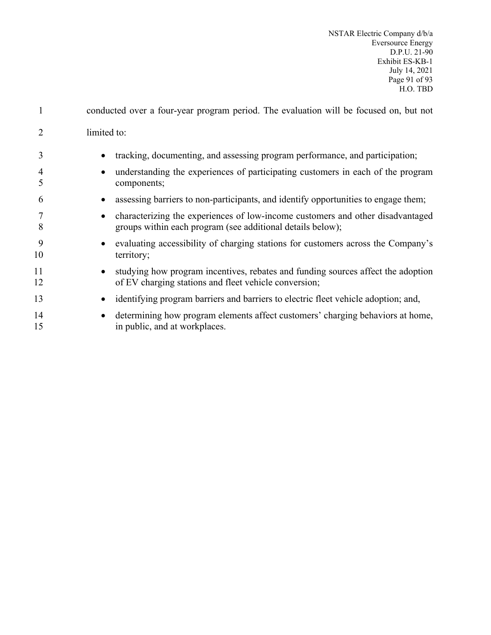| $\mathbf{1}$ | conducted over a four-year program period. The evaluation will be focused on, but not                                                        |
|--------------|----------------------------------------------------------------------------------------------------------------------------------------------|
|              | limited to:                                                                                                                                  |
| 3            | tracking, documenting, and assessing program performance, and participation;                                                                 |
| 4<br>5       | understanding the experiences of participating customers in each of the program<br>components;                                               |
| 6            | assessing barriers to non-participants, and identify opportunities to engage them;                                                           |
| 8            | characterizing the experiences of low-income customers and other disadvantaged<br>groups within each program (see additional details below); |
| 9<br>10      | evaluating accessibility of charging stations for customers across the Company's<br>territory;                                               |
| 11<br>12     | studying how program incentives, rebates and funding sources affect the adoption<br>of EV charging stations and fleet vehicle conversion;    |
| 13           | identifying program barriers and barriers to electric fleet vehicle adoption; and,                                                           |
| 14<br>15     | determining how program elements affect customers' charging behaviors at home,<br>in public, and at workplaces.                              |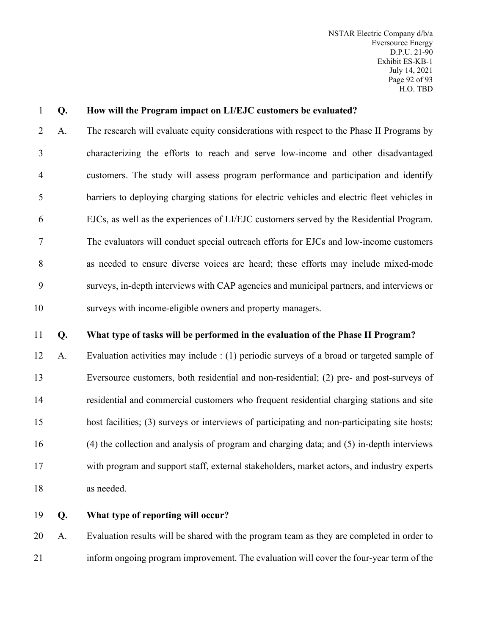#### **Q. How will the Program impact on LI/EJC customers be evaluated?**

 A. The research will evaluate equity considerations with respect to the Phase II Programs by characterizing the efforts to reach and serve low-income and other disadvantaged customers. The study will assess program performance and participation and identify barriers to deploying charging stations for electric vehicles and electric fleet vehicles in EJCs, as well as the experiences of LI/EJC customers served by the Residential Program. The evaluators will conduct special outreach efforts for EJCs and low-income customers as needed to ensure diverse voices are heard; these efforts may include mixed-mode surveys, in-depth interviews with CAP agencies and municipal partners, and interviews or surveys with income-eligible owners and property managers.

#### **Q. What type of tasks will be performed in the evaluation of the Phase II Program?**

 A. Evaluation activities may include : (1) periodic surveys of a broad or targeted sample of Eversource customers, both residential and non-residential; (2) pre- and post-surveys of residential and commercial customers who frequent residential charging stations and site host facilities; (3) surveys or interviews of participating and non-participating site hosts; (4) the collection and analysis of program and charging data; and (5) in-depth interviews with program and support staff, external stakeholders, market actors, and industry experts as needed.

#### **Q. What type of reporting will occur?**

 A. Evaluation results will be shared with the program team as they are completed in order to inform ongoing program improvement. The evaluation will cover the four-year term of the